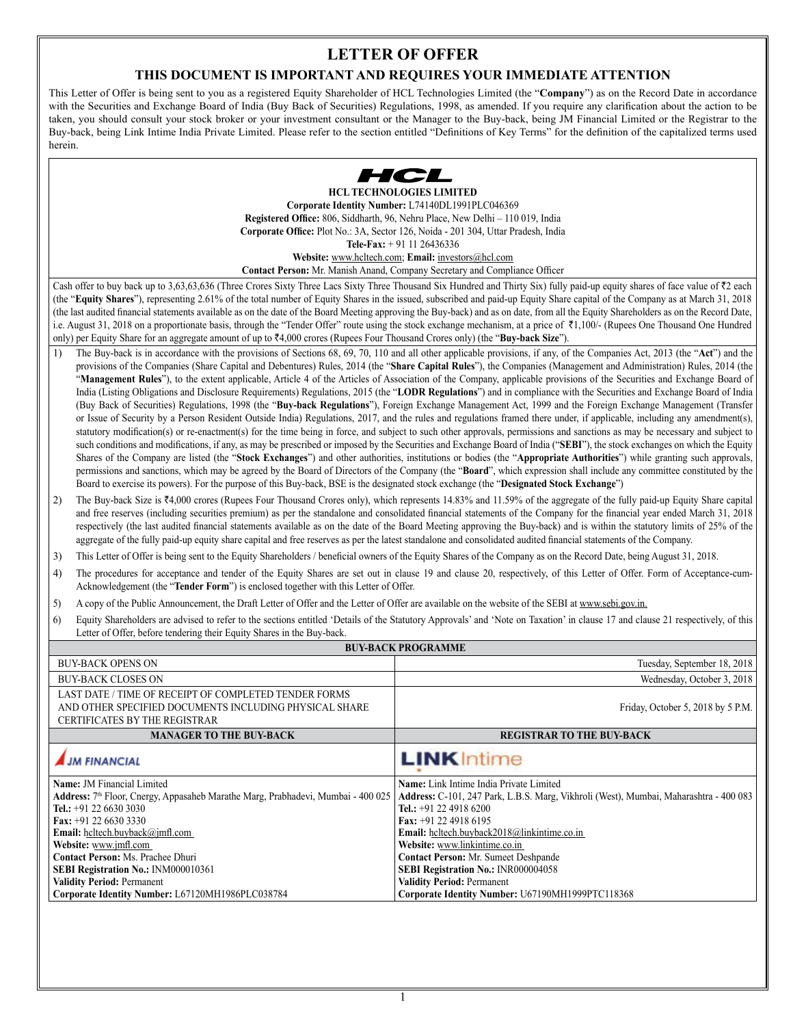# **LETTER OF OFFER**

# **THIS DOCUMENT IS IMPORTANT AND REQUIRES YOUR IMMEDIATE ATTENTION**

This Letter of Offer is being sent to you as a registered Equity Shareholder of HCL Technologies Limited (the "**Company**") as on the Record Date in accordance with the Securities and Exchange Board of India (Buy Back of Securities) Regulations, 1998, as amended. If you require any clarification about the action to be taken, you should consult your stock broker or your investment consultant or the Manager to the Buy-back, being JM Financial Limited or the Registrar to the Buy-back, being Link Intime India Private Limited. Please refer to the section entitled "Definitions of Key Terms" for the definition of the capitalized terms used herein.



**HCL TECHNOLOGIES LIMITED Corporate Identity Number:** L74140DL1991PLC046369 **Registered Office:** 806, Siddharth, 96, Nehru Place, New Delhi – 110 019, India **Corporate Office:** Plot No.: 3A, Sector 126, Noida - 201 304, Uttar Pradesh, India **Tele-Fax:** + 91 11 26436336

**Website:** www.hcltech.com; **Email:** investors@hcl.com

**Contact Person:** Mr. Manish Anand, Company Secretary and Compliance Officer

Cash offer to buy back up to 3,63,63,636 (Three Crores Sixty Three Lacs Sixty Three Thousand Six Hundred and Thirty Six) fully paid-up equity shares of face value of ₹2 each (the "**Equity Shares**"), representing 2.61% of the total number of Equity Shares in the issued, subscribed and paid-up Equity Share capital of the Company as at March 31, 2018 (the last audited financial statements available as on the date of the Board Meeting approving the Buy-back) and as on date, from all the Equity Shareholders as on the Record Date, i.e. August 31, 2018 on a proportionate basis, through the "Tender Offer" route using the stock exchange mechanism, at a price of `1,100/- (Rupees One Thousand One Hundred only) per Equity Share for an aggregate amount of up to `4,000 crores (Rupees Four Thousand Crores only) (the "**Buy-back Size**").

- 1) The Buy-back is in accordance with the provisions of Sections 68, 69, 70, 110 and all other applicable provisions, if any, of the Companies Act, 2013 (the "**Act**") and the provisions of the Companies (Share Capital and Debentures) Rules, 2014 (the "**Share Capital Rules**"), the Companies (Management and Administration) Rules, 2014 (the "Management Rules"), to the extent applicable, Article 4 of the Articles of Association of the Company, applicable provisions of the Securities and Exchange Board of India (Listing Obligations and Disclosure Requirements) Regulations, 2015 (the "**LODR Regulations**") and in compliance with the Securities and Exchange Board of India (Buy Back of Securities) Regulations, 1998 (the "**Buy-back Regulations**"), Foreign Exchange Management Act, 1999 and the Foreign Exchange Management (Transfer or Issue of Security by a Person Resident Outside India) Regulations, 2017, and the rules and regulations framed there under, if applicable, including any amendment(s), statutory modification(s) or re-enactment(s) for the time being in force, and subject to such other approvals, permissions and sanctions as may be necessary and subject to such conditions and modifications, if any, as may be prescribed or imposed by the Securities and Exchange Board of India ("**SEBI**"), the stock exchanges on which the Equity Shares of the Company are listed (the "**Stock Exchanges**") and other authorities, institutions or bodies (the "**Appropriate Authorities**") while granting such approvals, permissions and sanctions, which may be agreed by the Board of Directors of the Company (the "**Board**", which expression shall include any committee constituted by the Board to exercise its powers). For the purpose of this Buy-back, BSE is the designated stock exchange (the "**Designated Stock Exchange**")
- 2) The Buy-back Size is ₹4,000 crores (Rupees Four Thousand Crores only), which represents 14.83% and 11.59% of the aggregate of the fully paid-up Equity Share capital and free reserves (including securities premium) as per the standalone and consolidated financial statements of the Company for the financial year ended March 31, 2018 respectively (the last audited financial statements available as on the date of the Board Meeting approving the Buy-back) and is within the statutory limits of 25% of the aggregate of the fully paid-up equity share capital and free reserves as per the latest standalone and consolidated audited financial statements of the Company.
- 3) This Letter of Offer is being sent to the Equity Shareholders / beneficial owners of the Equity Shares of the Company as on the Record Date, being August 31, 2018.
- 4) The procedures for acceptance and tender of the Equity Shares are set out in clause 19 and clause 20, respectively, of this Letter of Offer. Form of Acceptance-cum-Acknowledgement (the "**Tender Form**") is enclosed together with this Letter of Offer.
- 5) A copy of the Public Announcement, the Draft Letter of Offer and the Letter of Offer are available on the website of the SEBI at www.sebi.gov.in.
- 6) Equity Shareholders are advised to refer to the sections entitled 'Details of the Statutory Approvals' and 'Note on Taxation' in clause 17 and clause 21 respectively, of this Letter of Offer, before tendering their Equity Shares in the Buy-back.

| <b>BUY-BACK PROGRAMME</b>                                                                                                                                                                                                                                                                                                                                                                                                        |                                                                                                                                                                                                                                                                                                                                                                                                                                                               |  |  |
|----------------------------------------------------------------------------------------------------------------------------------------------------------------------------------------------------------------------------------------------------------------------------------------------------------------------------------------------------------------------------------------------------------------------------------|---------------------------------------------------------------------------------------------------------------------------------------------------------------------------------------------------------------------------------------------------------------------------------------------------------------------------------------------------------------------------------------------------------------------------------------------------------------|--|--|
| <b>BUY-BACK OPENS ON</b>                                                                                                                                                                                                                                                                                                                                                                                                         | Tuesday, September 18, 2018                                                                                                                                                                                                                                                                                                                                                                                                                                   |  |  |
| <b>BUY-BACK CLOSES ON</b>                                                                                                                                                                                                                                                                                                                                                                                                        | Wednesday, October 3, 2018                                                                                                                                                                                                                                                                                                                                                                                                                                    |  |  |
| LAST DATE / TIME OF RECEIPT OF COMPLETED TENDER FORMS<br>AND OTHER SPECIFIED DOCUMENTS INCLUDING PHYSICAL SHARE<br>Friday, October 5, 2018 by 5 P.M.<br><b>CERTIFICATES BY THE REGISTRAR</b>                                                                                                                                                                                                                                     |                                                                                                                                                                                                                                                                                                                                                                                                                                                               |  |  |
| <b>MANAGER TO THE BUY-BACK</b>                                                                                                                                                                                                                                                                                                                                                                                                   | <b>REGISTRAR TO THE BUY-BACK</b>                                                                                                                                                                                                                                                                                                                                                                                                                              |  |  |
| <b>JM FINANCIAL</b>                                                                                                                                                                                                                                                                                                                                                                                                              | <b>LINK</b> Intime                                                                                                                                                                                                                                                                                                                                                                                                                                            |  |  |
| <b>Name: JM Financial Limited</b><br>Address: 7 <sup>th</sup> Floor, Cnergy, Appasaheb Marathe Marg, Prabhadevi, Mumbai - 400 025<br>Tel.: $+91$ 22 6630 3030<br>Fax: $+91$ 22 6630 3330<br><b>Email:</b> heltech.buyback@jmfl.com<br>Website: www.jmfl.com<br>Contact Person: Ms. Prachee Dhuri<br>SEBI Registration No.: INM000010361<br><b>Validity Period: Permanent</b><br>Corporate Identity Number: L67120MH1986PLC038784 | Name: Link Intime India Private Limited<br>Address: C-101, 247 Park, L.B.S. Marg, Vikhroli (West), Mumbai, Maharashtra - 400 083<br>Tel.: $+91$ 22 4918 6200<br>Fax: $+91$ 22 4918 6195<br><b>Email:</b> heltech.buyback2018@linkintime.co.in<br>Website: www.linkintime.co.in<br><b>Contact Person:</b> Mr. Sumeet Deshpande<br>SEBI Registration No.: INR000004058<br><b>Validity Period: Permanent</b><br>Corporate Identity Number: U67190MH1999PTC118368 |  |  |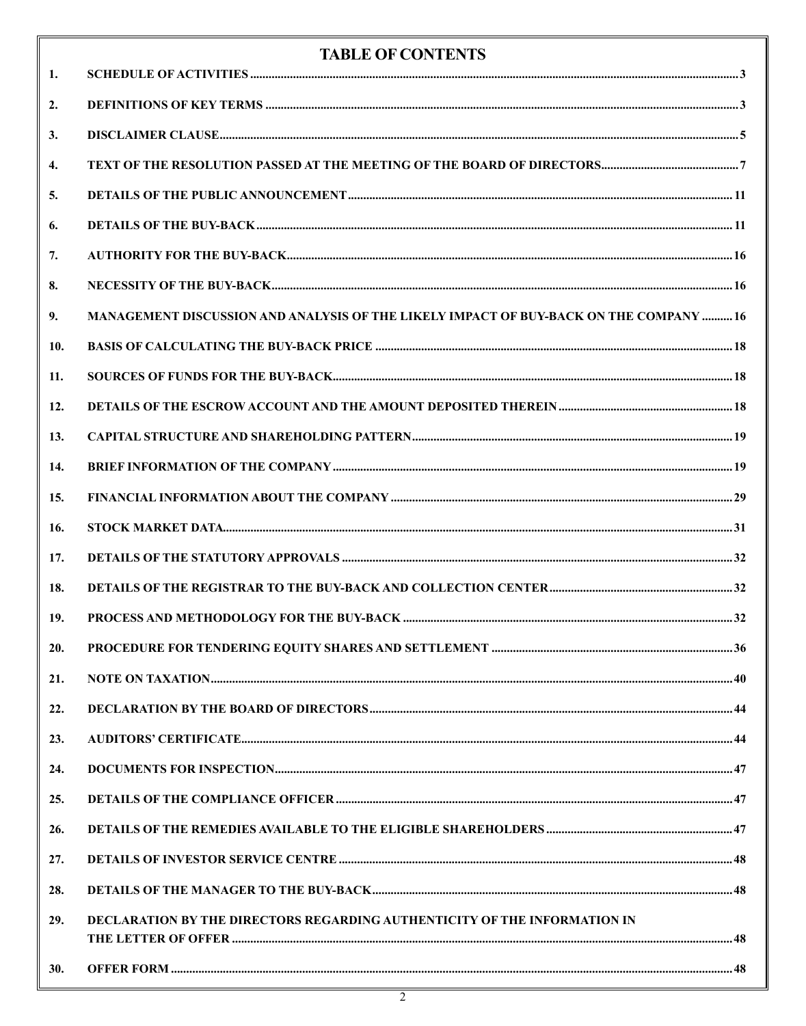| 1.  | <b>TABLE OF CONTENTS</b>                                                               |  |
|-----|----------------------------------------------------------------------------------------|--|
| 2.  |                                                                                        |  |
| 3.  |                                                                                        |  |
| 4.  |                                                                                        |  |
| 5.  |                                                                                        |  |
| 6.  |                                                                                        |  |
|     |                                                                                        |  |
| 7.  |                                                                                        |  |
| 8.  |                                                                                        |  |
| 9.  | MANAGEMENT DISCUSSION AND ANALYSIS OF THE LIKELY IMPACT OF BUY-BACK ON THE COMPANY  16 |  |
| 10. |                                                                                        |  |
| 11. |                                                                                        |  |
| 12. |                                                                                        |  |
| 13. |                                                                                        |  |
| 14. |                                                                                        |  |
| 15. |                                                                                        |  |
| 16. |                                                                                        |  |
| 17. |                                                                                        |  |
| 18. |                                                                                        |  |
| 19. |                                                                                        |  |
| 20. |                                                                                        |  |
| 21. |                                                                                        |  |
| 22. |                                                                                        |  |
| 23. |                                                                                        |  |
| 24. |                                                                                        |  |
| 25. |                                                                                        |  |
| 26. |                                                                                        |  |
| 27. |                                                                                        |  |
| 28. |                                                                                        |  |
| 29. | DECLARATION BY THE DIRECTORS REGARDING AUTHENTICITY OF THE INFORMATION IN              |  |
| 30. |                                                                                        |  |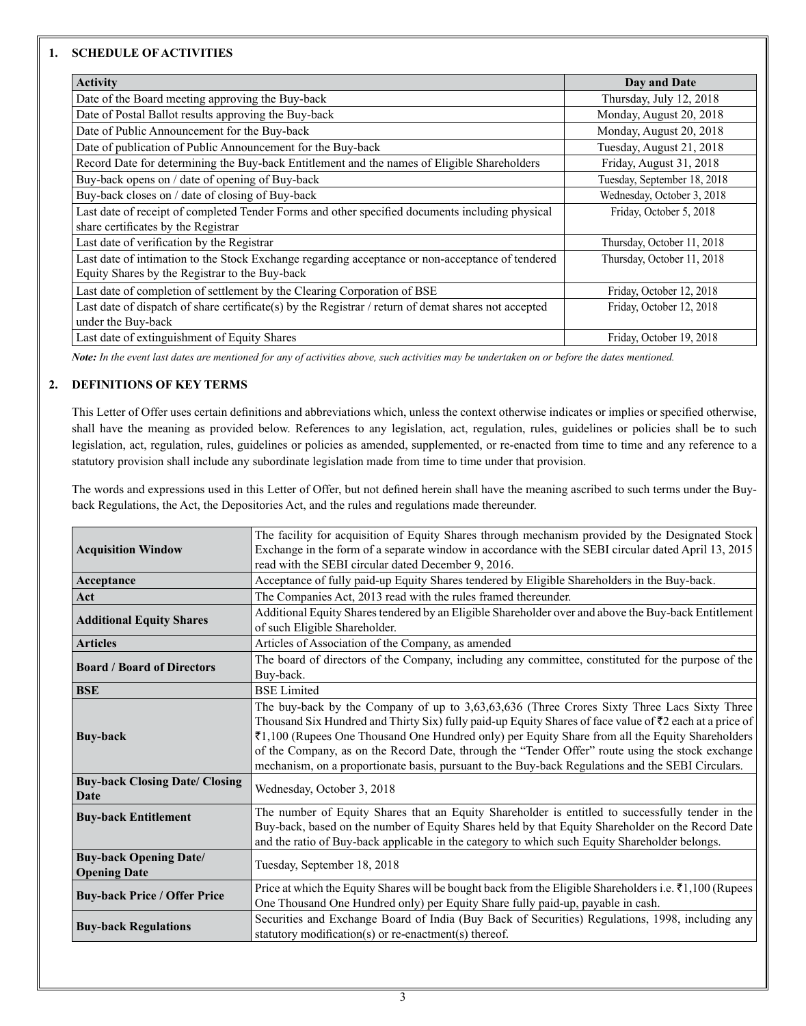# **1. SCHEDULE OF ACTIVITIES**

| <b>Activity</b>                                                                                      | Day and Date                |
|------------------------------------------------------------------------------------------------------|-----------------------------|
| Date of the Board meeting approving the Buy-back                                                     | Thursday, July 12, 2018     |
| Date of Postal Ballot results approving the Buy-back                                                 | Monday, August 20, 2018     |
| Date of Public Announcement for the Buy-back                                                         | Monday, August 20, 2018     |
| Date of publication of Public Announcement for the Buy-back                                          | Tuesday, August 21, 2018    |
| Record Date for determining the Buy-back Entitlement and the names of Eligible Shareholders          | Friday, August 31, 2018     |
| Buy-back opens on / date of opening of Buy-back                                                      | Tuesday, September 18, 2018 |
| Buy-back closes on / date of closing of Buy-back                                                     | Wednesday, October 3, 2018  |
| Last date of receipt of completed Tender Forms and other specified documents including physical      | Friday, October 5, 2018     |
| share certificates by the Registrar                                                                  |                             |
| Last date of verification by the Registrar                                                           | Thursday, October 11, 2018  |
| Last date of intimation to the Stock Exchange regarding acceptance or non-acceptance of tendered     | Thursday, October 11, 2018  |
| Equity Shares by the Registrar to the Buy-back                                                       |                             |
| Last date of completion of settlement by the Clearing Corporation of BSE                             | Friday, October 12, 2018    |
| Last date of dispatch of share certificate(s) by the Registrar / return of demat shares not accepted | Friday, October 12, 2018    |
| under the Buy-back                                                                                   |                             |
| Last date of extinguishment of Equity Shares                                                         | Friday, October 19, 2018    |

*Note: In the event last dates are mentioned for any of activities above, such activities may be undertaken on or before the dates mentioned.* 

# **2. DEFINITIONS OF KEY TERMS**

This Letter of Offer uses certain definitions and abbreviations which, unless the context otherwise indicates or implies or specified otherwise, shall have the meaning as provided below. References to any legislation, act, regulation, rules, guidelines or policies shall be to such legislation, act, regulation, rules, guidelines or policies as amended, supplemented, or re-enacted from time to time and any reference to a statutory provision shall include any subordinate legislation made from time to time under that provision.

The words and expressions used in this Letter of Offer, but not defined herein shall have the meaning ascribed to such terms under the Buyback Regulations, the Act, the Depositories Act, and the rules and regulations made thereunder.

| <b>Acquisition Window</b>                            | The facility for acquisition of Equity Shares through mechanism provided by the Designated Stock<br>Exchange in the form of a separate window in accordance with the SEBI circular dated April 13, 2015<br>read with the SEBI circular dated December 9, 2016.                                                                                                                                                                                                                                                     |
|------------------------------------------------------|--------------------------------------------------------------------------------------------------------------------------------------------------------------------------------------------------------------------------------------------------------------------------------------------------------------------------------------------------------------------------------------------------------------------------------------------------------------------------------------------------------------------|
| Acceptance                                           | Acceptance of fully paid-up Equity Shares tendered by Eligible Shareholders in the Buy-back.                                                                                                                                                                                                                                                                                                                                                                                                                       |
| Act                                                  | The Companies Act, 2013 read with the rules framed thereunder.                                                                                                                                                                                                                                                                                                                                                                                                                                                     |
| <b>Additional Equity Shares</b>                      | Additional Equity Shares tendered by an Eligible Shareholder over and above the Buy-back Entitlement<br>of such Eligible Shareholder.                                                                                                                                                                                                                                                                                                                                                                              |
| <b>Articles</b>                                      | Articles of Association of the Company, as amended                                                                                                                                                                                                                                                                                                                                                                                                                                                                 |
| <b>Board / Board of Directors</b>                    | The board of directors of the Company, including any committee, constituted for the purpose of the<br>Buy-back.                                                                                                                                                                                                                                                                                                                                                                                                    |
| <b>BSE</b>                                           | <b>BSE</b> Limited                                                                                                                                                                                                                                                                                                                                                                                                                                                                                                 |
| <b>Buy-back</b>                                      | The buy-back by the Company of up to 3,63,63,636 (Three Crores Sixty Three Lacs Sixty Three<br>Thousand Six Hundred and Thirty Six) fully paid-up Equity Shares of face value of ₹2 each at a price of<br>₹1,100 (Rupees One Thousand One Hundred only) per Equity Share from all the Equity Shareholders<br>of the Company, as on the Record Date, through the "Tender Offer" route using the stock exchange<br>mechanism, on a proportionate basis, pursuant to the Buy-back Regulations and the SEBI Circulars. |
| <b>Buy-back Closing Date/ Closing</b><br>Date        | Wednesday, October 3, 2018                                                                                                                                                                                                                                                                                                                                                                                                                                                                                         |
| <b>Buy-back Entitlement</b>                          | The number of Equity Shares that an Equity Shareholder is entitled to successfully tender in the<br>Buy-back, based on the number of Equity Shares held by that Equity Shareholder on the Record Date<br>and the ratio of Buy-back applicable in the category to which such Equity Shareholder belongs.                                                                                                                                                                                                            |
| <b>Buy-back Opening Date/</b><br><b>Opening Date</b> | Tuesday, September 18, 2018                                                                                                                                                                                                                                                                                                                                                                                                                                                                                        |
| <b>Buy-back Price / Offer Price</b>                  | Price at which the Equity Shares will be bought back from the Eligible Shareholders i.e. $\bar{\tau}$ 1,100 (Rupees<br>One Thousand One Hundred only) per Equity Share fully paid-up, payable in cash.                                                                                                                                                                                                                                                                                                             |
| <b>Buy-back Regulations</b>                          | Securities and Exchange Board of India (Buy Back of Securities) Regulations, 1998, including any<br>statutory modification(s) or re-enactment(s) thereof.                                                                                                                                                                                                                                                                                                                                                          |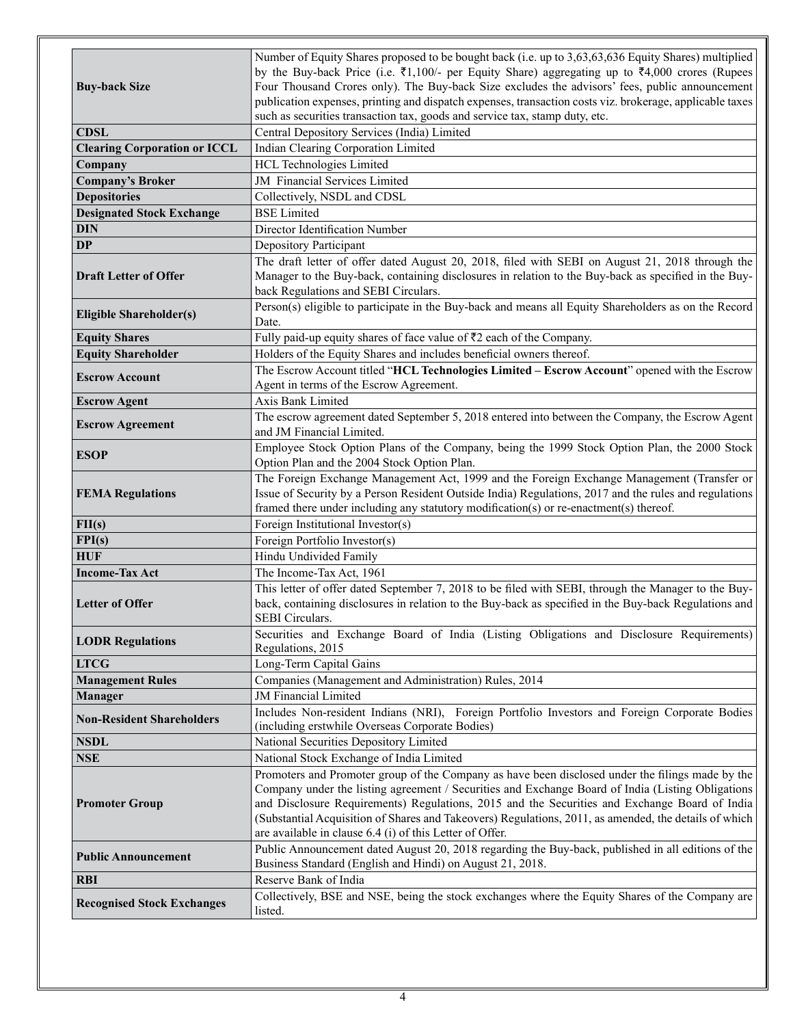|                                     | Number of Equity Shares proposed to be bought back (i.e. up to 3,63,63,636 Equity Shares) multiplied                                                                                            |
|-------------------------------------|-------------------------------------------------------------------------------------------------------------------------------------------------------------------------------------------------|
|                                     | by the Buy-back Price (i.e. $\overline{\xi}1,100/$ - per Equity Share) aggregating up to $\overline{\xi}4,000$ crores (Rupees                                                                   |
| <b>Buy-back Size</b>                | Four Thousand Crores only). The Buy-back Size excludes the advisors' fees, public announcement                                                                                                  |
|                                     | publication expenses, printing and dispatch expenses, transaction costs viz. brokerage, applicable taxes                                                                                        |
|                                     | such as securities transaction tax, goods and service tax, stamp duty, etc.                                                                                                                     |
| <b>CDSL</b>                         | Central Depository Services (India) Limited                                                                                                                                                     |
| <b>Clearing Corporation or ICCL</b> | Indian Clearing Corporation Limited                                                                                                                                                             |
| Company                             | <b>HCL Technologies Limited</b>                                                                                                                                                                 |
| <b>Company's Broker</b>             | JM Financial Services Limited                                                                                                                                                                   |
| <b>Depositories</b>                 | Collectively, NSDL and CDSL                                                                                                                                                                     |
| <b>Designated Stock Exchange</b>    | <b>BSE</b> Limited                                                                                                                                                                              |
| <b>DIN</b>                          | Director Identification Number                                                                                                                                                                  |
| <b>DP</b>                           | Depository Participant                                                                                                                                                                          |
|                                     | The draft letter of offer dated August 20, 2018, filed with SEBI on August 21, 2018 through the                                                                                                 |
| <b>Draft Letter of Offer</b>        | Manager to the Buy-back, containing disclosures in relation to the Buy-back as specified in the Buy-                                                                                            |
|                                     | back Regulations and SEBI Circulars.                                                                                                                                                            |
| <b>Eligible Shareholder(s)</b>      | Person(s) eligible to participate in the Buy-back and means all Equity Shareholders as on the Record                                                                                            |
|                                     | Date.                                                                                                                                                                                           |
| <b>Equity Shares</b>                | Fully paid-up equity shares of face value of $\overline{5}2$ each of the Company.                                                                                                               |
| <b>Equity Shareholder</b>           | Holders of the Equity Shares and includes beneficial owners thereof.                                                                                                                            |
| <b>Escrow Account</b>               | The Escrow Account titled "HCL Technologies Limited - Escrow Account" opened with the Escrow                                                                                                    |
|                                     | Agent in terms of the Escrow Agreement.                                                                                                                                                         |
| <b>Escrow Agent</b>                 | <b>Axis Bank Limited</b>                                                                                                                                                                        |
| <b>Escrow Agreement</b>             | The escrow agreement dated September 5, 2018 entered into between the Company, the Escrow Agent                                                                                                 |
|                                     | and JM Financial Limited.                                                                                                                                                                       |
| ESOP                                | Employee Stock Option Plans of the Company, being the 1999 Stock Option Plan, the 2000 Stock                                                                                                    |
|                                     | Option Plan and the 2004 Stock Option Plan.                                                                                                                                                     |
|                                     | The Foreign Exchange Management Act, 1999 and the Foreign Exchange Management (Transfer or                                                                                                      |
| <b>FEMA Regulations</b>             | Issue of Security by a Person Resident Outside India) Regulations, 2017 and the rules and regulations<br>framed there under including any statutory modification(s) or re-enactment(s) thereof. |
| FI(s)                               | Foreign Institutional Investor(s)                                                                                                                                                               |
| FPI(s)                              | Foreign Portfolio Investor(s)                                                                                                                                                                   |
| <b>HUF</b>                          | Hindu Undivided Family                                                                                                                                                                          |
| <b>Income-Tax Act</b>               | The Income-Tax Act, 1961                                                                                                                                                                        |
|                                     | This letter of offer dated September 7, 2018 to be filed with SEBI, through the Manager to the Buy-                                                                                             |
| <b>Letter of Offer</b>              | back, containing disclosures in relation to the Buy-back as specified in the Buy-back Regulations and                                                                                           |
|                                     | <b>SEBI</b> Circulars.                                                                                                                                                                          |
|                                     | Securities and Exchange Board of India (Listing Obligations and Disclosure Requirements)                                                                                                        |
| <b>LODR Regulations</b>             | Regulations, 2015                                                                                                                                                                               |
| <b>LTCG</b>                         | Long-Term Capital Gains                                                                                                                                                                         |
| <b>Management Rules</b>             | Companies (Management and Administration) Rules, 2014                                                                                                                                           |
| Manager                             | JM Financial Limited                                                                                                                                                                            |
|                                     | Includes Non-resident Indians (NRI), Foreign Portfolio Investors and Foreign Corporate Bodies                                                                                                   |
| <b>Non-Resident Shareholders</b>    | (including erstwhile Overseas Corporate Bodies)                                                                                                                                                 |
| <b>NSDL</b>                         | National Securities Depository Limited                                                                                                                                                          |
| <b>NSE</b>                          | National Stock Exchange of India Limited                                                                                                                                                        |
|                                     | Promoters and Promoter group of the Company as have been disclosed under the filings made by the                                                                                                |
|                                     | Company under the listing agreement / Securities and Exchange Board of India (Listing Obligations                                                                                               |
| <b>Promoter Group</b>               | and Disclosure Requirements) Regulations, 2015 and the Securities and Exchange Board of India                                                                                                   |
|                                     | (Substantial Acquisition of Shares and Takeovers) Regulations, 2011, as amended, the details of which                                                                                           |
|                                     | are available in clause 6.4 (i) of this Letter of Offer.                                                                                                                                        |
| <b>Public Announcement</b>          | Public Announcement dated August 20, 2018 regarding the Buy-back, published in all editions of the                                                                                              |
|                                     | Business Standard (English and Hindi) on August 21, 2018.                                                                                                                                       |
| <b>RBI</b>                          | Reserve Bank of India                                                                                                                                                                           |
| <b>Recognised Stock Exchanges</b>   | Collectively, BSE and NSE, being the stock exchanges where the Equity Shares of the Company are                                                                                                 |
|                                     | listed.                                                                                                                                                                                         |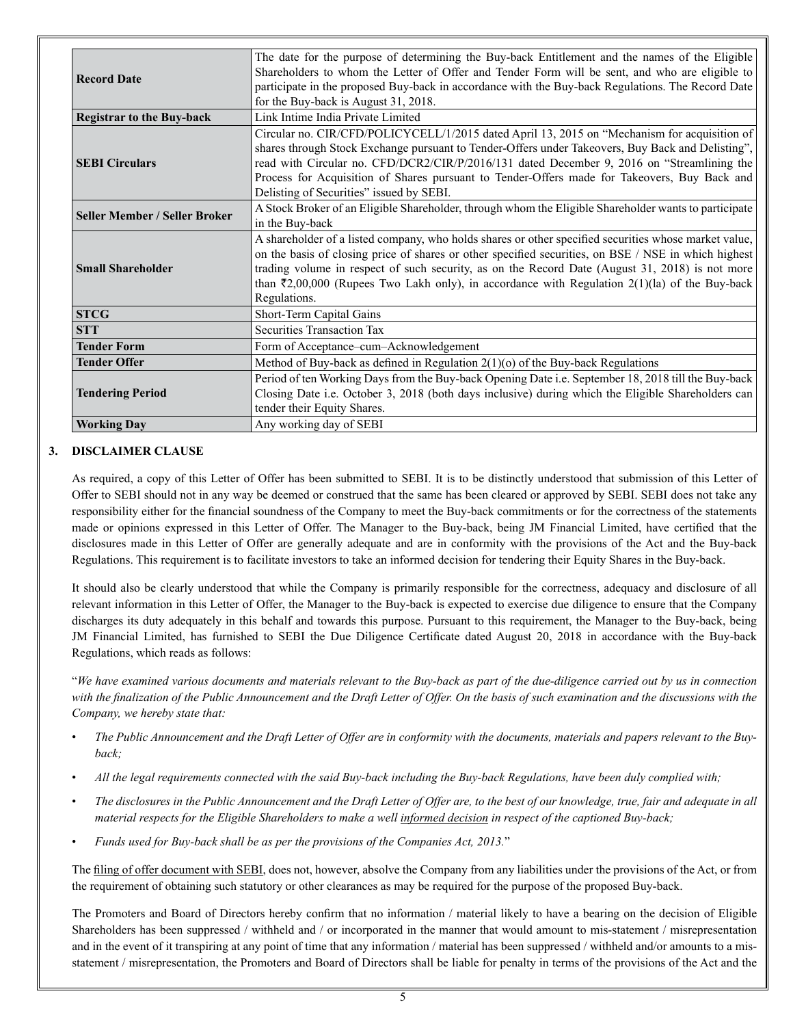| <b>Record Date</b>                   | The date for the purpose of determining the Buy-back Entitlement and the names of the Eligible<br>Shareholders to whom the Letter of Offer and Tender Form will be sent, and who are eligible to<br>participate in the proposed Buy-back in accordance with the Buy-back Regulations. The Record Date<br>for the Buy-back is August 31, 2018.                                                                                                   |
|--------------------------------------|-------------------------------------------------------------------------------------------------------------------------------------------------------------------------------------------------------------------------------------------------------------------------------------------------------------------------------------------------------------------------------------------------------------------------------------------------|
| <b>Registrar to the Buy-back</b>     | Link Intime India Private Limited                                                                                                                                                                                                                                                                                                                                                                                                               |
| <b>SEBI Circulars</b>                | Circular no. CIR/CFD/POLICYCELL/1/2015 dated April 13, 2015 on "Mechanism for acquisition of<br>shares through Stock Exchange pursuant to Tender-Offers under Takeovers, Buy Back and Delisting",<br>read with Circular no. CFD/DCR2/CIR/P/2016/131 dated December 9, 2016 on "Streamlining the<br>Process for Acquisition of Shares pursuant to Tender-Offers made for Takeovers, Buy Back and<br>Delisting of Securities" issued by SEBI.     |
| <b>Seller Member / Seller Broker</b> | A Stock Broker of an Eligible Shareholder, through whom the Eligible Shareholder wants to participate<br>in the Buy-back                                                                                                                                                                                                                                                                                                                        |
| <b>Small Shareholder</b>             | A shareholder of a listed company, who holds shares or other specified securities whose market value,<br>on the basis of closing price of shares or other specified securities, on BSE / NSE in which highest<br>trading volume in respect of such security, as on the Record Date (August 31, 2018) is not more<br>than $\overline{(}2,00,000)$ (Rupees Two Lakh only), in accordance with Regulation 2(1)(la) of the Buy-back<br>Regulations. |
| <b>STCG</b>                          | Short-Term Capital Gains                                                                                                                                                                                                                                                                                                                                                                                                                        |
| <b>STT</b>                           | Securities Transaction Tax                                                                                                                                                                                                                                                                                                                                                                                                                      |
| <b>Tender Form</b>                   | Form of Acceptance-cum-Acknowledgement                                                                                                                                                                                                                                                                                                                                                                                                          |
| <b>Tender Offer</b>                  | Method of Buy-back as defined in Regulation $2(1)(0)$ of the Buy-back Regulations                                                                                                                                                                                                                                                                                                                                                               |
| <b>Tendering Period</b>              | Period of ten Working Days from the Buy-back Opening Date i.e. September 18, 2018 till the Buy-back<br>Closing Date i.e. October 3, 2018 (both days inclusive) during which the Eligible Shareholders can<br>tender their Equity Shares.                                                                                                                                                                                                        |
| <b>Working Day</b>                   | Any working day of SEBI                                                                                                                                                                                                                                                                                                                                                                                                                         |

# **3. DISCLAIMER CLAUSE**

As required, a copy of this Letter of Offer has been submitted to SEBI. It is to be distinctly understood that submission of this Letter of Offer to SEBI should not in any way be deemed or construed that the same has been cleared or approved by SEBI. SEBI does not take any responsibility either for the financial soundness of the Company to meet the Buy-back commitments or for the correctness of the statements made or opinions expressed in this Letter of Offer. The Manager to the Buy-back, being JM Financial Limited, have certified that the disclosures made in this Letter of Offer are generally adequate and are in conformity with the provisions of the Act and the Buy-back Regulations. This requirement is to facilitate investors to take an informed decision for tendering their Equity Shares in the Buy-back.

It should also be clearly understood that while the Company is primarily responsible for the correctness, adequacy and disclosure of all relevant information in this Letter of Offer, the Manager to the Buy-back is expected to exercise due diligence to ensure that the Company discharges its duty adequately in this behalf and towards this purpose. Pursuant to this requirement, the Manager to the Buy-back, being JM Financial Limited, has furnished to SEBI the Due Diligence Certificate dated August 20, 2018 in accordance with the Buy-back Regulations, which reads as follows:

"*We have examined various documents and materials relevant to the Buy-back as part of the due-diligence carried out by us in connection*  with the finalization of the Public Announcement and the Draft Letter of Offer. On the basis of such examination and the discussions with the *Company, we hereby state that:*

- *The Public Announcement and the Draft Letter of Offer are in conformity with the documents, materials and papers relevant to the Buyback;*
- *All the legal requirements connected with the said Buy-back including the Buy-back Regulations, have been duly complied with;*
- *The disclosures in the Public Announcement and the Draft Letter of Offer are, to the best of our knowledge, true, fair and adequate in all material respects for the Eligible Shareholders to make a well informed decision in respect of the captioned Buy-back;*
- *Funds used for Buy-back shall be as per the provisions of the Companies Act, 2013.*"

The filing of offer document with SEBI, does not, however, absolve the Company from any liabilities under the provisions of the Act, or from the requirement of obtaining such statutory or other clearances as may be required for the purpose of the proposed Buy-back.

The Promoters and Board of Directors hereby confirm that no information / material likely to have a bearing on the decision of Eligible Shareholders has been suppressed / withheld and / or incorporated in the manner that would amount to mis-statement / misrepresentation and in the event of it transpiring at any point of time that any information / material has been suppressed / withheld and/or amounts to a misstatement / misrepresentation, the Promoters and Board of Directors shall be liable for penalty in terms of the provisions of the Act and the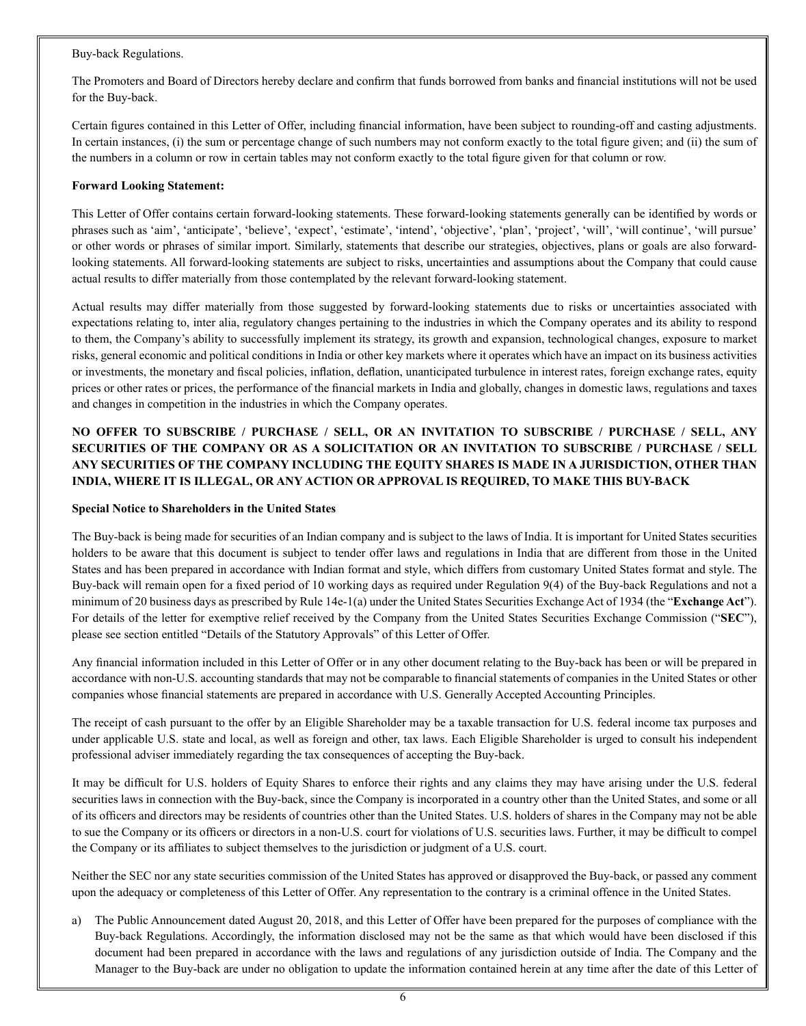#### Buy-back Regulations.

The Promoters and Board of Directors hereby declare and confirm that funds borrowed from banks and financial institutions will not be used for the Buy-back.

Certain figures contained in this Letter of Offer, including financial information, have been subject to rounding-off and casting adjustments. In certain instances, (i) the sum or percentage change of such numbers may not conform exactly to the total figure given; and (ii) the sum of the numbers in a column or row in certain tables may not conform exactly to the total figure given for that column or row.

## **Forward Looking Statement:**

This Letter of Offer contains certain forward-looking statements. These forward-looking statements generally can be identified by words or phrases such as 'aim', 'anticipate', 'believe', 'expect', 'estimate', 'intend', 'objective', 'plan', 'project', 'will', 'will continue', 'will pursue' or other words or phrases of similar import. Similarly, statements that describe our strategies, objectives, plans or goals are also forwardlooking statements. All forward-looking statements are subject to risks, uncertainties and assumptions about the Company that could cause actual results to differ materially from those contemplated by the relevant forward-looking statement.

Actual results may differ materially from those suggested by forward-looking statements due to risks or uncertainties associated with expectations relating to, inter alia, regulatory changes pertaining to the industries in which the Company operates and its ability to respond to them, the Company's ability to successfully implement its strategy, its growth and expansion, technological changes, exposure to market risks, general economic and political conditions in India or other key markets where it operates which have an impact on its business activities or investments, the monetary and fiscal policies, inflation, deflation, unanticipated turbulence in interest rates, foreign exchange rates, equity prices or other rates or prices, the performance of the financial markets in India and globally, changes in domestic laws, regulations and taxes and changes in competition in the industries in which the Company operates.

# **NO OFFER TO SUBSCRIBE / PURCHASE / SELL, OR AN INVITATION TO SUBSCRIBE / PURCHASE / SELL, ANY SECURITIES OF THE COMPANY OR AS A SOLICITATION OR AN INVITATION TO SUBSCRIBE / PURCHASE / SELL ANY SECURITIES OF THE COMPANY INCLUDING THE EQUITY SHARES IS MADE IN A JURISDICTION, OTHER THAN INDIA, WHERE IT IS ILLEGAL, OR ANY ACTION OR APPROVAL IS REQUIRED, TO MAKE THIS BUY-BACK**

# **Special Notice to Shareholders in the United States**

The Buy-back is being made for securities of an Indian company and is subject to the laws of India. It is important for United States securities holders to be aware that this document is subject to tender offer laws and regulations in India that are different from those in the United States and has been prepared in accordance with Indian format and style, which differs from customary United States format and style. The Buy-back will remain open for a fixed period of 10 working days as required under Regulation 9(4) of the Buy-back Regulations and not a minimum of 20 business days as prescribed by Rule 14e-1(a) under the United States Securities Exchange Act of 1934 (the "**Exchange Act**"). For details of the letter for exemptive relief received by the Company from the United States Securities Exchange Commission ("**SEC**"), please see section entitled "Details of the Statutory Approvals" of this Letter of Offer.

Any financial information included in this Letter of Offer or in any other document relating to the Buy-back has been or will be prepared in accordance with non-U.S. accounting standards that may not be comparable to financial statements of companies in the United States or other companies whose financial statements are prepared in accordance with U.S. Generally Accepted Accounting Principles.

The receipt of cash pursuant to the offer by an Eligible Shareholder may be a taxable transaction for U.S. federal income tax purposes and under applicable U.S. state and local, as well as foreign and other, tax laws. Each Eligible Shareholder is urged to consult his independent professional adviser immediately regarding the tax consequences of accepting the Buy-back.

It may be difficult for U.S. holders of Equity Shares to enforce their rights and any claims they may have arising under the U.S. federal securities laws in connection with the Buy-back, since the Company is incorporated in a country other than the United States, and some or all of its officers and directors may be residents of countries other than the United States. U.S. holders of shares in the Company may not be able to sue the Company or its officers or directors in a non-U.S. court for violations of U.S. securities laws. Further, it may be difficult to compel the Company or its affiliates to subject themselves to the jurisdiction or judgment of a U.S. court.

Neither the SEC nor any state securities commission of the United States has approved or disapproved the Buy-back, or passed any comment upon the adequacy or completeness of this Letter of Offer. Any representation to the contrary is a criminal offence in the United States.

a) The Public Announcement dated August 20, 2018, and this Letter of Offer have been prepared for the purposes of compliance with the Buy-back Regulations. Accordingly, the information disclosed may not be the same as that which would have been disclosed if this document had been prepared in accordance with the laws and regulations of any jurisdiction outside of India. The Company and the Manager to the Buy-back are under no obligation to update the information contained herein at any time after the date of this Letter of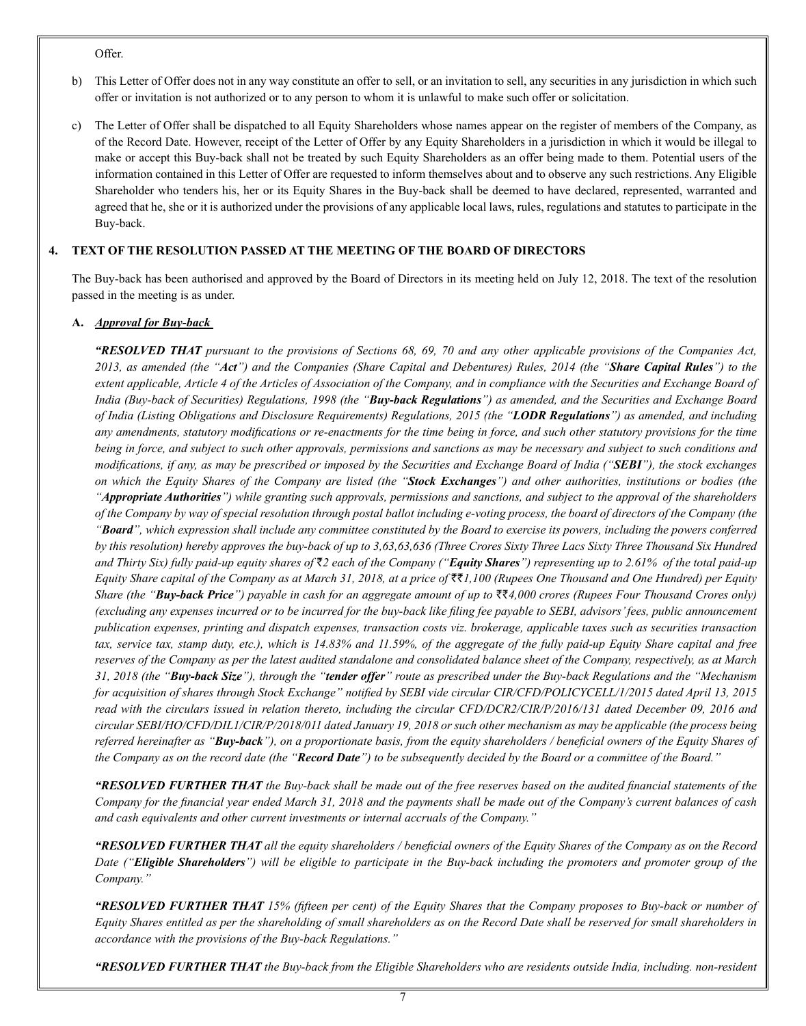Offer.

- b) This Letter of Offer does not in any way constitute an offer to sell, or an invitation to sell, any securities in any jurisdiction in which such offer or invitation is not authorized or to any person to whom it is unlawful to make such offer or solicitation.
- c) The Letter of Offer shall be dispatched to all Equity Shareholders whose names appear on the register of members of the Company, as of the Record Date. However, receipt of the Letter of Offer by any Equity Shareholders in a jurisdiction in which it would be illegal to make or accept this Buy-back shall not be treated by such Equity Shareholders as an offer being made to them. Potential users of the information contained in this Letter of Offer are requested to inform themselves about and to observe any such restrictions. Any Eligible Shareholder who tenders his, her or its Equity Shares in the Buy-back shall be deemed to have declared, represented, warranted and agreed that he, she or it is authorized under the provisions of any applicable local laws, rules, regulations and statutes to participate in the Buy-back.

# **4. TEXT OF THE RESOLUTION PASSED AT THE MEETING OF THE BOARD OF DIRECTORS**

The Buy-back has been authorised and approved by the Board of Directors in its meeting held on July 12, 2018. The text of the resolution passed in the meeting is as under.

# **A.** *Approval for Buy-back*

*"RESOLVED THAT pursuant to the provisions of Sections 68, 69, 70 and any other applicable provisions of the Companies Act, 2013, as amended (the "Act") and the Companies (Share Capital and Debentures) Rules, 2014 (the "Share Capital Rules") to the extent applicable, Article 4 of the Articles of Association of the Company, and in compliance with the Securities and Exchange Board of India (Buy-back of Securities) Regulations, 1998 (the "Buy-back Regulations") as amended, and the Securities and Exchange Board of India (Listing Obligations and Disclosure Requirements) Regulations, 2015 (the "LODR Regulations") as amended, and including any amendments, statutory modifications or re-enactments for the time being in force, and such other statutory provisions for the time being in force, and subject to such other approvals, permissions and sanctions as may be necessary and subject to such conditions and modifications, if any, as may be prescribed or imposed by the Securities and Exchange Board of India ("SEBI"), the stock exchanges on which the Equity Shares of the Company are listed (the "Stock Exchanges") and other authorities, institutions or bodies (the "Appropriate Authorities") while granting such approvals, permissions and sanctions, and subject to the approval of the shareholders of the Company by way of special resolution through postal ballot including e-voting process, the board of directors of the Company (the "Board", which expression shall include any committee constituted by the Board to exercise its powers, including the powers conferred by this resolution) hereby approves the buy-back of up to 3,63,63,636 (Three Crores Sixty Three Lacs Sixty Three Thousand Six Hundred*  and Thirty Six) fully paid-up equity shares of  $\bar{x}$ 2 each of the Company ("**Equity Shares**") representing up to 2.61% of the total paid-up *Equity Share capital of the Company as at March 31, 2018, at a price of* ``*1,100 (Rupees One Thousand and One Hundred) per Equity Share (the "Buy-back Price") payable in cash for an aggregate amount of up to ₹₹4,000 crores (Rupees Four Thousand Crores only) (excluding any expenses incurred or to be incurred for the buy-back like filing fee payable to SEBI, advisors' fees, public announcement publication expenses, printing and dispatch expenses, transaction costs viz. brokerage, applicable taxes such as securities transaction tax, service tax, stamp duty, etc.), which is 14.83% and 11.59%, of the aggregate of the fully paid-up Equity Share capital and free reserves of the Company as per the latest audited standalone and consolidated balance sheet of the Company, respectively, as at March 31, 2018 (the "Buy-back Size"), through the "tender offer" route as prescribed under the Buy-back Regulations and the "Mechanism for acquisition of shares through Stock Exchange" notified by SEBI vide circular CIR/CFD/POLICYCELL/1/2015 dated April 13, 2015 read with the circulars issued in relation thereto, including the circular CFD/DCR2/CIR/P/2016/131 dated December 09, 2016 and circular SEBI/HO/CFD/DIL1/CIR/P/2018/011 dated January 19, 2018 or such other mechanism as may be applicable (the process being referred hereinafter as "Buy-back"), on a proportionate basis, from the equity shareholders / beneficial owners of the Equity Shares of the Company as on the record date (the "Record Date") to be subsequently decided by the Board or a committee of the Board."*

*"RESOLVED FURTHER THAT the Buy-back shall be made out of the free reserves based on the audited financial statements of the Company for the financial year ended March 31, 2018 and the payments shall be made out of the Company's current balances of cash and cash equivalents and other current investments or internal accruals of the Company."* 

*"RESOLVED FURTHER THAT all the equity shareholders / beneficial owners of the Equity Shares of the Company as on the Record Date ("Eligible Shareholders") will be eligible to participate in the Buy-back including the promoters and promoter group of the Company."* 

*"RESOLVED FURTHER THAT 15% (fifteen per cent) of the Equity Shares that the Company proposes to Buy-back or number of Equity Shares entitled as per the shareholding of small shareholders as on the Record Date shall be reserved for small shareholders in accordance with the provisions of the Buy-back Regulations."* 

*"RESOLVED FURTHER THAT the Buy-back from the Eligible Shareholders who are residents outside India, including. non-resident*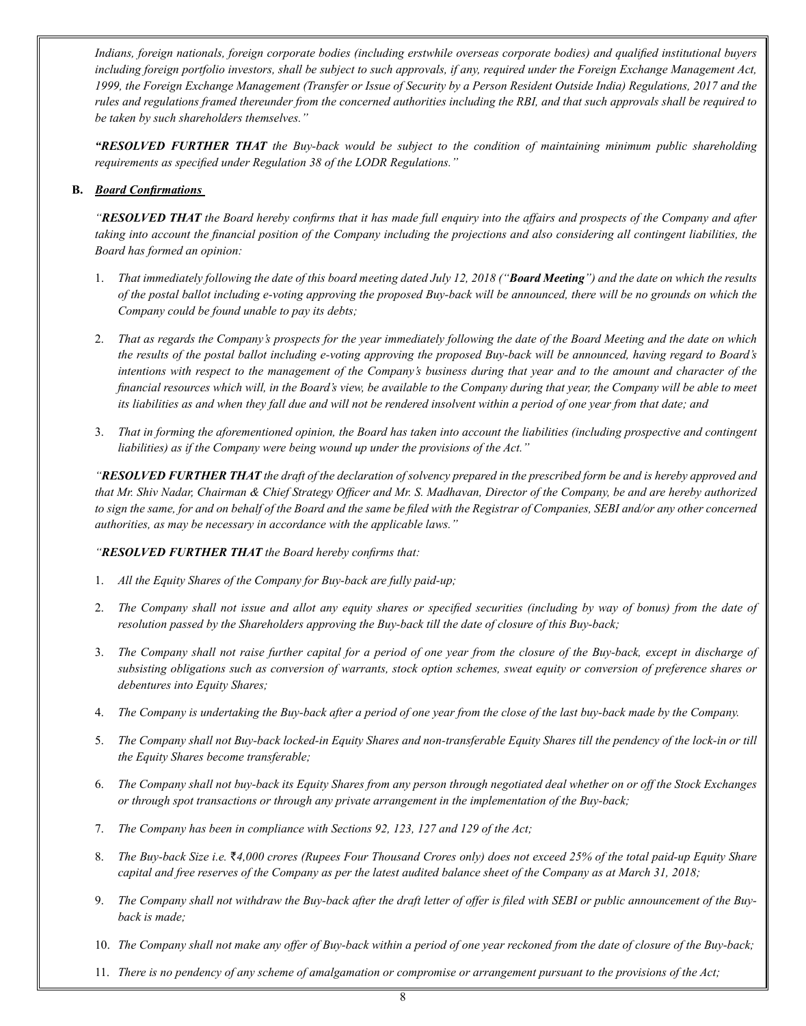*Indians, foreign nationals, foreign corporate bodies (including erstwhile overseas corporate bodies) and qualified institutional buyers including foreign portfolio investors, shall be subject to such approvals, if any, required under the Foreign Exchange Management Act, 1999, the Foreign Exchange Management (Transfer or Issue of Security by a Person Resident Outside India) Regulations, 2017 and the rules and regulations framed thereunder from the concerned authorities including the RBI, and that such approvals shall be required to be taken by such shareholders themselves."*

*"RESOLVED FURTHER THAT the Buy-back would be subject to the condition of maintaining minimum public shareholding requirements as specified under Regulation 38 of the LODR Regulations."*

## **B.** *Board Confirmations*

"RESOLVED THAT the Board hereby confirms that it has made full enquiry into the affairs and prospects of the Company and after taking into account the financial position of the Company including the projections and also considering all contingent liabilities, the *Board has formed an opinion:* 

- 1. That immediately following the date of this board meeting dated July 12, 2018 ("Board Meeting") and the date on which the results of the postal ballot including e-voting approving the proposed Buy-back will be announced, there will be no grounds on which the *Company could be found unable to pay its debts;*
- 2. *That as regards the Company's prospects for the year immediately following the date of the Board Meeting and the date on which the results of the postal ballot including e-voting approving the proposed Buy-back will be announced, having regard to Board's intentions with respect to the management of the Company's business during that year and to the amount and character of the financial resources which will, in the Board's view, be available to the Company during that year, the Company will be able to meet its liabilities as and when they fall due and will not be rendered insolvent within a period of one year from that date; and*
- 3. *That in forming the aforementioned opinion, the Board has taken into account the liabilities (including prospective and contingent liabilities) as if the Company were being wound up under the provisions of the Act."*

*"RESOLVED FURTHER THAT the draft of the declaration of solvency prepared in the prescribed form be and is hereby approved and that Mr. Shiv Nadar, Chairman & Chief Strategy Officer and Mr. S. Madhavan, Director of the Company, be and are hereby authorized to sign the same, for and on behalf of the Board and the same be filed with the Registrar of Companies, SEBI and/or any other concerned authorities, as may be necessary in accordance with the applicable laws."*

#### *"RESOLVED FURTHER THAT the Board hereby confirms that:*

- 1. *All the Equity Shares of the Company for Buy-back are fully paid-up;*
- 2. *The Company shall not issue and allot any equity shares or specified securities (including by way of bonus) from the date of resolution passed by the Shareholders approving the Buy-back till the date of closure of this Buy-back;*
- 3. *The Company shall not raise further capital for a period of one year from the closure of the Buy-back, except in discharge of subsisting obligations such as conversion of warrants, stock option schemes, sweat equity or conversion of preference shares or debentures into Equity Shares;*
- 4. *The Company is undertaking the Buy-back after a period of one year from the close of the last buy-back made by the Company.*
- 5. *The Company shall not Buy-back locked-in Equity Shares and non-transferable Equity Shares till the pendency of the lock-in or till the Equity Shares become transferable;*
- 6. *The Company shall not buy-back its Equity Shares from any person through negotiated deal whether on or off the Stock Exchanges or through spot transactions or through any private arrangement in the implementation of the Buy-back;*
- 7. *The Company has been in compliance with Sections 92, 123, 127 and 129 of the Act;*
- 8. The Buy-back Size i.e.  $\bar{\xi}$ 4,000 crores (Rupees Four Thousand Crores only) does not exceed 25% of the total paid-up Equity Share *capital and free reserves of the Company as per the latest audited balance sheet of the Company as at March 31, 2018;*
- 9. *The Company shall not withdraw the Buy-back after the draft letter of offer is filed with SEBI or public announcement of the Buyback is made;*
- 10. *The Company shall not make any offer of Buy-back within a period of one year reckoned from the date of closure of the Buy-back;*
- 11. *There is no pendency of any scheme of amalgamation or compromise or arrangement pursuant to the provisions of the Act;*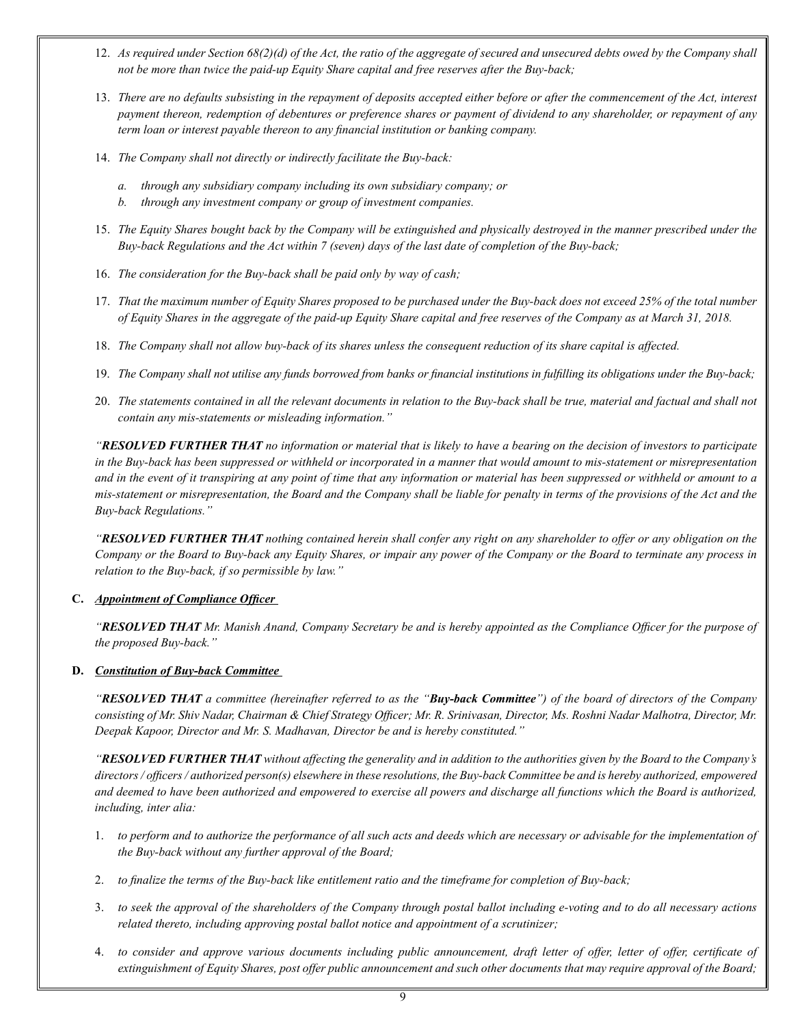- 12. *As required under Section 68(2)(d) of the Act, the ratio of the aggregate of secured and unsecured debts owed by the Company shall not be more than twice the paid-up Equity Share capital and free reserves after the Buy-back;*
- 13. *There are no defaults subsisting in the repayment of deposits accepted either before or after the commencement of the Act, interest payment thereon, redemption of debentures or preference shares or payment of dividend to any shareholder, or repayment of any term loan or interest payable thereon to any financial institution or banking company.*
- 14. *The Company shall not directly or indirectly facilitate the Buy-back:* 
	- *a. through any subsidiary company including its own subsidiary company; or*
	- *b. through any investment company or group of investment companies.*
- 15. *The Equity Shares bought back by the Company will be extinguished and physically destroyed in the manner prescribed under the Buy-back Regulations and the Act within 7 (seven) days of the last date of completion of the Buy-back;*
- 16. *The consideration for the Buy-back shall be paid only by way of cash;*
- 17. *That the maximum number of Equity Shares proposed to be purchased under the Buy-back does not exceed 25% of the total number of Equity Shares in the aggregate of the paid-up Equity Share capital and free reserves of the Company as at March 31, 2018.*
- 18. *The Company shall not allow buy-back of its shares unless the consequent reduction of its share capital is affected.*
- 19. *The Company shall not utilise any funds borrowed from banks or financial institutions in fulfilling its obligations under the Buy-back;*
- 20. *The statements contained in all the relevant documents in relation to the Buy-back shall be true, material and factual and shall not contain any mis-statements or misleading information."*

*"RESOLVED FURTHER THAT no information or material that is likely to have a bearing on the decision of investors to participate in the Buy-back has been suppressed or withheld or incorporated in a manner that would amount to mis-statement or misrepresentation and in the event of it transpiring at any point of time that any information or material has been suppressed or withheld or amount to a mis-statement or misrepresentation, the Board and the Company shall be liable for penalty in terms of the provisions of the Act and the Buy-back Regulations."* 

*"RESOLVED FURTHER THAT nothing contained herein shall confer any right on any shareholder to offer or any obligation on the Company or the Board to Buy-back any Equity Shares, or impair any power of the Company or the Board to terminate any process in relation to the Buy-back, if so permissible by law."*

# **C.** *Appointment of Compliance Officer*

"RESOLVED THAT Mr. Manish Anand, Company Secretary be and is hereby appointed as the Compliance Officer for the purpose of *the proposed Buy-back."* 

# **D.** *Constitution of Buy-back Committee*

"RESOLVED THAT a committee (hereinafter referred to as the "Buy-back Committee") of the board of directors of the Company consisting of Mr. Shiv Nadar, Chairman & Chief Strategy Officer; Mr. R. Srinivasan, Director, Ms. Roshni Nadar Malhotra, Director, Mr. *Deepak Kapoor, Director and Mr. S. Madhavan, Director be and is hereby constituted."* 

"RESOLVED FURTHER THAT without affecting the generality and in addition to the authorities given by the Board to the Company's directors / officers / authorized person(s) elsewhere in these resolutions, the Buy-back Committee be and is hereby authorized, empowered and deemed to have been authorized and empowered to exercise all powers and discharge all functions which the Board is authorized, *including, inter alia:* 

- 1. to perform and to authorize the performance of all such acts and deeds which are necessary or advisable for the implementation of *the Buy-back without any further approval of the Board;*
- 2. to finalize the terms of the Buy-back like entitlement ratio and the timeframe for completion of Buy-back;
- 3. to seek the approval of the shareholders of the Company through postal ballot including e-voting and to do all necessary actions *related thereto, including approving postal ballot notice and appointment of a scrutinizer;*
- 4. to consider and approve various documents including public announcement, draft letter of offer, letter of offer, certificate of extinguishment of Equity Shares, post offer public announcement and such other documents that may require approval of the Board;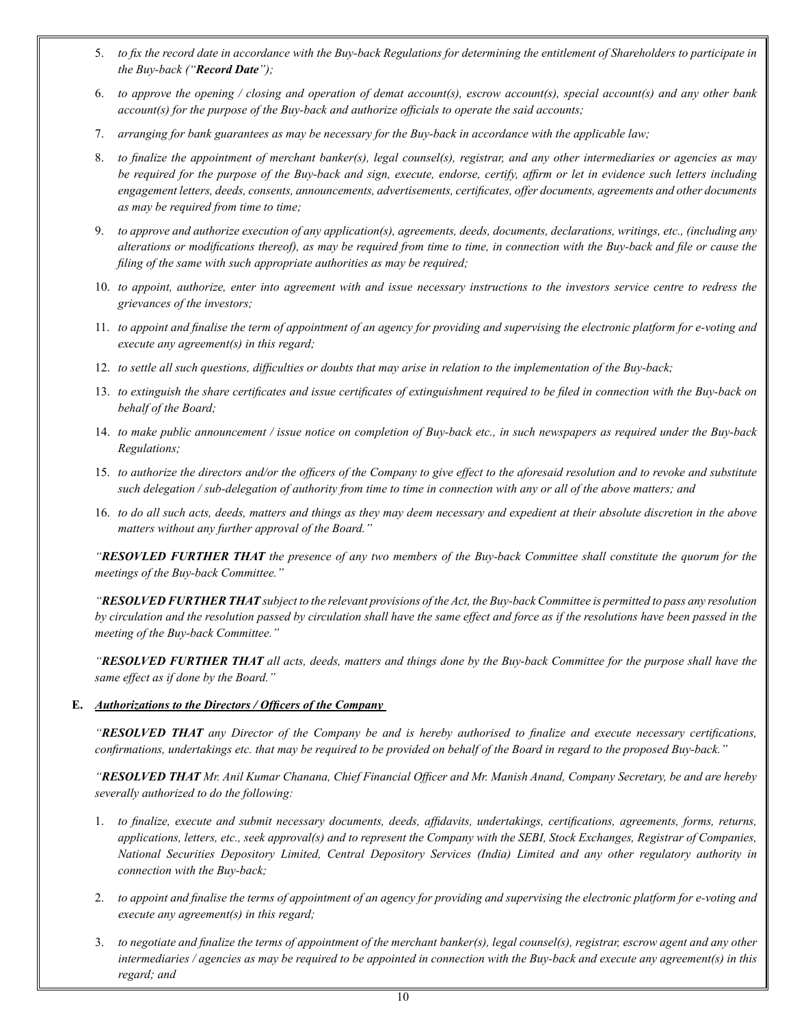- 5. to fix the record date in accordance with the Buy-back Regulations for determining the entitlement of Shareholders to participate in *the Buy-back ("Record Date");*
- 6. to approve the opening / closing and operation of demat account(s), escrow account(s), special account(s) and any other bank *account(s) for the purpose of the Buy-back and authorize officials to operate the said accounts;*
- 7. *arranging for bank guarantees as may be necessary for the Buy-back in accordance with the applicable law;*
- 8. *to finalize the appointment of merchant banker(s), legal counsel(s), registrar, and any other intermediaries or agencies as may be required for the purpose of the Buy-back and sign, execute, endorse, certify, affirm or let in evidence such letters including engagement letters, deeds, consents, announcements, advertisements, certificates, offer documents, agreements and other documents as may be required from time to time;*
- 9. *to approve and authorize execution of any application(s), agreements, deeds, documents, declarations, writings, etc., (including any alterations or modifications thereof), as may be required from time to time, in connection with the Buy-back and file or cause the filing of the same with such appropriate authorities as may be required;*
- 10. *to appoint, authorize, enter into agreement with and issue necessary instructions to the investors service centre to redress the grievances of the investors;*
- 11. *to appoint and finalise the term of appointment of an agency for providing and supervising the electronic platform for e-voting and execute any agreement(s) in this regard;*
- 12. *to settle all such questions, difficulties or doubts that may arise in relation to the implementation of the Buy-back;*
- 13. *to extinguish the share certificates and issue certificates of extinguishment required to be filed in connection with the Buy-back on behalf of the Board;*
- 14. *to make public announcement / issue notice on completion of Buy-back etc., in such newspapers as required under the Buy-back Regulations;*
- 15. *to authorize the directors and/or the officers of the Company to give effect to the aforesaid resolution and to revoke and substitute such delegation / sub-delegation of authority from time to time in connection with any or all of the above matters; and*
- 16. *to do all such acts, deeds, matters and things as they may deem necessary and expedient at their absolute discretion in the above matters without any further approval of the Board."*

*"RESOVLED FURTHER THAT the presence of any two members of the Buy-back Committee shall constitute the quorum for the meetings of the Buy-back Committee."* 

*"RESOLVED FURTHER THAT subject to the relevant provisions of the Act, the Buy-back Committee is permitted to pass any resolution by circulation and the resolution passed by circulation shall have the same effect and force as if the resolutions have been passed in the meeting of the Buy-back Committee."* 

*"RESOLVED FURTHER THAT all acts, deeds, matters and things done by the Buy-back Committee for the purpose shall have the same effect as if done by the Board."*

# **E.** *Authorizations to the Directors / Officers of the Company*

"RESOLVED THAT any Director of the Company be and is hereby authorised to finalize and execute necessary certifications, confirmations, undertakings etc. that may be required to be provided on behalf of the Board in regard to the proposed Buy-back."

"RESOLVED THAT Mr. Anil Kumar Chanana, Chief Financial Officer and Mr. Manish Anand, Company Secretary, be and are hereby *severally authorized to do the following:* 

- 1. *to finalize, execute and submit necessary documents, deeds, affidavits, undertakings, certifications, agreements, forms, returns,*  applications, letters, etc., seek approval(s) and to represent the Company with the SEBI, Stock Exchanges, Registrar of Companies, National Securities Depository Limited, Central Depository Services (India) Limited and any other regulatory authority in *connection with the Buy-back;*
- 2. to appoint and finalise the terms of appointment of an agency for providing and supervising the electronic platform for e-voting and *execute any agreement(s) in this regard;*
- 3. to negotiate and finalize the terms of appointment of the merchant banker(s), legal counsel(s), registrar, escrow agent and any other intermediaries / agencies as may be required to be appointed in connection with the Buy-back and execute any agreement(s) in this *regard; and*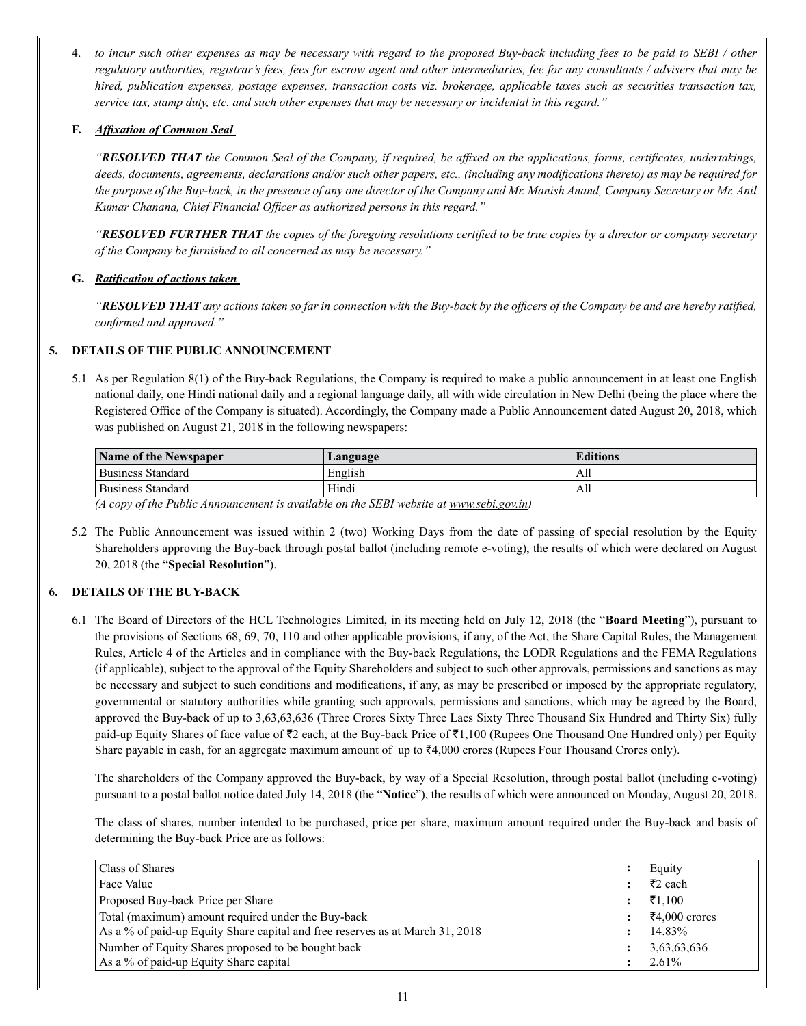4. *to incur such other expenses as may be necessary with regard to the proposed Buy-back including fees to be paid to SEBI / other regulatory authorities, registrar's fees, fees for escrow agent and other intermediaries, fee for any consultants / advisers that may be hired, publication expenses, postage expenses, transaction costs viz. brokerage, applicable taxes such as securities transaction tax, service tax, stamp duty, etc. and such other expenses that may be necessary or incidental in this regard."* 

# **F.** *Affixation of Common Seal*

"RESOLVED THAT the Common Seal of the Company, if required, be affixed on the applications, forms, certificates, undertakings, deeds, documents, agreements, declarations and/or such other papers, etc., (including any modifications thereto) as may be required for the purpose of the Buy-back, in the presence of any one director of the Company and Mr. Manish Anand, Company Secretary or Mr. Anil *Kumar Chanana, Chief Financial Officer as authorized persons in this regard."* 

*"RESOLVED FURTHER THAT the copies of the foregoing resolutions certified to be true copies by a director or company secretary of the Company be furnished to all concerned as may be necessary."*

# **G.** *Ratification of actions taken*

*"RESOLVED THAT any actions taken so far in connection with the Buy-back by the officers of the Company be and are hereby ratified, confirmed and approved."*

# **5. DETAILS OF THE PUBLIC ANNOUNCEMENT**

5.1 As per Regulation 8(1) of the Buy-back Regulations, the Company is required to make a public announcement in at least one English national daily, one Hindi national daily and a regional language daily, all with wide circulation in New Delhi (being the place where the Registered Office of the Company is situated). Accordingly, the Company made a Public Announcement dated August 20, 2018, which was published on August 21, 2018 in the following newspapers:

| <b>Name of the Newspaper</b> | Language | <b>Editions</b> |
|------------------------------|----------|-----------------|
| <b>Business Standard</b>     | English  | All             |
| <b>Business Standard</b>     | Hindi    | All             |

*(A copy of the Public Announcement is available on the SEBI website at www.sebi.gov.in)* 

5.2 The Public Announcement was issued within 2 (two) Working Days from the date of passing of special resolution by the Equity Shareholders approving the Buy-back through postal ballot (including remote e-voting), the results of which were declared on August 20, 2018 (the "**Special Resolution**").

# **6. DETAILS OF THE BUY-BACK**

6.1 The Board of Directors of the HCL Technologies Limited, in its meeting held on July 12, 2018 (the "**Board Meeting**"), pursuant to the provisions of Sections 68, 69, 70, 110 and other applicable provisions, if any, of the Act, the Share Capital Rules, the Management Rules, Article 4 of the Articles and in compliance with the Buy-back Regulations, the LODR Regulations and the FEMA Regulations (if applicable), subject to the approval of the Equity Shareholders and subject to such other approvals, permissions and sanctions as may be necessary and subject to such conditions and modifications, if any, as may be prescribed or imposed by the appropriate regulatory, governmental or statutory authorities while granting such approvals, permissions and sanctions, which may be agreed by the Board, approved the Buy-back of up to 3,63,63,636 (Three Crores Sixty Three Lacs Sixty Three Thousand Six Hundred and Thirty Six) fully paid-up Equity Shares of face value of  $\bar{\tau}2$  each, at the Buy-back Price of  $\bar{\tau}1,100$  (Rupees One Thousand One Hundred only) per Equity Share payable in cash, for an aggregate maximum amount of up to  $\overline{4}4,000$  crores (Rupees Four Thousand Crores only).

The shareholders of the Company approved the Buy-back, by way of a Special Resolution, through postal ballot (including e-voting) pursuant to a postal ballot notice dated July 14, 2018 (the "**Notice**"), the results of which were announced on Monday, August 20, 2018.

The class of shares, number intended to be purchased, price per share, maximum amount required under the Buy-back and basis of determining the Buy-back Price are as follows:

| Class of Shares                                                               | Equity        |
|-------------------------------------------------------------------------------|---------------|
| Face Value                                                                    | ₹2 each       |
| Proposed Buy-back Price per Share                                             | ₹1,100        |
| Total (maximum) amount required under the Buy-back                            | ₹4,000 crores |
| As a % of paid-up Equity Share capital and free reserves as at March 31, 2018 | 14.83%        |
| Number of Equity Shares proposed to be bought back                            | 3,63,63,636   |
| As a % of paid-up Equity Share capital                                        | $2.61\%$      |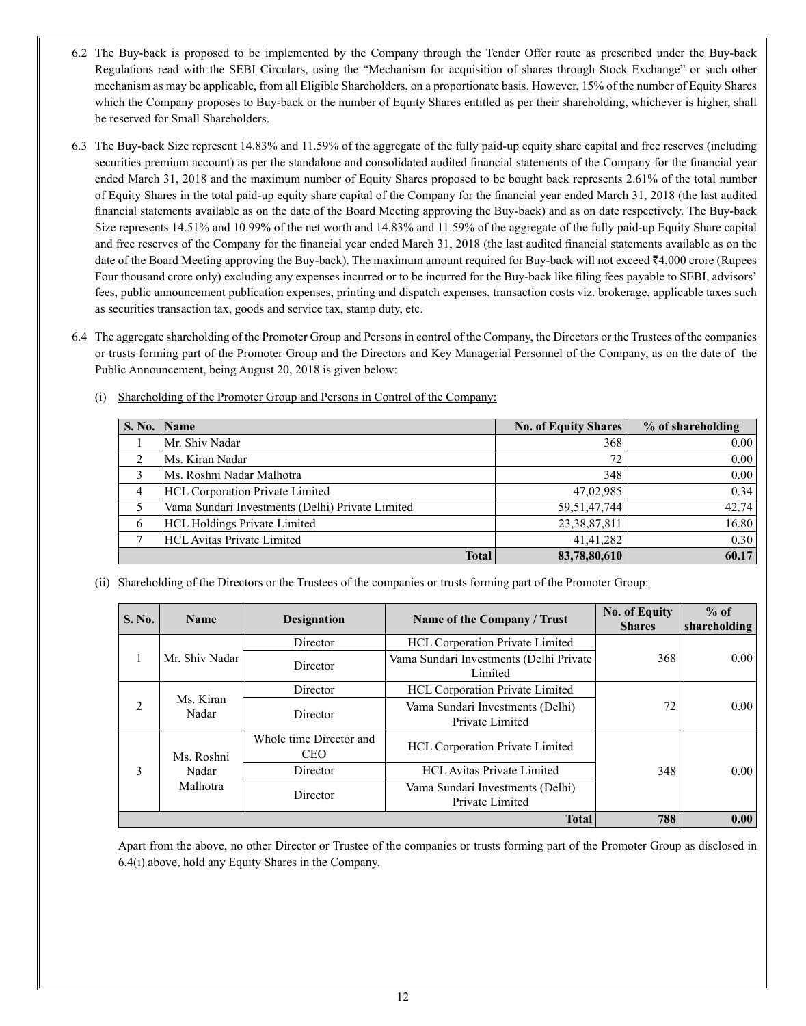- 6.2 The Buy-back is proposed to be implemented by the Company through the Tender Offer route as prescribed under the Buy-back Regulations read with the SEBI Circulars, using the "Mechanism for acquisition of shares through Stock Exchange" or such other mechanism as may be applicable, from all Eligible Shareholders, on a proportionate basis. However, 15% of the number of Equity Shares which the Company proposes to Buy-back or the number of Equity Shares entitled as per their shareholding, whichever is higher, shall be reserved for Small Shareholders.
- 6.3 The Buy-back Size represent 14.83% and 11.59% of the aggregate of the fully paid-up equity share capital and free reserves (including securities premium account) as per the standalone and consolidated audited financial statements of the Company for the financial year ended March 31, 2018 and the maximum number of Equity Shares proposed to be bought back represents 2.61% of the total number of Equity Shares in the total paid-up equity share capital of the Company for the financial year ended March 31, 2018 (the last audited financial statements available as on the date of the Board Meeting approving the Buy-back) and as on date respectively. The Buy-back Size represents 14.51% and 10.99% of the net worth and 14.83% and 11.59% of the aggregate of the fully paid-up Equity Share capital and free reserves of the Company for the financial year ended March 31, 2018 (the last audited financial statements available as on the date of the Board Meeting approving the Buy-back). The maximum amount required for Buy-back will not exceed  $\bar{\bar{\tau}}4,000$  crore (Rupees Four thousand crore only) excluding any expenses incurred or to be incurred for the Buy-back like filing fees payable to SEBI, advisors' fees, public announcement publication expenses, printing and dispatch expenses, transaction costs viz. brokerage, applicable taxes such as securities transaction tax, goods and service tax, stamp duty, etc.
- 6.4 The aggregate shareholding of the Promoter Group and Persons in control of the Company, the Directors or the Trustees of the companies or trusts forming part of the Promoter Group and the Directors and Key Managerial Personnel of the Company, as on the date of the Public Announcement, being August 20, 2018 is given below:
	- (i) Shareholding of the Promoter Group and Persons in Control of the Company:

| S. No. | $\blacksquare$ Name                              | <b>No. of Equity Shares</b> | % of shareholding |
|--------|--------------------------------------------------|-----------------------------|-------------------|
|        | Mr. Shiv Nadar                                   | 368                         | 0.00              |
| ↑      | Ms. Kiran Nadar                                  | 72                          | 0.00              |
|        | Ms. Roshni Nadar Malhotra                        | 348                         | 0.00              |
| 4      | <b>HCL Corporation Private Limited</b>           | 47,02,985                   | 0.34              |
|        | Vama Sundari Investments (Delhi) Private Limited | 59, 51, 47, 744             | 42.74             |
| 6      | <b>HCL Holdings Private Limited</b>              | 23,38,87,811                | 16.80             |
|        | <b>HCL Avitas Private Limited</b>                | 41.41.282                   | 0.30              |
|        | <b>Total</b>                                     | 83,78,80,610                | 60.17             |

(ii) Shareholding of the Directors or the Trustees of the companies or trusts forming part of the Promoter Group:

| S. No. | <b>Designation</b><br>Name of the Company / Trust<br><b>Name</b> |                                       | <b>No. of Equity</b><br><b>Shares</b>               | $%$ of<br>shareholding |      |
|--------|------------------------------------------------------------------|---------------------------------------|-----------------------------------------------------|------------------------|------|
|        |                                                                  | Director                              | HCL Corporation Private Limited                     |                        |      |
|        | Mr. Shiv Nadar                                                   | Director                              | Vama Sundari Investments (Delhi Private<br>Limited  | 368                    | 0.00 |
|        |                                                                  | Director                              | <b>HCL Corporation Private Limited</b>              |                        |      |
| 2      | Ms. Kiran<br>Nadar                                               | Director                              | Vama Sundari Investments (Delhi)<br>Private Limited | 72                     | 0.00 |
|        | Ms. Roshni                                                       | Whole time Director and<br><b>CEO</b> | <b>HCL Corporation Private Limited</b>              |                        |      |
| 3      | Nadar<br>Malhotra                                                | Director                              | HCL Avitas Private Limited                          | 348                    | 0.00 |
|        |                                                                  | Director                              | Vama Sundari Investments (Delhi)<br>Private Limited |                        |      |
|        |                                                                  |                                       | <b>Total</b>                                        | 788                    | 0.00 |

Apart from the above, no other Director or Trustee of the companies or trusts forming part of the Promoter Group as disclosed in 6.4(i) above, hold any Equity Shares in the Company.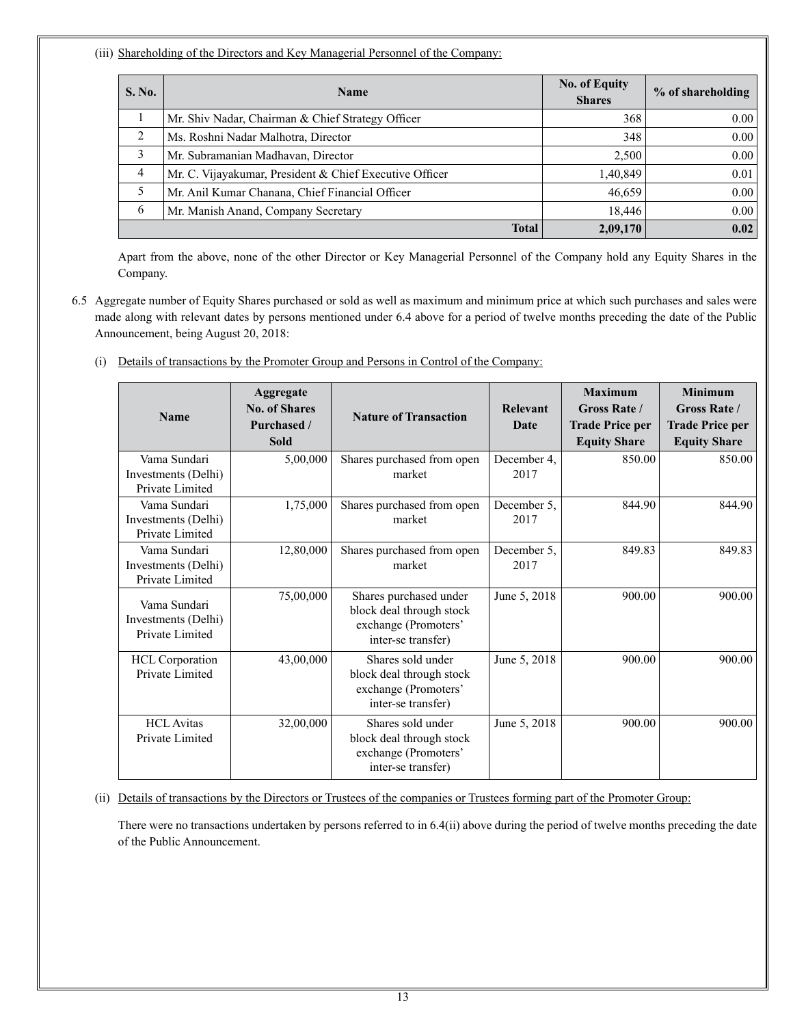(iii) Shareholding of the Directors and Key Managerial Personnel of the Company:

| S. No. | <b>Name</b>                                             |          | % of shareholding |
|--------|---------------------------------------------------------|----------|-------------------|
|        | Mr. Shiv Nadar, Chairman & Chief Strategy Officer       | 368      | 0.00              |
| 2      | Ms. Roshni Nadar Malhotra, Director                     | 348      | 0.00              |
| 3      | Mr. Subramanian Madhavan, Director                      | 2,500    | 0.00              |
| 4      | Mr. C. Vijayakumar, President & Chief Executive Officer | 1,40,849 | 0.01              |
| 5      | Mr. Anil Kumar Chanana, Chief Financial Officer         | 46,659   | 0.00              |
| 6      | Mr. Manish Anand, Company Secretary                     | 18.446   | 0.00              |
|        | <b>Total</b>                                            | 2,09,170 | 0.02              |

Apart from the above, none of the other Director or Key Managerial Personnel of the Company hold any Equity Shares in the Company.

- 6.5 Aggregate number of Equity Shares purchased or sold as well as maximum and minimum price at which such purchases and sales were made along with relevant dates by persons mentioned under 6.4 above for a period of twelve months preceding the date of the Public Announcement, being August 20, 2018:
	- (i) Details of transactions by the Promoter Group and Persons in Control of the Company:

| <b>Name</b>                                            | Aggregate<br><b>No. of Shares</b><br>Purchased /<br><b>Sold</b> | <b>Nature of Transaction</b>                                                                     | Relevant<br>Date    | <b>Maximum</b><br><b>Gross Rate /</b><br><b>Trade Price per</b><br><b>Equity Share</b> | <b>Minimum</b><br><b>Gross Rate</b> /<br><b>Trade Price per</b><br><b>Equity Share</b> |
|--------------------------------------------------------|-----------------------------------------------------------------|--------------------------------------------------------------------------------------------------|---------------------|----------------------------------------------------------------------------------------|----------------------------------------------------------------------------------------|
| Vama Sundari<br>Investments (Delhi)<br>Private Limited | 5,00,000                                                        | Shares purchased from open<br>market                                                             | December 4.<br>2017 | 850.00                                                                                 | 850.00                                                                                 |
| Vama Sundari<br>Investments (Delhi)<br>Private Limited | 1,75,000                                                        | Shares purchased from open<br>market                                                             | December 5,<br>2017 | 844.90                                                                                 | 844.90                                                                                 |
| Vama Sundari<br>Investments (Delhi)<br>Private Limited | 12,80,000                                                       | Shares purchased from open<br>market                                                             | December 5.<br>2017 | 849.83                                                                                 | 849.83                                                                                 |
| Vama Sundari<br>Investments (Delhi)<br>Private Limited | 75,00,000                                                       | Shares purchased under<br>block deal through stock<br>exchange (Promoters'<br>inter-se transfer) | June 5, 2018        | 900.00                                                                                 | 900.00                                                                                 |
| <b>HCL</b> Corporation<br>Private Limited              | 43,00,000                                                       | Shares sold under<br>block deal through stock<br>exchange (Promoters'<br>inter-se transfer)      | June 5, 2018        | 900.00                                                                                 | 900.00                                                                                 |
| <b>HCL</b> Avitas<br>Private Limited                   | 32,00,000                                                       | Shares sold under<br>block deal through stock<br>exchange (Promoters'<br>inter-se transfer)      | June 5, 2018        | 900.00                                                                                 | 900.00                                                                                 |

# (ii) Details of transactions by the Directors or Trustees of the companies or Trustees forming part of the Promoter Group:

There were no transactions undertaken by persons referred to in 6.4(ii) above during the period of twelve months preceding the date of the Public Announcement.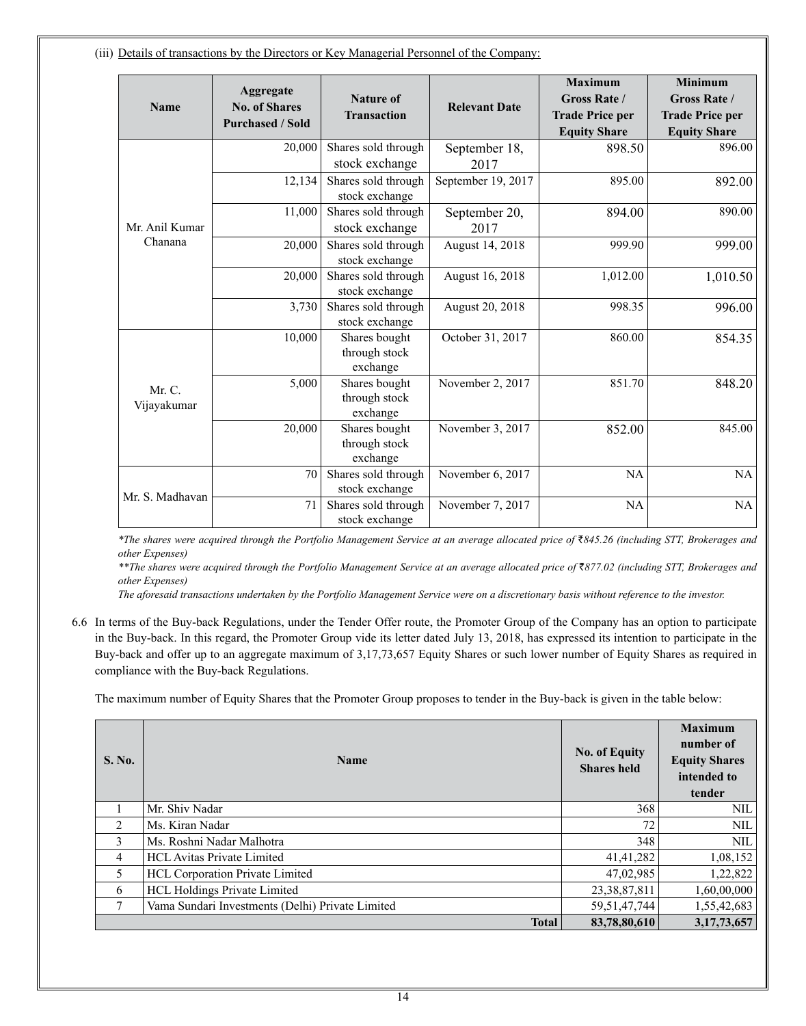(iii) Details of transactions by the Directors or Key Managerial Personnel of the Company:

|                 |                         |                                       |                      | <b>Maximum</b>         | <b>Minimum</b>         |
|-----------------|-------------------------|---------------------------------------|----------------------|------------------------|------------------------|
|                 | Aggregate               | <b>Nature of</b>                      |                      | <b>Gross Rate /</b>    | <b>Gross Rate /</b>    |
| Name            | <b>No. of Shares</b>    | <b>Transaction</b>                    | <b>Relevant Date</b> | <b>Trade Price per</b> | <b>Trade Price per</b> |
|                 | <b>Purchased / Sold</b> |                                       |                      |                        |                        |
|                 |                         |                                       |                      | <b>Equity Share</b>    | <b>Equity Share</b>    |
|                 | 20,000                  | Shares sold through                   | September 18,        | 898.50                 | 896.00                 |
|                 |                         | stock exchange                        | 2017                 |                        |                        |
|                 | 12,134                  | Shares sold through                   | September 19, 2017   | 895.00                 | 892.00                 |
|                 |                         | stock exchange                        |                      |                        |                        |
|                 | 11,000                  | Shares sold through                   | September 20,        | 894.00                 | 890.00                 |
| Mr Anil Kumar   |                         | stock exchange                        | 2017                 |                        |                        |
| Chanana         | 20,000                  | Shares sold through                   | August 14, 2018      | 999.90                 | 999.00                 |
|                 |                         | stock exchange                        |                      |                        |                        |
|                 | 20,000                  | Shares sold through                   | August 16, 2018      | 1,012.00               | 1,010.50               |
|                 |                         | stock exchange                        |                      |                        |                        |
|                 | 3,730                   | Shares sold through                   | August 20, 2018      | 998.35                 | 996.00                 |
|                 |                         | stock exchange                        |                      |                        |                        |
|                 | 10,000                  | Shares bought                         | October 31, 2017     | 860.00                 | 854.35                 |
|                 |                         | through stock                         |                      |                        |                        |
|                 |                         | exchange                              |                      |                        |                        |
| Mr. C.          | 5,000                   | Shares bought                         | November 2, 2017     | 851.70                 | 848.20                 |
| Vijayakumar     |                         | through stock                         |                      |                        |                        |
|                 |                         | exchange                              |                      |                        |                        |
|                 | 20,000                  | Shares bought                         | November 3, 2017     | 852.00                 | 845.00                 |
|                 |                         | through stock<br>exchange             |                      |                        |                        |
|                 |                         |                                       |                      |                        |                        |
|                 | 70                      | Shares sold through                   | November 6, 2017     | NA                     | NA                     |
| Mr. S. Madhavan | 71                      | stock exchange                        |                      |                        |                        |
|                 |                         | Shares sold through<br>stock exchange | November 7, 2017     | NA                     | NA                     |
|                 |                         |                                       |                      |                        |                        |

*\*The shares were acquired through the Portfolio Management Service at an average allocated price of* `*845.26 (including STT, Brokerages and other Expenses)*

\*\*The shares were acquired through the Portfolio Management Service at an average allocated price of ₹877.02 (including STT, Brokerages and *other Expenses)*

*The aforesaid transactions undertaken by the Portfolio Management Service were on a discretionary basis without reference to the investor.*

6.6 In terms of the Buy-back Regulations, under the Tender Offer route, the Promoter Group of the Company has an option to participate in the Buy-back. In this regard, the Promoter Group vide its letter dated July 13, 2018, has expressed its intention to participate in the Buy-back and offer up to an aggregate maximum of 3,17,73,657 Equity Shares or such lower number of Equity Shares as required in compliance with the Buy-back Regulations.

The maximum number of Equity Shares that the Promoter Group proposes to tender in the Buy-back is given in the table below:

| S. No. | <b>Name</b>                                      | <b>No. of Equity</b><br><b>Shares</b> held | <b>Maximum</b><br>number of<br><b>Equity Shares</b><br>intended to<br>tender |
|--------|--------------------------------------------------|--------------------------------------------|------------------------------------------------------------------------------|
|        | Mr. Shiv Nadar                                   | 368                                        | NIL                                                                          |
| 2      | Ms. Kiran Nadar                                  | 72                                         | <b>NIL</b>                                                                   |
| 3      | Ms. Roshni Nadar Malhotra                        | 348                                        | <b>NIL</b>                                                                   |
| 4      | <b>HCL</b> Avitas Private Limited                | 41,41,282                                  | 1,08,152                                                                     |
| 5.     | <b>HCL Corporation Private Limited</b>           | 47,02,985                                  | 1,22,822                                                                     |
| 6      | <b>HCL Holdings Private Limited</b>              | 23, 38, 87, 811                            | 1,60,00,000                                                                  |
| 7      | Vama Sundari Investments (Delhi) Private Limited | 59, 51, 47, 744                            | 1,55,42,683                                                                  |
|        | <b>Total</b>                                     | 83,78,80,610                               | 3, 17, 73, 657                                                               |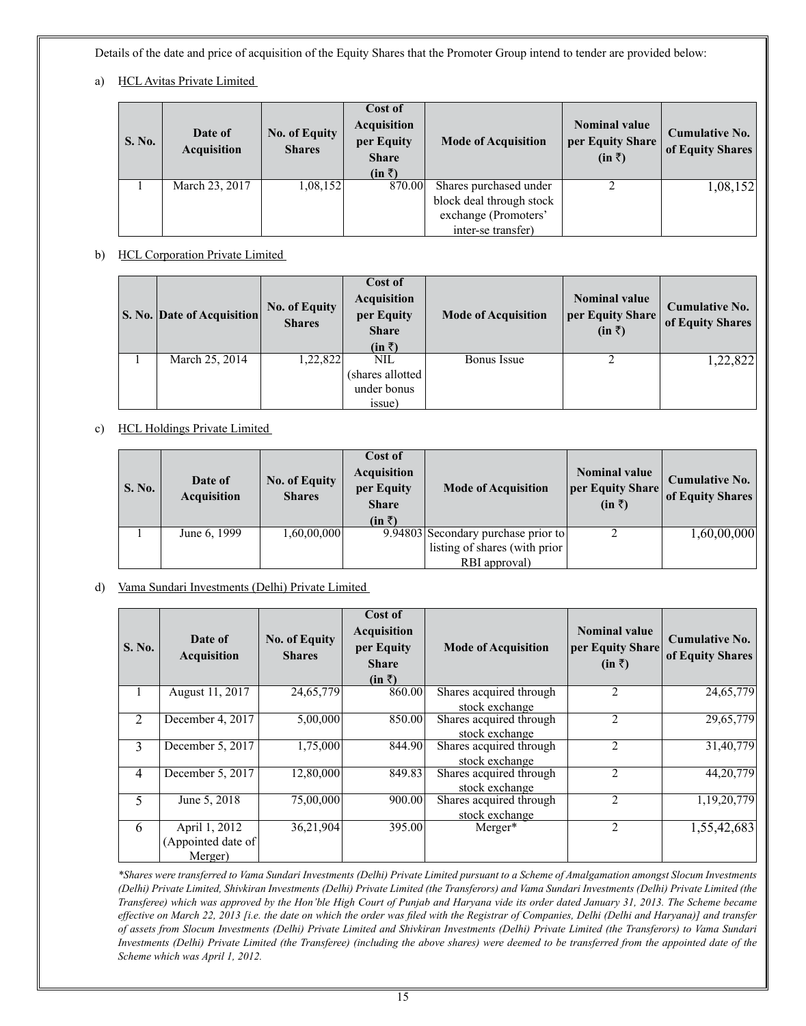Details of the date and price of acquisition of the Equity Shares that the Promoter Group intend to tender are provided below:

a) HCL Avitas Private Limited

| S. No. | Date of<br><b>Acquisition</b> | <b>No. of Equity</b><br><b>Shares</b> | Cost of<br><b>Acquisition</b><br>per Equity<br><b>Share</b><br>$(in \bar{z})$ | <b>Mode of Acquisition</b> | <b>Nominal value</b><br>per Equity Share<br>$(in \bar{z})$ | <b>Cumulative No.</b><br>of Equity Shares |
|--------|-------------------------------|---------------------------------------|-------------------------------------------------------------------------------|----------------------------|------------------------------------------------------------|-------------------------------------------|
|        | March 23, 2017                | 1,08,152                              | 870.00                                                                        | Shares purchased under     |                                                            | 1,08,152                                  |
|        |                               |                                       |                                                                               | block deal through stock   |                                                            |                                           |
|        |                               |                                       |                                                                               | exchange (Promoters'       |                                                            |                                           |
|        |                               |                                       |                                                                               | inter-se transfer)         |                                                            |                                           |

b) HCL Corporation Private Limited

| <b>S. No. Date of Acquisition</b> | <b>No. of Equity</b><br><b>Shares</b> | Cost of<br><b>Acquisition</b><br>per Equity<br><b>Share</b><br>$(in \bar{z})$ | <b>Mode of Acquisition</b> | <b>Nominal value</b><br>per Equity Share<br>$(in \bar{z})$ | <b>Cumulative No.</b><br>of Equity Shares |
|-----------------------------------|---------------------------------------|-------------------------------------------------------------------------------|----------------------------|------------------------------------------------------------|-------------------------------------------|
| March 25, 2014                    | 1,22,822                              | NIL<br>(shares allotted)<br>under bonus<br><i>s</i> sue)                      | Bonus Issue                |                                                            | 1,22,822                                  |

c) HCL Holdings Private Limited

| S. No. | Date of<br><b>Acquisition</b> | <b>No. of Equity</b><br><b>Shares</b> | Cost of<br><b>Acquisition</b><br>per Equity<br><b>Share</b><br>$(in \bar{z})$ | <b>Mode of Acquisition</b> | <b>Nominal value</b><br>  per Equity Share  <br>$(in \bar{z})$ | <b>Cumulative No.</b><br>of Equity Shares |
|--------|-------------------------------|---------------------------------------|-------------------------------------------------------------------------------|----------------------------|----------------------------------------------------------------|-------------------------------------------|
|        | June 6, 1999                  | 1,60,00,000                           | 9.94803 Secondary purchase prior to                                           |                            |                                                                | 1,60,00,000                               |
|        |                               |                                       | listing of shares (with prior                                                 |                            |                                                                |                                           |
|        |                               |                                       |                                                                               | RBI approval)              |                                                                |                                           |

d) Vama Sundari Investments (Delhi) Private Limited

| S. No.         | Date of<br><b>Acquisition</b>                  | <b>No. of Equity</b><br><b>Shares</b> | Cost of<br><b>Acquisition</b><br>per Equity<br><b>Share</b><br>$(in \bar{z})$ | <b>Mode of Acquisition</b>                | <b>Nominal value</b><br> per Equity Share <br>$(in \bar{z})$ | <b>Cumulative No.</b><br>of Equity Shares |
|----------------|------------------------------------------------|---------------------------------------|-------------------------------------------------------------------------------|-------------------------------------------|--------------------------------------------------------------|-------------------------------------------|
| 1              | August 11, 2017                                | 24,65,779                             | 860.00                                                                        | Shares acquired through<br>stock exchange | $\mathfrak{D}$                                               | 24,65,779                                 |
| 2              | December 4, 2017                               | 5,00,000                              | 850.00                                                                        | Shares acquired through<br>stock exchange | $\mathfrak{D}$                                               | 29,65,779                                 |
| 3              | December 5, 2017                               | 1,75,000                              | 844.90                                                                        | Shares acquired through<br>stock exchange | $\mathfrak{D}$                                               | 31,40,779                                 |
| $\overline{4}$ | December 5, 2017                               | 12,80,000                             | 849.83                                                                        | Shares acquired through<br>stock exchange | $\mathfrak{D}$                                               | 44, 20, 779                               |
| 5              | June 5, 2018                                   | 75,00,000                             | 900.00                                                                        | Shares acquired through<br>stock exchange | $\mathfrak{D}$                                               | 1,19,20,779                               |
| 6              | April 1, 2012<br>(Appointed date of<br>Merger) | 36,21,904                             | 395.00                                                                        | Merger*                                   | 2                                                            | 1,55,42,683                               |

*\*Shares were transferred to Vama Sundari Investments (Delhi) Private Limited pursuant to a Scheme of Amalgamation amongst Slocum Investments (Delhi) Private Limited, Shivkiran Investments (Delhi) Private Limited (the Transferors) and Vama Sundari Investments (Delhi) Private Limited (the Transferee) which was approved by the Hon'ble High Court of Punjab and Haryana vide its order dated January 31, 2013. The Scheme became effective on March 22, 2013 [i.e. the date on which the order was filed with the Registrar of Companies, Delhi (Delhi and Haryana)] and transfer of assets from Slocum Investments (Delhi) Private Limited and Shivkiran Investments (Delhi) Private Limited (the Transferors) to Vama Sundari Investments (Delhi) Private Limited (the Transferee) (including the above shares) were deemed to be transferred from the appointed date of the Scheme which was April 1, 2012.*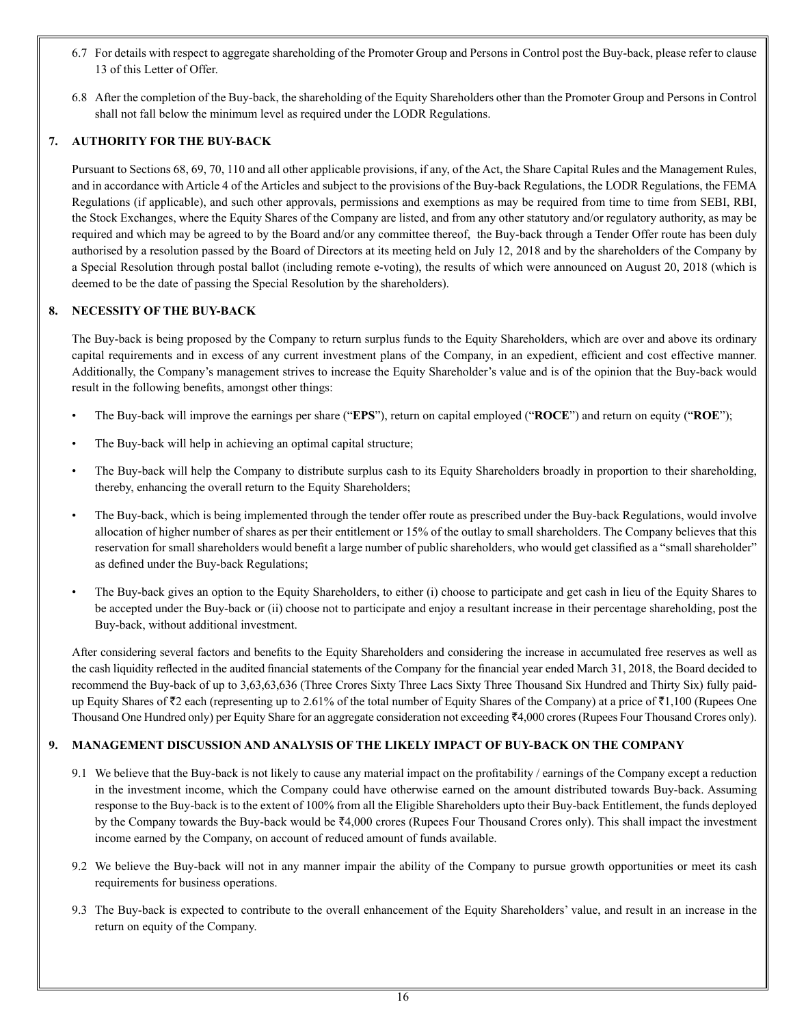- 6.7 For details with respect to aggregate shareholding of the Promoter Group and Persons in Control post the Buy-back, please refer to clause 13 of this Letter of Offer.
- 6.8 After the completion of the Buy-back, the shareholding of the Equity Shareholders other than the Promoter Group and Persons in Control shall not fall below the minimum level as required under the LODR Regulations.

# **7. AUTHORITY FOR THE BUY-BACK**

Pursuant to Sections 68, 69, 70, 110 and all other applicable provisions, if any, of the Act, the Share Capital Rules and the Management Rules, and in accordance with Article 4 of the Articles and subject to the provisions of the Buy-back Regulations, the LODR Regulations, the FEMA Regulations (if applicable), and such other approvals, permissions and exemptions as may be required from time to time from SEBI, RBI, the Stock Exchanges, where the Equity Shares of the Company are listed, and from any other statutory and/or regulatory authority, as may be required and which may be agreed to by the Board and/or any committee thereof, the Buy-back through a Tender Offer route has been duly authorised by a resolution passed by the Board of Directors at its meeting held on July 12, 2018 and by the shareholders of the Company by a Special Resolution through postal ballot (including remote e-voting), the results of which were announced on August 20, 2018 (which is deemed to be the date of passing the Special Resolution by the shareholders).

# **8. NECESSITY OF THE BUY-BACK**

The Buy-back is being proposed by the Company to return surplus funds to the Equity Shareholders, which are over and above its ordinary capital requirements and in excess of any current investment plans of the Company, in an expedient, efficient and cost effective manner. Additionally, the Company's management strives to increase the Equity Shareholder's value and is of the opinion that the Buy-back would result in the following benefits, amongst other things:

- The Buy-back will improve the earnings per share ("**EPS**"), return on capital employed ("**ROCE**") and return on equity ("**ROE**");
- The Buy-back will help in achieving an optimal capital structure;
- The Buy-back will help the Company to distribute surplus cash to its Equity Shareholders broadly in proportion to their shareholding, thereby, enhancing the overall return to the Equity Shareholders;
- The Buy-back, which is being implemented through the tender offer route as prescribed under the Buy-back Regulations, would involve allocation of higher number of shares as per their entitlement or 15% of the outlay to small shareholders. The Company believes that this reservation for small shareholders would benefit a large number of public shareholders, who would get classified as a "small shareholder" as defined under the Buy-back Regulations;
- The Buy-back gives an option to the Equity Shareholders, to either (i) choose to participate and get cash in lieu of the Equity Shares to be accepted under the Buy-back or (ii) choose not to participate and enjoy a resultant increase in their percentage shareholding, post the Buy-back, without additional investment.

After considering several factors and benefits to the Equity Shareholders and considering the increase in accumulated free reserves as well as the cash liquidity reflected in the audited financial statements of the Company for the financial year ended March 31, 2018, the Board decided to recommend the Buy-back of up to 3,63,63,636 (Three Crores Sixty Three Lacs Sixty Three Thousand Six Hundred and Thirty Six) fully paidup Equity Shares of  $\bar{\tau}$ 2 each (representing up to 2.61% of the total number of Equity Shares of the Company) at a price of  $\bar{\tau}$ 1,100 (Rupees One Thousand One Hundred only) per Equity Share for an aggregate consideration not exceeding ₹4,000 crores (Rupees Four Thousand Crores only).

# **9. MANAGEMENT DISCUSSION AND ANALYSIS OF THE LIKELY IMPACT OF BUY-BACK ON THE COMPANY**

- 9.1 We believe that the Buy-back is not likely to cause any material impact on the profitability / earnings of the Company except a reduction in the investment income, which the Company could have otherwise earned on the amount distributed towards Buy-back. Assuming response to the Buy-back is to the extent of 100% from all the Eligible Shareholders upto their Buy-back Entitlement, the funds deployed by the Company towards the Buy-back would be  $\bar{\tau}4,000$  crores (Rupees Four Thousand Crores only). This shall impact the investment income earned by the Company, on account of reduced amount of funds available.
- 9.2 We believe the Buy-back will not in any manner impair the ability of the Company to pursue growth opportunities or meet its cash requirements for business operations.
- 9.3 The Buy-back is expected to contribute to the overall enhancement of the Equity Shareholders' value, and result in an increase in the return on equity of the Company.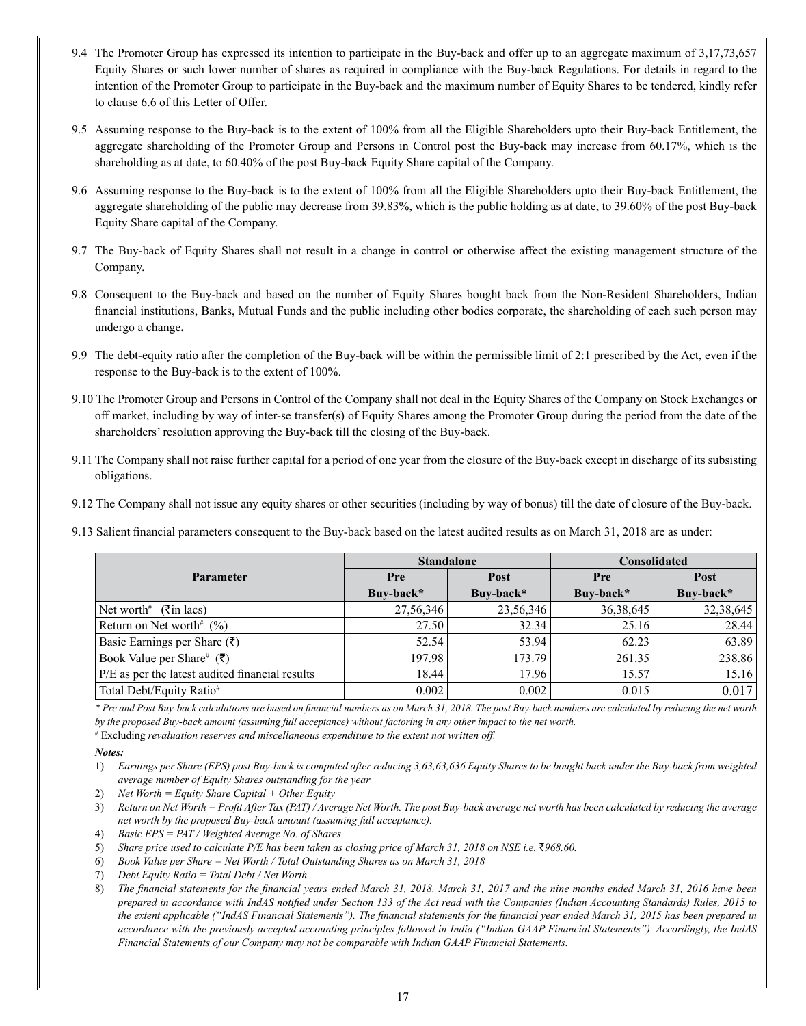- 9.4 The Promoter Group has expressed its intention to participate in the Buy-back and offer up to an aggregate maximum of 3,17,73,657 Equity Shares or such lower number of shares as required in compliance with the Buy-back Regulations. For details in regard to the intention of the Promoter Group to participate in the Buy-back and the maximum number of Equity Shares to be tendered, kindly refer to clause 6.6 of this Letter of Offer.
- 9.5 Assuming response to the Buy-back is to the extent of 100% from all the Eligible Shareholders upto their Buy-back Entitlement, the aggregate shareholding of the Promoter Group and Persons in Control post the Buy-back may increase from 60.17%, which is the shareholding as at date, to 60.40% of the post Buy-back Equity Share capital of the Company.
- 9.6 Assuming response to the Buy-back is to the extent of 100% from all the Eligible Shareholders upto their Buy-back Entitlement, the aggregate shareholding of the public may decrease from 39.83%, which is the public holding as at date, to 39.60% of the post Buy-back Equity Share capital of the Company.
- 9.7 The Buy-back of Equity Shares shall not result in a change in control or otherwise affect the existing management structure of the Company.
- 9.8 Consequent to the Buy-back and based on the number of Equity Shares bought back from the Non-Resident Shareholders, Indian financial institutions, Banks, Mutual Funds and the public including other bodies corporate, the shareholding of each such person may undergo a change**.**
- 9.9 The debt-equity ratio after the completion of the Buy-back will be within the permissible limit of 2:1 prescribed by the Act, even if the response to the Buy-back is to the extent of 100%.
- 9.10 The Promoter Group and Persons in Control of the Company shall not deal in the Equity Shares of the Company on Stock Exchanges or off market, including by way of inter-se transfer(s) of Equity Shares among the Promoter Group during the period from the date of the shareholders' resolution approving the Buy-back till the closing of the Buy-back.
- 9.11 The Company shall not raise further capital for a period of one year from the closure of the Buy-back except in discharge of its subsisting obligations.
- 9.12 The Company shall not issue any equity shares or other securities (including by way of bonus) till the date of closure of the Buy-back.
- 9.13 Salient financial parameters consequent to the Buy-back based on the latest audited results as on March 31, 2018 are as under:

|                                                 |           | <b>Standalone</b> | <b>Consolidated</b> |           |
|-------------------------------------------------|-----------|-------------------|---------------------|-----------|
| <b>Parameter</b>                                | Pre       | Post              | Pre                 | Post      |
|                                                 | Buy-back* | Buv-back*         | Buv-back*           | Buv-back* |
| Net worth <sup>#</sup> ( $\bar{\tau}$ in lacs)  | 27,56,346 | 23,56,346         | 36, 38, 645         | 32,38,645 |
| Return on Net worth <sup>#</sup> $(\% )$        | 27.50     | 32.34             | 25.16               | 28.44     |
| Basic Earnings per Share $(\bar{\zeta})$        | 52.54     | 53.94             | 62.23               | 63.89     |
| Book Value per Share# (₹)                       | 197.98    | 173.79            | 261.35              | 238.86    |
| P/E as per the latest audited financial results | 18.44     | 17.96             | 15.57               | 15.16     |
| Total Debt/Equity Ratio#                        | 0.002     | 0.002             | 0.015               | 0.017     |

*\* Pre and Post Buy-back calculations are based on financial numbers as on March 31, 2018. The post Buy-back numbers are calculated by reducing the net worth by the proposed Buy-back amount (assuming full acceptance) without factoring in any other impact to the net worth.*

# Excluding *revaluation reserves and miscellaneous expenditure to the extent not written off.* 

#### *Notes:*

- 1) *Earnings per Share (EPS) post Buy-back is computed after reducing 3,63,63,636 Equity Shares to be bought back under the Buy-back from weighted average number of Equity Shares outstanding for the year*
- 2) *Net Worth = Equity Share Capital + Other Equity*
- 3) *Return on Net Worth = Profit After Tax (PAT) / Average Net Worth. The post Buy-back average net worth has been calculated by reducing the average net worth by the proposed Buy-back amount (assuming full acceptance).*
- 4) *Basic EPS = PAT / Weighted Average No. of Shares*
- 5) Share price used to calculate P/E has been taken as closing price of March 31, 2018 on NSE i.e.  $\overline{3}968.60$ .
- 6) *Book Value per Share = Net Worth / Total Outstanding Shares as on March 31, 2018*
- 7) *Debt Equity Ratio = Total Debt / Net Worth*
- 8) *The financial statements for the financial years ended March 31, 2018, March 31, 2017 and the nine months ended March 31, 2016 have been prepared in accordance with IndAS notified under Section 133 of the Act read with the Companies (Indian Accounting Standards) Rules, 2015 to the extent applicable ("IndAS Financial Statements"). The financial statements for the financial year ended March 31, 2015 has been prepared in accordance with the previously accepted accounting principles followed in India ("Indian GAAP Financial Statements"). Accordingly, the IndAS Financial Statements of our Company may not be comparable with Indian GAAP Financial Statements.*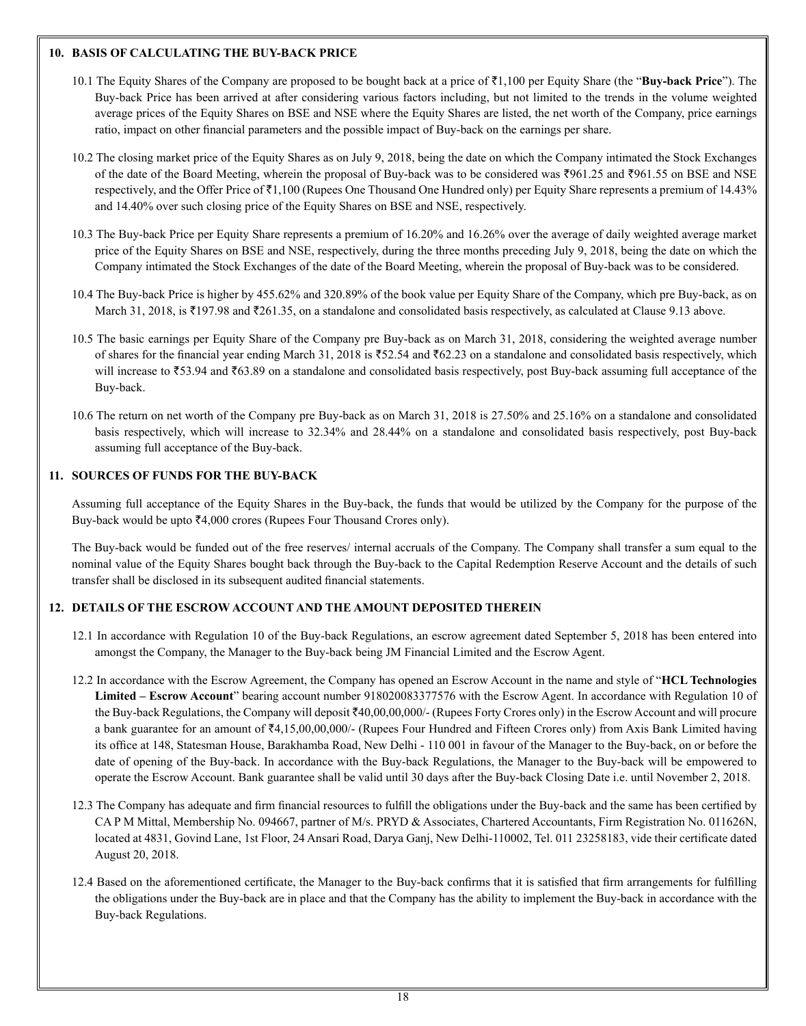# **10. BASIS OF CALCULATING THE BUY-BACK PRICE**

- 10.1 The Equity Shares of the Company are proposed to be bought back at a price of `1,100 per Equity Share (the "**Buy-back Price**"). The Buy-back Price has been arrived at after considering various factors including, but not limited to the trends in the volume weighted average prices of the Equity Shares on BSE and NSE where the Equity Shares are listed, the net worth of the Company, price earnings ratio, impact on other financial parameters and the possible impact of Buy-back on the earnings per share.
- 10.2 The closing market price of the Equity Shares as on July 9, 2018, being the date on which the Company intimated the Stock Exchanges of the date of the Board Meeting, wherein the proposal of Buy-back was to be considered was  $\overline{5961.25}$  and  $\overline{7961.55}$  on BSE and NSE respectively, and the Offer Price of ₹1,100 (Rupees One Thousand One Hundred only) per Equity Share represents a premium of 14.43% and 14.40% over such closing price of the Equity Shares on BSE and NSE, respectively.
- 10.3 The Buy-back Price per Equity Share represents a premium of 16.20% and 16.26% over the average of daily weighted average market price of the Equity Shares on BSE and NSE, respectively, during the three months preceding July 9, 2018, being the date on which the Company intimated the Stock Exchanges of the date of the Board Meeting, wherein the proposal of Buy-back was to be considered.
- 10.4 The Buy-back Price is higher by 455.62% and 320.89% of the book value per Equity Share of the Company, which pre Buy-back, as on March 31, 2018, is  $\overline{197.98}$  and  $\overline{261.35}$ , on a standalone and consolidated basis respectively, as calculated at Clause 9.13 above.
- 10.5 The basic earnings per Equity Share of the Company pre Buy-back as on March 31, 2018, considering the weighted average number of shares for the financial year ending March 31, 2018 is  $\overline{52.24}$  and  $\overline{562.23}$  on a standalone and consolidated basis respectively, which will increase to  $\overline{5}3.94$  and  $\overline{5}63.89$  on a standalone and consolidated basis respectively, post Buy-back assuming full acceptance of the Buy-back.
- 10.6 The return on net worth of the Company pre Buy-back as on March 31, 2018 is 27.50% and 25.16% on a standalone and consolidated basis respectively, which will increase to 32.34% and 28.44% on a standalone and consolidated basis respectively, post Buy-back assuming full acceptance of the Buy-back.

# **11. SOURCES OF FUNDS FOR THE BUY-BACK**

Assuming full acceptance of the Equity Shares in the Buy-back, the funds that would be utilized by the Company for the purpose of the Buy-back would be upto  $\bar{\mathcal{F}}4,000$  crores (Rupees Four Thousand Crores only).

The Buy-back would be funded out of the free reserves/ internal accruals of the Company. The Company shall transfer a sum equal to the nominal value of the Equity Shares bought back through the Buy-back to the Capital Redemption Reserve Account and the details of such transfer shall be disclosed in its subsequent audited financial statements.

# **12. DETAILS OF THE ESCROW ACCOUNT AND THE AMOUNT DEPOSITED THEREIN**

- 12.1 In accordance with Regulation 10 of the Buy-back Regulations, an escrow agreement dated September 5, 2018 has been entered into amongst the Company, the Manager to the Buy-back being JM Financial Limited and the Escrow Agent.
- 12.2 In accordance with the Escrow Agreement, the Company has opened an Escrow Account in the name and style of "**HCL Technologies Limited – Escrow Account**" bearing account number 918020083377576 with the Escrow Agent. In accordance with Regulation 10 of the Buy-back Regulations, the Company will deposit ₹40,00,00,000/- (Rupees Forty Crores only) in the Escrow Account and will procure a bank guarantee for an amount of  $\bar{\tau}4.15,00,00,000/$ - (Rupees Four Hundred and Fifteen Crores only) from Axis Bank Limited having its office at 148, Statesman House, Barakhamba Road, New Delhi - 110 001 in favour of the Manager to the Buy-back, on or before the date of opening of the Buy-back. In accordance with the Buy-back Regulations, the Manager to the Buy-back will be empowered to operate the Escrow Account. Bank guarantee shall be valid until 30 days after the Buy-back Closing Date i.e. until November 2, 2018.
- 12.3 The Company has adequate and firm financial resources to fulfill the obligations under the Buy-back and the same has been certified by CA P M Mittal, Membership No. 094667, partner of M/s. PRYD & Associates, Chartered Accountants, Firm Registration No. 011626N, located at 4831, Govind Lane, 1st Floor, 24 Ansari Road, Darya Ganj, New Delhi-110002, Tel. 011 23258183, vide their certificate dated August 20, 2018.
- 12.4 Based on the aforementioned certificate, the Manager to the Buy-back confirms that it is satisfied that firm arrangements for fulfilling the obligations under the Buy-back are in place and that the Company has the ability to implement the Buy-back in accordance with the Buy-back Regulations.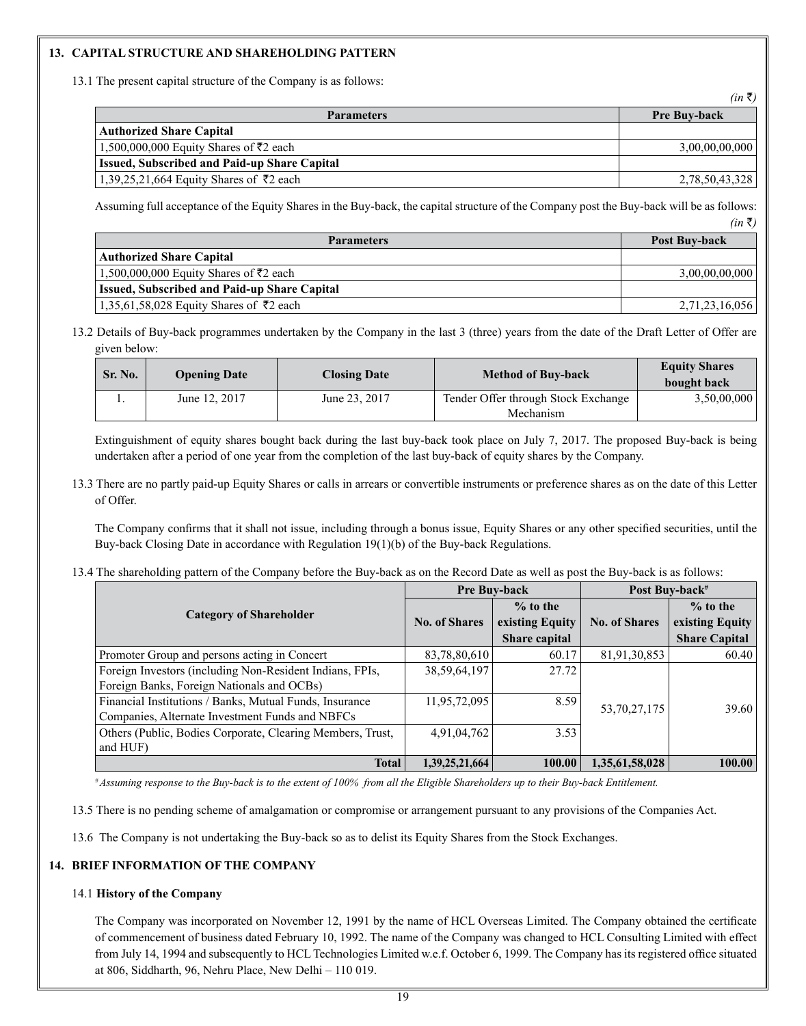# **13. CAPITAL STRUCTURE AND SHAREHOLDING PATTERN**

13.1 The present capital structure of the Company is as follows:

|                                                     | $\cdots$            |
|-----------------------------------------------------|---------------------|
| <b>Parameters</b>                                   | <b>Pre Buy-back</b> |
| Authorized Share Capital                            |                     |
| 1,500,000,000 Equity Shares of ₹2 each              | 3,00,00,00,000      |
| <b>Issued, Subscribed and Paid-up Share Capital</b> |                     |
| 1,39,25,21,664 Equity Shares of ₹2 each             | 2,78,50,43,328      |

 $(in \bar{x})$ 

Assuming full acceptance of the Equity Shares in the Buy-back, the capital structure of the Company post the Buy-back will be as follows:  $(in \bar{\tau})$ 

| <b>Parameters</b>                                   | Post Buy-back  |
|-----------------------------------------------------|----------------|
| <b>Authorized Share Capital</b>                     |                |
| 1,500,000,000 Equity Shares of $\overline{5}2$ each | 3,00,00,00,000 |
| <b>Issued, Subscribed and Paid-up Share Capital</b> |                |
| 1,35,61,58,028 Equity Shares of ₹2 each             | 2,71,23,16,056 |

13.2 Details of Buy-back programmes undertaken by the Company in the last 3 (three) years from the date of the Draft Letter of Offer are given below:

| Sr. No. | <b>Opening Date</b> | <b>Closing Date</b> | <b>Method of Buy-back</b>                        | <b>Equity Shares</b><br>bought back |
|---------|---------------------|---------------------|--------------------------------------------------|-------------------------------------|
|         | June 12, 2017       | June 23, 2017       | Tender Offer through Stock Exchange<br>Mechanism | 3,50,00,000                         |

Extinguishment of equity shares bought back during the last buy-back took place on July 7, 2017. The proposed Buy-back is being undertaken after a period of one year from the completion of the last buy-back of equity shares by the Company.

13.3 There are no partly paid-up Equity Shares or calls in arrears or convertible instruments or preference shares as on the date of this Letter of Offer.

The Company confirms that it shall not issue, including through a bonus issue, Equity Shares or any other specified securities, until the Buy-back Closing Date in accordance with Regulation 19(1)(b) of the Buy-back Regulations.

13.4 The shareholding pattern of the Company before the Buy-back as on the Record Date as well as post the Buy-back is as follows:

|                                                            | <b>Pre Buy-back</b>  |                      | Post Buy-back <sup>#</sup> |                      |
|------------------------------------------------------------|----------------------|----------------------|----------------------------|----------------------|
|                                                            |                      | $%$ to the           |                            | $%$ to the           |
| <b>Category of Shareholder</b>                             | <b>No. of Shares</b> | existing Equity      | <b>No. of Shares</b>       | existing Equity      |
|                                                            |                      | <b>Share capital</b> |                            | <b>Share Capital</b> |
| Promoter Group and persons acting in Concert               | 83,78,80,610         | 60.17                | 81,91,30,853               | 60.40                |
| Foreign Investors (including Non-Resident Indians, FPIs,   | 38, 59, 64, 197      | 27.72                |                            |                      |
| Foreign Banks, Foreign Nationals and OCBs)                 |                      |                      |                            |                      |
| Financial Institutions / Banks, Mutual Funds, Insurance    | 11,95,72,095         | 8.59                 | 53, 70, 27, 175            | 39.60                |
| Companies, Alternate Investment Funds and NBFCs            |                      |                      |                            |                      |
| Others (Public, Bodies Corporate, Clearing Members, Trust, | 4,91,04,762          | 3.53                 |                            |                      |
| and HUF)                                                   |                      |                      |                            |                      |
| <b>Total</b>                                               | 1,39,25,21,664       | 100.00               | 1,35,61,58,028             | 100.00               |

*# Assuming response to the Buy-back is to the extent of 100% from all the Eligible Shareholders up to their Buy-back Entitlement.*

13.5 There is no pending scheme of amalgamation or compromise or arrangement pursuant to any provisions of the Companies Act.

13.6 The Company is not undertaking the Buy-back so as to delist its Equity Shares from the Stock Exchanges.

# **14. BRIEF INFORMATION OF THE COMPANY**

# 14.1 **History of the Company**

The Company was incorporated on November 12, 1991 by the name of HCL Overseas Limited. The Company obtained the certificate of commencement of business dated February 10, 1992. The name of the Company was changed to HCL Consulting Limited with effect from July 14, 1994 and subsequently to HCL Technologies Limited w.e.f. October 6, 1999. The Company has its registered office situated at 806, Siddharth, 96, Nehru Place, New Delhi – 110 019.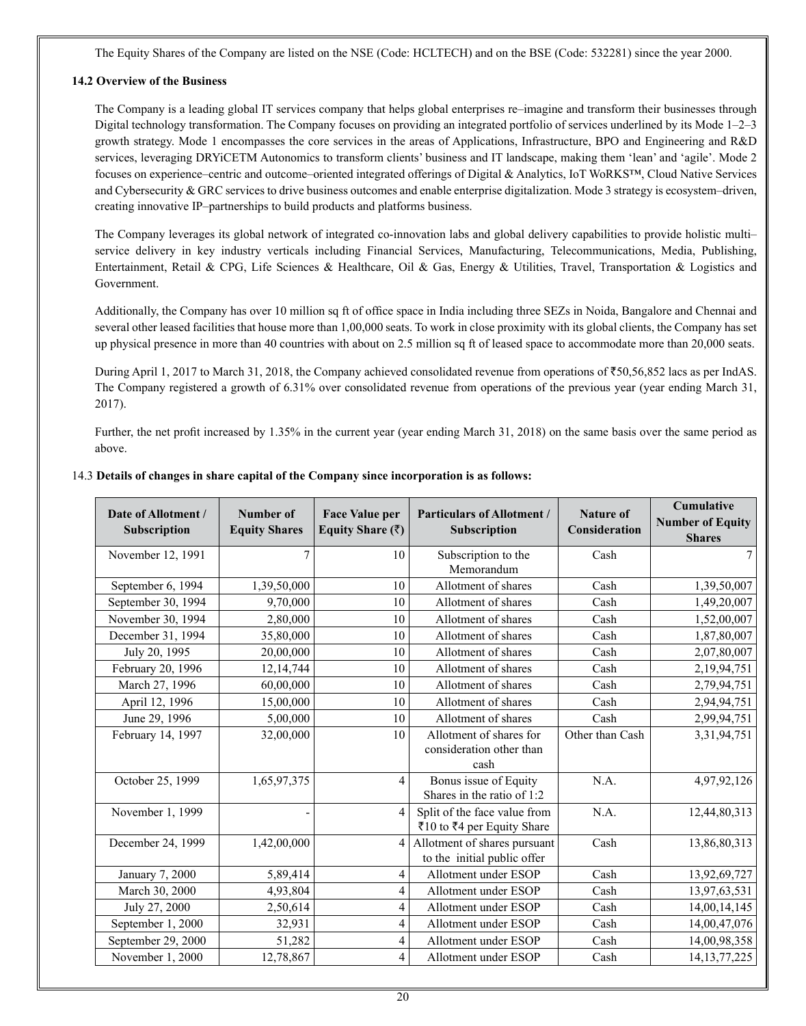The Equity Shares of the Company are listed on the NSE (Code: HCLTECH) and on the BSE (Code: 532281) since the year 2000.

# **14.2 Overview of the Business**

The Company is a leading global IT services company that helps global enterprises re–imagine and transform their businesses through Digital technology transformation. The Company focuses on providing an integrated portfolio of services underlined by its Mode 1–2–3 growth strategy. Mode 1 encompasses the core services in the areas of Applications, Infrastructure, BPO and Engineering and R&D services, leveraging DRYiCETM Autonomics to transform clients' business and IT landscape, making them 'lean' and 'agile'. Mode 2 focuses on experience–centric and outcome–oriented integrated offerings of Digital & Analytics, IoT WoRKS™, Cloud Native Services and Cybersecurity & GRC services to drive business outcomes and enable enterprise digitalization. Mode 3 strategy is ecosystem–driven, creating innovative IP–partnerships to build products and platforms business.

The Company leverages its global network of integrated co-innovation labs and global delivery capabilities to provide holistic multi– service delivery in key industry verticals including Financial Services, Manufacturing, Telecommunications, Media, Publishing, Entertainment, Retail & CPG, Life Sciences & Healthcare, Oil & Gas, Energy & Utilities, Travel, Transportation & Logistics and Government.

Additionally, the Company has over 10 million sq ft of office space in India including three SEZs in Noida, Bangalore and Chennai and several other leased facilities that house more than 1,00,000 seats. To work in close proximity with its global clients, the Company has set up physical presence in more than 40 countries with about on 2.5 million sq ft of leased space to accommodate more than 20,000 seats.

During April 1, 2017 to March 31, 2018, the Company achieved consolidated revenue from operations of  $\text{\textless}50,56,852$  lacs as per IndAS. The Company registered a growth of 6.31% over consolidated revenue from operations of the previous year (year ending March 31, 2017).

Further, the net profit increased by 1.35% in the current year (year ending March 31, 2018) on the same basis over the same period as above.

| Date of Allotment /<br>Subscription | Number of<br><b>Equity Shares</b> | <b>Face Value per</b><br>Equity Share $(\bar{z})$ | <b>Particulars of Allotment /</b><br>Subscription           | Nature of<br>Consideration | Cumulative<br><b>Number of Equity</b><br><b>Shares</b> |
|-------------------------------------|-----------------------------------|---------------------------------------------------|-------------------------------------------------------------|----------------------------|--------------------------------------------------------|
| November 12, 1991                   | $\overline{7}$                    | 10                                                | Subscription to the<br>Memorandum                           | Cash                       | $\tau$                                                 |
|                                     |                                   |                                                   |                                                             |                            |                                                        |
| September 6, 1994                   | 1,39,50,000                       | 10                                                | Allotment of shares                                         | Cash                       | 1,39,50,007                                            |
| September 30, 1994                  | 9,70,000                          | 10                                                | Allotment of shares                                         | Cash                       | 1,49,20,007                                            |
| November 30, 1994                   | 2,80,000                          | 10                                                | Allotment of shares                                         | Cash                       | 1,52,00,007                                            |
| December 31, 1994                   | 35,80,000                         | 10                                                | Allotment of shares                                         | Cash                       | 1,87,80,007                                            |
| July 20, 1995                       | 20,00,000                         | 10                                                | Allotment of shares                                         | Cash                       | 2,07,80,007                                            |
| February 20, 1996                   | 12,14,744                         | 10                                                | Allotment of shares                                         | Cash                       | 2,19,94,751                                            |
| March 27, 1996                      | 60,00,000                         | 10                                                | Allotment of shares                                         | Cash                       | 2,79,94,751                                            |
| April 12, 1996                      | 15,00,000                         | 10                                                | Allotment of shares                                         | Cash                       | 2,94,94,751                                            |
| June 29, 1996                       | 5,00,000                          | 10                                                | Allotment of shares                                         | Cash                       | 2,99,94,751                                            |
| February 14, 1997                   | 32,00,000                         | 10                                                | Allotment of shares for<br>consideration other than<br>cash | Other than Cash            | 3, 31, 94, 751                                         |
| October 25, 1999                    | 1,65,97,375                       | 4                                                 | Bonus issue of Equity<br>Shares in the ratio of 1:2         | N.A.                       | 4,97,92,126                                            |
| November 1, 1999                    |                                   | 4                                                 | Split of the face value from<br>₹10 to ₹4 per Equity Share  | N.A.                       | 12,44,80,313                                           |
| December 24, 1999                   | 1,42,00,000                       | 4                                                 | Allotment of shares pursuant<br>to the initial public offer | Cash                       | 13,86,80,313                                           |
| January 7, 2000                     | 5,89,414                          | 4                                                 | Allotment under ESOP                                        | Cash                       | 13,92,69,727                                           |
| March 30, 2000                      | 4,93,804                          | 4                                                 | Allotment under ESOP                                        | Cash                       | 13,97,63,531                                           |
| July 27, 2000                       | 2,50,614                          | 4                                                 | Allotment under ESOP                                        | Cash                       | 14,00,14,145                                           |
| September 1, 2000                   | 32,931                            | 4                                                 | Allotment under ESOP                                        | Cash                       | 14,00,47,076                                           |
| September 29, 2000                  | 51,282                            | 4                                                 | Allotment under ESOP                                        | Cash                       | 14,00,98,358                                           |
| November 1, 2000                    | 12,78,867                         | 4                                                 | Allotment under ESOP                                        | Cash                       | 14, 13, 77, 225                                        |

# 14.3 **Details of changes in share capital of the Company since incorporation is as follows:**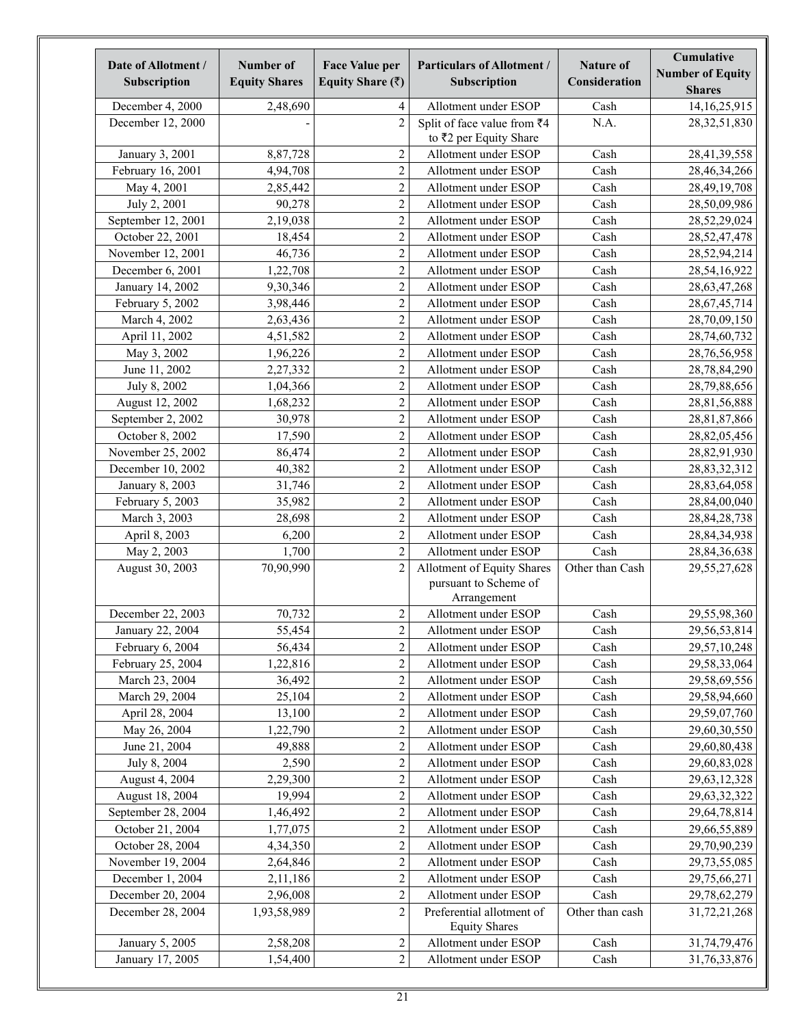| Date of Allotment /<br>Subscription | <b>Number of</b><br><b>Equity Shares</b> | <b>Face Value per</b><br>Equity Share $(\bar{z})$ | <b>Particulars of Allotment /</b><br>Subscription                  | <b>Nature of</b><br>Consideration | Cumulative<br><b>Number of Equity</b><br><b>Shares</b> |
|-------------------------------------|------------------------------------------|---------------------------------------------------|--------------------------------------------------------------------|-----------------------------------|--------------------------------------------------------|
| December 4, 2000                    | 2,48,690                                 | 4                                                 | Allotment under ESOP                                               | Cash                              | 14, 16, 25, 915                                        |
| December 12, 2000                   |                                          | $\overline{c}$                                    | Split of face value from $\overline{z}4$<br>to ₹2 per Equity Share | N.A.                              | 28, 32, 51, 830                                        |
| January 3, 2001                     | 8,87,728                                 | $\sqrt{2}$                                        | Allotment under ESOP                                               | Cash                              | 28,41,39,558                                           |
| February 16, 2001                   | 4,94,708                                 | $\overline{2}$                                    | Allotment under ESOP                                               | Cash                              | 28,46,34,266                                           |
| May 4, 2001                         | 2,85,442                                 | $\overline{2}$                                    | Allotment under ESOP                                               | Cash                              | 28,49,19,708                                           |
| July 2, 2001                        | 90,278                                   | $\overline{2}$                                    | Allotment under ESOP                                               | Cash                              | 28,50,09,986                                           |
| September 12, 2001                  | 2,19,038                                 | $\overline{2}$                                    | Allotment under ESOP                                               | Cash                              | 28,52,29,024                                           |
| October 22, 2001                    | 18,454                                   | $\overline{2}$                                    | Allotment under ESOP                                               | Cash                              | 28,52,47,478                                           |
| November 12, 2001                   | 46,736                                   | $\overline{2}$                                    | Allotment under ESOP                                               | Cash                              | 28,52,94,214                                           |
| December 6, 2001                    | 1,22,708                                 | $\overline{c}$                                    | Allotment under ESOP                                               | Cash                              | 28,54,16,922                                           |
| January 14, 2002                    | 9,30,346                                 | $\overline{c}$                                    | Allotment under ESOP                                               | Cash                              | 28, 63, 47, 268                                        |
| February 5, 2002                    | 3,98,446                                 | $\overline{c}$                                    | Allotment under ESOP                                               | Cash                              | 28,67,45,714                                           |
| March 4, 2002                       | 2,63,436                                 | $\overline{c}$                                    | Allotment under ESOP                                               | Cash                              | 28,70,09,150                                           |
| April 11, 2002                      | 4,51,582                                 | $\overline{c}$                                    | Allotment under ESOP                                               | Cash                              | 28,74,60,732                                           |
| May 3, 2002                         | 1,96,226                                 | $\sqrt{2}$                                        | Allotment under ESOP                                               | Cash                              | 28,76,56,958                                           |
| June 11, 2002                       | 2,27,332                                 | $\overline{c}$                                    | Allotment under ESOP                                               | Cash                              | 28,78,84,290                                           |
| July 8, 2002                        | 1,04,366                                 | $\overline{c}$                                    | Allotment under ESOP                                               | Cash                              | 28,79,88,656                                           |
| August 12, 2002                     | 1,68,232                                 | $\overline{c}$                                    | Allotment under ESOP                                               | Cash                              | 28,81,56,888                                           |
| September 2, 2002                   | 30,978                                   | $\overline{c}$                                    | Allotment under ESOP                                               | Cash                              | 28,81,87,866                                           |
| October 8, 2002                     | 17,590                                   | $\overline{c}$                                    | Allotment under ESOP                                               | Cash                              | 28,82,05,456                                           |
| November 25, 2002                   | 86,474                                   | $\overline{c}$                                    | Allotment under ESOP                                               | Cash                              | 28,82,91,930                                           |
| December 10, 2002                   | 40,382                                   | $\overline{c}$                                    | Allotment under ESOP                                               | Cash                              | 28, 83, 32, 312                                        |
| January 8, 2003                     | 31,746                                   | $\overline{c}$                                    | Allotment under ESOP                                               | Cash                              | 28,83,64,058                                           |
| February 5, 2003                    | 35,982                                   | $\overline{c}$                                    | Allotment under ESOP                                               | Cash                              | 28,84,00,040                                           |
| March 3, 2003                       | 28,698                                   | $\mathbf 2$                                       | Allotment under ESOP                                               | Cash                              | 28, 84, 28, 738                                        |
| April 8, 2003                       | 6,200                                    | $\overline{c}$                                    | Allotment under ESOP                                               | Cash                              | 28, 84, 34, 938                                        |
| May 2, 2003                         | 1,700                                    | $\overline{c}$                                    | Allotment under ESOP                                               | Cash                              | 28, 84, 36, 638                                        |
| August 30, 2003                     | 70,90,990                                | $\overline{c}$                                    | Allotment of Equity Shares                                         | Other than Cash                   | 29,55,27,628                                           |
|                                     |                                          |                                                   | pursuant to Scheme of<br>Arrangement                               |                                   |                                                        |
| December 22, 2003                   | 70,732                                   | $\overline{c}$                                    | Allotment under ESOP                                               | Cash                              | 29,55,98,360                                           |
| January 22, 2004                    | 55,454                                   | $\mathbf 2$                                       | Allotment under ESOP                                               | Cash                              | 29,56,53,814                                           |
| February 6, 2004                    | 56,434                                   | $\mathbf 2$                                       | Allotment under ESOP                                               | Cash                              | 29,57,10,248                                           |
| February 25, 2004                   | 1,22,816                                 | $\boldsymbol{2}$                                  | Allotment under ESOP                                               | Cash                              | 29,58,33,064                                           |
| March 23, 2004                      | 36,492                                   | $\sqrt{2}$                                        | Allotment under ESOP                                               | Cash                              | 29,58,69,556                                           |
| March 29, 2004                      | 25,104                                   | $\sqrt{2}$                                        | Allotment under ESOP                                               | Cash                              | 29,58,94,660                                           |
| April 28, 2004                      | 13,100                                   | $\sqrt{2}$                                        | Allotment under ESOP                                               | Cash                              | 29,59,07,760                                           |
| May 26, 2004                        | 1,22,790                                 | $\sqrt{2}$                                        | Allotment under ESOP                                               | Cash                              | 29,60,30,550                                           |
| June 21, 2004                       | 49,888                                   | $\sqrt{2}$                                        | Allotment under ESOP                                               | Cash                              | 29,60,80,438                                           |
| July 8, 2004                        | 2,590                                    | $\boldsymbol{2}$                                  | Allotment under ESOP                                               | Cash                              | 29,60,83,028                                           |
| August 4, 2004                      | 2,29,300                                 | $\sqrt{2}$                                        | Allotment under ESOP                                               | Cash                              | 29, 63, 12, 328                                        |
| August 18, 2004                     | 19,994                                   | $\sqrt{2}$                                        | Allotment under ESOP                                               | Cash                              | 29,63,32,322                                           |
| September 28, 2004                  | 1,46,492                                 | $\sqrt{2}$                                        | Allotment under ESOP                                               | Cash                              | 29,64,78,814                                           |
| October 21, 2004                    | 1,77,075                                 | $\sqrt{2}$                                        | Allotment under ESOP                                               | Cash                              | 29,66,55,889                                           |
| October 28, 2004                    | 4,34,350                                 | $\boldsymbol{2}$                                  | Allotment under ESOP                                               | Cash                              | 29,70,90,239                                           |
| November 19, 2004                   | 2,64,846                                 | $\boldsymbol{2}$                                  | Allotment under ESOP                                               | Cash                              | 29,73,55,085                                           |
| December 1, 2004                    | 2,11,186                                 | $\sqrt{2}$                                        | Allotment under ESOP                                               | Cash                              | 29,75,66,271                                           |
| December 20, 2004                   | 2,96,008                                 | $\sqrt{2}$                                        | Allotment under ESOP                                               | Cash                              | 29,78,62,279                                           |
| December 28, 2004                   | 1,93,58,989                              | $\overline{c}$                                    | Preferential allotment of<br><b>Equity Shares</b>                  | Other than cash                   | 31,72,21,268                                           |
| January 5, 2005                     | 2,58,208                                 | $\sqrt{2}$                                        | Allotment under ESOP                                               | Cash                              | 31,74,79,476                                           |
| January 17, 2005                    | 1,54,400                                 | $\sqrt{2}$                                        | Allotment under ESOP                                               | Cash                              | 31,76,33,876                                           |
|                                     |                                          |                                                   |                                                                    |                                   |                                                        |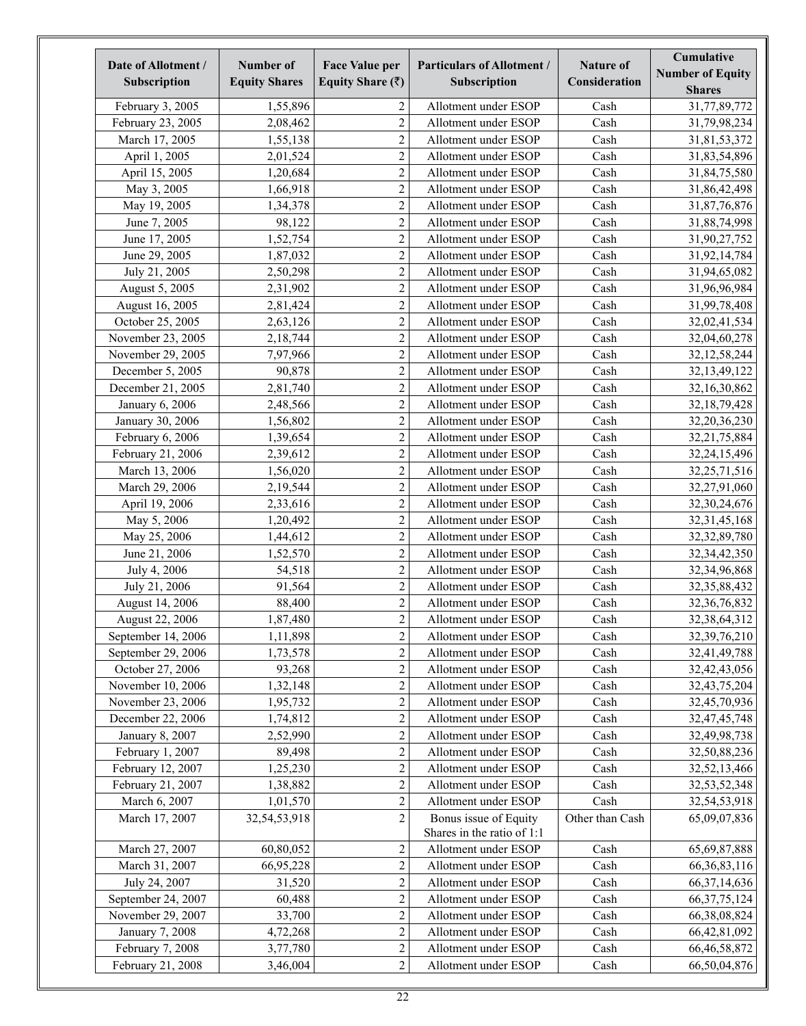| Date of Allotment /<br>Subscription | Number of<br><b>Equity Shares</b> | <b>Face Value per</b><br>Equity Share $(\bar{z})$ | <b>Particulars of Allotment /</b><br>Subscription   | <b>Nature of</b><br>Consideration | Cumulative<br><b>Number of Equity</b><br><b>Shares</b> |
|-------------------------------------|-----------------------------------|---------------------------------------------------|-----------------------------------------------------|-----------------------------------|--------------------------------------------------------|
| February 3, 2005                    | 1,55,896                          | 2                                                 | Allotment under ESOP                                | Cash                              | 31,77,89,772                                           |
| February 23, 2005                   | 2,08,462                          | $\overline{c}$                                    | Allotment under ESOP                                | Cash                              | 31,79,98,234                                           |
| March 17, 2005                      | 1,55,138                          | $\overline{c}$                                    | Allotment under ESOP                                | Cash                              | 31,81,53,372                                           |
| April 1, 2005                       | 2,01,524                          | $\overline{c}$                                    | Allotment under ESOP                                | Cash                              | 31,83,54,896                                           |
| April 15, 2005                      | 1,20,684                          | $\overline{c}$                                    | Allotment under ESOP                                | Cash                              | 31,84,75,580                                           |
| May 3, 2005                         | 1,66,918                          | $\overline{c}$                                    | Allotment under ESOP                                | Cash                              | 31,86,42,498                                           |
| May 19, 2005                        | 1,34,378                          | $\overline{c}$                                    | Allotment under ESOP                                | Cash                              | 31,87,76,876                                           |
| June 7, 2005                        | 98,122                            | $\overline{c}$                                    | Allotment under ESOP                                | Cash                              | 31,88,74,998                                           |
| June 17, 2005                       | 1,52,754                          | $\overline{2}$                                    | Allotment under ESOP                                | Cash                              | 31,90,27,752                                           |
| June 29, 2005                       | 1,87,032                          | $\overline{2}$                                    | Allotment under ESOP                                | Cash                              | 31,92,14,784                                           |
| July 21, 2005                       | 2,50,298                          | $\overline{2}$                                    | Allotment under ESOP                                | Cash                              | 31,94,65,082                                           |
| August 5, 2005                      | 2,31,902                          | $\overline{c}$                                    | Allotment under ESOP                                | Cash                              | 31,96,96,984                                           |
| August 16, 2005                     | 2,81,424                          | $\overline{c}$                                    | Allotment under ESOP                                | Cash                              | 31,99,78,408                                           |
| October 25, 2005                    | 2,63,126                          | $\overline{c}$                                    | Allotment under ESOP                                | Cash                              | 32,02,41,534                                           |
| November 23, 2005                   | 2,18,744                          | $\overline{c}$                                    | Allotment under ESOP                                | Cash                              | 32,04,60,278                                           |
| November 29, 2005                   | 7,97,966                          | $\overline{c}$                                    | Allotment under ESOP                                | Cash                              | 32, 12, 58, 244                                        |
| December 5, 2005                    | 90,878                            | $\overline{2}$                                    | Allotment under ESOP                                | Cash                              | 32, 13, 49, 122                                        |
| December 21, 2005                   | 2,81,740                          | $\overline{2}$                                    | Allotment under ESOP                                | Cash                              | 32,16,30,862                                           |
| January 6, 2006                     | 2,48,566                          | $\overline{c}$                                    | Allotment under ESOP                                | Cash                              | 32, 18, 79, 428                                        |
| January 30, 2006                    | 1,56,802                          | $\overline{2}$                                    | Allotment under ESOP                                | Cash                              | 32,20,36,230                                           |
| February 6, 2006                    | 1,39,654                          | $\overline{c}$                                    | Allotment under ESOP                                | Cash                              | 32, 21, 75, 884                                        |
| February 21, 2006                   | 2,39,612                          | $\boldsymbol{2}$                                  | Allotment under ESOP                                | Cash                              | 32,24,15,496                                           |
| March 13, 2006                      | 1,56,020                          | $\overline{c}$                                    | Allotment under ESOP                                | Cash                              | 32,25,71,516                                           |
| March 29, 2006                      | 2,19,544                          | $\boldsymbol{2}$                                  | Allotment under ESOP                                | Cash                              | 32,27,91,060                                           |
| April 19, 2006                      | 2,33,616                          | $\overline{2}$                                    | Allotment under ESOP                                | Cash                              | 32,30,24,676                                           |
| May 5, 2006                         | 1,20,492                          | $\overline{2}$                                    | Allotment under ESOP                                | Cash                              | 32, 31, 45, 168                                        |
| May 25, 2006                        | 1,44,612                          | $\overline{2}$                                    | Allotment under ESOP                                | Cash                              | 32, 32, 89, 780                                        |
| June 21, 2006                       | 1,52,570                          | $\overline{c}$                                    | Allotment under ESOP                                | Cash                              | 32, 34, 42, 350                                        |
| July 4, 2006                        | 54,518                            | $\overline{c}$                                    | Allotment under ESOP                                | Cash                              | 32,34,96,868                                           |
| July 21, 2006                       | 91,564                            | $\overline{2}$                                    | Allotment under ESOP                                | Cash                              | 32, 35, 88, 432                                        |
| August 14, 2006                     | 88,400                            | $\overline{2}$                                    | Allotment under ESOP                                | Cash                              | 32, 36, 76, 832                                        |
| August 22, 2006                     | 1,87,480                          | $\overline{c}$                                    | Allotment under ESOP                                | Cash                              | 32, 38, 64, 312                                        |
| September 14, 2006                  | 1,11,898                          | $\overline{c}$                                    | Allotment under ESOP                                | Cash                              | 32, 39, 76, 210                                        |
| September 29, 2006                  | 1,73,578                          | $\overline{c}$                                    | Allotment under ESOP                                | Cash                              | 32,41,49,788                                           |
| October 27, 2006                    | 93,268                            | $\overline{c}$                                    | Allotment under ESOP                                | Cash                              | 32,42,43,056                                           |
| November 10, 2006                   | 1,32,148                          | $\overline{c}$                                    | Allotment under ESOP                                | Cash                              | 32, 43, 75, 204                                        |
| November 23, 2006                   | 1,95,732                          | $\overline{c}$                                    | Allotment under ESOP                                | Cash                              | 32,45,70,936                                           |
| December 22, 2006                   | 1,74,812                          | $\overline{c}$                                    | Allotment under ESOP                                | Cash                              | 32,47,45,748                                           |
| January 8, 2007                     | 2,52,990                          | $\overline{c}$                                    | Allotment under ESOP                                | Cash                              | 32,49,98,738                                           |
| February 1, 2007                    | 89,498                            | $\overline{c}$                                    | Allotment under ESOP                                | Cash                              | 32,50,88,236                                           |
| February 12, 2007                   | 1,25,230                          | $\overline{2}$                                    | Allotment under ESOP                                | Cash                              | 32,52,13,466                                           |
| February 21, 2007                   | 1,38,882                          | $\overline{c}$                                    | Allotment under ESOP                                | Cash                              | 32,53,52,348                                           |
| March 6, 2007                       | 1,01,570                          | $\overline{c}$                                    | Allotment under ESOP                                | Cash                              | 32,54,53,918                                           |
| March 17, 2007                      | 32,54,53,918                      | $\overline{2}$                                    | Bonus issue of Equity<br>Shares in the ratio of 1:1 | Other than Cash                   | 65,09,07,836                                           |
| March 27, 2007                      | 60,80,052                         | $\overline{c}$                                    | Allotment under ESOP                                | Cash                              | 65, 69, 87, 888                                        |
| March 31, 2007                      | 66,95,228                         | $\overline{c}$                                    | Allotment under ESOP                                | Cash                              | 66, 36, 83, 116                                        |
| July 24, 2007                       | 31,520                            | $\overline{2}$                                    | Allotment under ESOP                                | Cash                              | 66, 37, 14, 636                                        |
| September 24, 2007                  | 60,488                            | $\overline{c}$                                    | Allotment under ESOP                                | Cash                              | 66, 37, 75, 124                                        |
| November 29, 2007                   | 33,700                            | $\overline{c}$                                    | Allotment under ESOP                                | Cash                              | 66, 38, 08, 824                                        |
| January 7, 2008                     | 4,72,268                          | $\overline{c}$                                    | Allotment under ESOP                                | Cash                              | 66,42,81,092                                           |
| February 7, 2008                    | 3,77,780                          | $\overline{c}$                                    | Allotment under ESOP                                | Cash                              | 66, 46, 58, 872                                        |
| February 21, 2008                   | 3,46,004                          | $\overline{2}$                                    | Allotment under ESOP                                | Cash                              | 66,50,04,876                                           |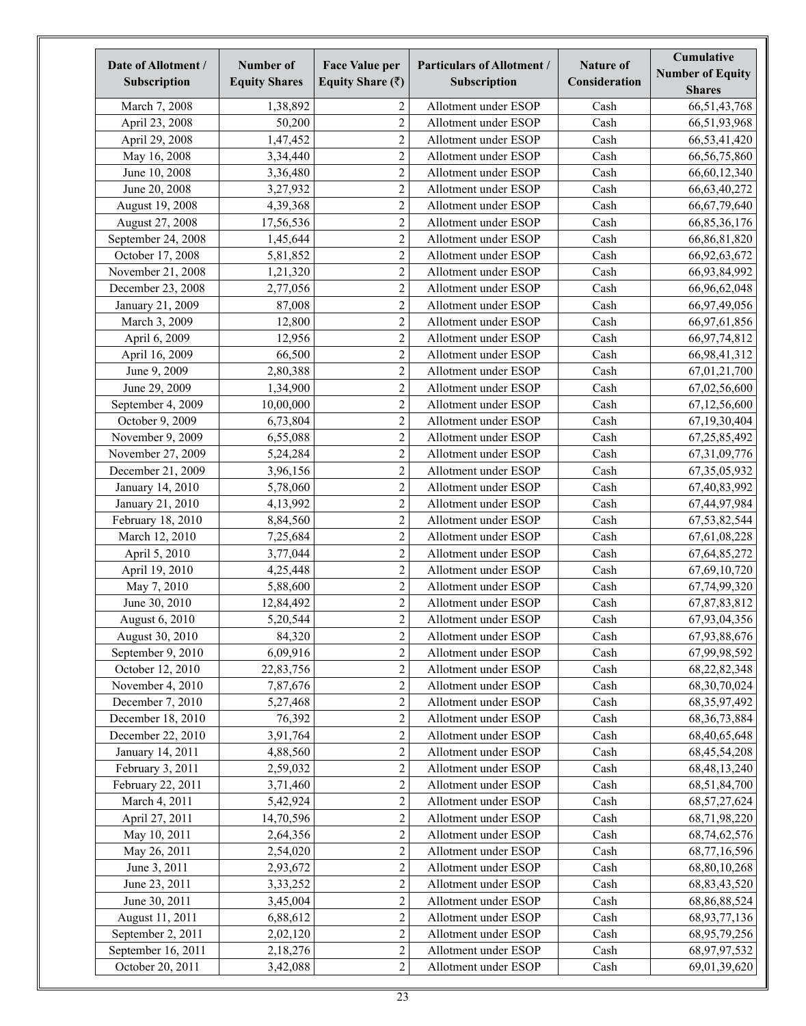| Date of Allotment /<br>Subscription | Number of<br><b>Equity Shares</b> | <b>Face Value per</b><br>Equity Share $(\bar{z})$ | <b>Particulars of Allotment /</b><br>Subscription | <b>Nature of</b><br>Consideration | Cumulative<br><b>Number of Equity</b><br><b>Shares</b> |
|-------------------------------------|-----------------------------------|---------------------------------------------------|---------------------------------------------------|-----------------------------------|--------------------------------------------------------|
| March 7, 2008                       | 1,38,892                          | 2                                                 | Allotment under ESOP                              | Cash                              | 66,51,43,768                                           |
| April 23, 2008                      | 50,200                            | $\overline{c}$                                    | Allotment under ESOP                              | Cash                              | 66,51,93,968                                           |
| April 29, 2008                      | 1,47,452                          | $\overline{c}$                                    | Allotment under ESOP                              | Cash                              | 66,53,41,420                                           |
| May 16, 2008                        | 3,34,440                          | $\overline{c}$                                    | Allotment under ESOP                              | Cash                              | 66, 56, 75, 860                                        |
| June 10, 2008                       | 3,36,480                          | $\overline{c}$                                    | Allotment under ESOP                              | Cash                              | 66,60,12,340                                           |
| June 20, 2008                       | 3,27,932                          | $\overline{c}$                                    | Allotment under ESOP                              | Cash                              | 66, 63, 40, 272                                        |
| August 19, 2008                     | 4,39,368                          | $\overline{c}$                                    | Allotment under ESOP                              | Cash                              | 66, 67, 79, 640                                        |
| August 27, 2008                     | 17,56,536                         | $\overline{c}$                                    | Allotment under ESOP                              | Cash                              | 66,85,36,176                                           |
| September 24, 2008                  | 1,45,644                          | $\overline{c}$                                    | Allotment under ESOP                              | Cash                              | 66,86,81,820                                           |
| October 17, 2008                    | 5,81,852                          | $\overline{c}$                                    | Allotment under ESOP                              | Cash                              | 66,92,63,672                                           |
| November 21, 2008                   | 1,21,320                          | $\overline{c}$                                    | Allotment under ESOP                              | Cash                              | 66,93,84,992                                           |
| December 23, 2008                   | 2,77,056                          | $\overline{c}$                                    | Allotment under ESOP                              | Cash                              | 66,96,62,048                                           |
| January 21, 2009                    | 87,008                            | $\overline{c}$                                    | Allotment under ESOP                              | Cash                              | 66,97,49,056                                           |
| March 3, 2009                       | 12,800                            | $\overline{c}$                                    | Allotment under ESOP                              | Cash                              | 66,97,61,856                                           |
| April 6, 2009                       | 12,956                            | $\overline{c}$                                    | Allotment under ESOP                              | Cash                              | 66, 97, 74, 812                                        |
| April 16, 2009                      | 66,500                            | $\overline{c}$                                    | Allotment under ESOP                              | Cash                              | 66,98,41,312                                           |
| June 9, 2009                        | 2,80,388                          | $\overline{c}$                                    | Allotment under ESOP                              | Cash                              | 67,01,21,700                                           |
| June 29, 2009                       | 1,34,900                          | $\overline{c}$                                    | Allotment under ESOP                              | Cash                              | 67,02,56,600                                           |
| September 4, 2009                   | 10,00,000                         | $\overline{c}$                                    | Allotment under ESOP                              | Cash                              | 67,12,56,600                                           |
| October 9, 2009                     | 6,73,804                          | $\overline{c}$                                    | Allotment under ESOP                              | Cash                              | 67,19,30,404                                           |
| November 9, 2009                    | 6,55,088                          | $\overline{c}$                                    | Allotment under ESOP                              | Cash                              | 67,25,85,492                                           |
| November 27, 2009                   | 5,24,284                          | $\overline{c}$                                    | Allotment under ESOP                              | Cash                              | 67, 31, 09, 776                                        |
| December 21, 2009                   | 3,96,156                          | $\overline{c}$                                    | Allotment under ESOP                              | Cash                              | 67, 35, 05, 932                                        |
| January 14, 2010                    | 5,78,060                          | $\overline{c}$                                    | Allotment under ESOP                              | Cash                              | 67,40,83,992                                           |
| January 21, 2010                    | 4,13,992                          | $\overline{c}$                                    | Allotment under ESOP                              | Cash                              | 67,44,97,984                                           |
| February 18, 2010                   | 8,84,560                          | $\overline{c}$                                    | Allotment under ESOP                              | Cash                              | 67, 53, 82, 544                                        |
| March 12, 2010                      | 7,25,684                          | $\overline{c}$                                    | Allotment under ESOP                              | Cash                              | 67,61,08,228                                           |
| April 5, 2010                       | 3,77,044                          | $\overline{c}$                                    | Allotment under ESOP                              | Cash                              | 67, 64, 85, 272                                        |
| April 19, 2010                      | 4,25,448                          | $\overline{c}$                                    | Allotment under ESOP                              | Cash                              | 67,69,10,720                                           |
| May 7, 2010                         | 5,88,600                          | $\overline{c}$                                    | Allotment under ESOP                              | Cash                              | 67,74,99,320                                           |
| June 30, 2010                       | 12,84,492                         | $\overline{c}$                                    | Allotment under ESOP                              | Cash                              | 67,87,83,812                                           |
| August 6, 2010                      | 5,20,544                          | $\overline{c}$                                    | Allotment under ESOP                              | Cash                              | 67,93,04,356                                           |
| August 30, 2010                     | 84,320                            | $\overline{c}$                                    | Allotment under ESOP                              | Cash                              | 67,93,88,676                                           |
| September 9, 2010                   | 6,09,916                          | $\overline{\mathbf{c}}$                           | Allotment under ESOP                              | Cash                              | 67,99,98,592                                           |
| October 12, 2010                    | 22,83,756                         | $\overline{c}$                                    | Allotment under ESOP                              | Cash                              | 68, 22, 82, 348                                        |
| November 4, 2010                    | 7,87,676                          | $\overline{c}$                                    | Allotment under ESOP                              | Cash                              | 68, 30, 70, 024                                        |
| December 7, 2010                    | 5,27,468                          | $\overline{c}$                                    | Allotment under ESOP                              | Cash                              | 68, 35, 97, 492                                        |
| December 18, 2010                   | 76,392                            | $\overline{c}$                                    | Allotment under ESOP                              | Cash                              | 68, 36, 73, 884                                        |
| December 22, 2010                   | 3,91,764                          | $\overline{c}$                                    | Allotment under ESOP                              | Cash                              | 68,40,65,648                                           |
| January 14, 2011                    | 4,88,560                          | $\overline{c}$                                    | Allotment under ESOP                              | Cash                              | 68, 45, 54, 208                                        |
| February 3, 2011                    | 2,59,032                          | $\overline{c}$                                    | Allotment under ESOP                              | Cash                              | 68, 48, 13, 240                                        |
| February 22, 2011                   | 3,71,460                          | $\overline{c}$                                    | Allotment under ESOP                              | Cash                              | 68,51,84,700                                           |
| March 4, 2011                       | 5,42,924                          | $\overline{c}$                                    | Allotment under ESOP                              | Cash                              | 68, 57, 27, 624                                        |
| April 27, 2011                      | 14,70,596                         | $\overline{c}$                                    | Allotment under ESOP                              | Cash                              | 68,71,98,220                                           |
| May 10, 2011                        | 2,64,356                          | $\overline{c}$                                    | Allotment under ESOP                              | Cash                              | 68,74,62,576                                           |
| May 26, 2011                        | 2,54,020                          | $\overline{c}$                                    | Allotment under ESOP                              | Cash                              | 68,77,16,596                                           |
| June 3, 2011                        | 2,93,672                          | $\overline{c}$                                    | Allotment under ESOP                              | Cash                              | 68,80,10,268                                           |
| June 23, 2011                       | 3,33,252                          | $\overline{c}$                                    | Allotment under ESOP                              | Cash                              | 68, 83, 43, 520                                        |
| June 30, 2011                       | 3,45,004                          | $\overline{c}$                                    | Allotment under ESOP                              | Cash                              | 68, 86, 88, 524                                        |
| August 11, 2011                     | 6,88,612                          | $\overline{c}$                                    | Allotment under ESOP                              | Cash                              | 68, 93, 77, 136                                        |
| September 2, 2011                   | 2,02,120                          | $\overline{c}$                                    | Allotment under ESOP                              | Cash                              | 68, 95, 79, 256                                        |
| September 16, 2011                  | 2,18,276                          | $\overline{c}$                                    | Allotment under ESOP                              | Cash                              | 68,97,97,532                                           |
| October 20, 2011                    | 3,42,088                          | $\overline{c}$                                    | Allotment under ESOP                              | Cash                              | 69,01,39,620                                           |
|                                     |                                   |                                                   |                                                   |                                   |                                                        |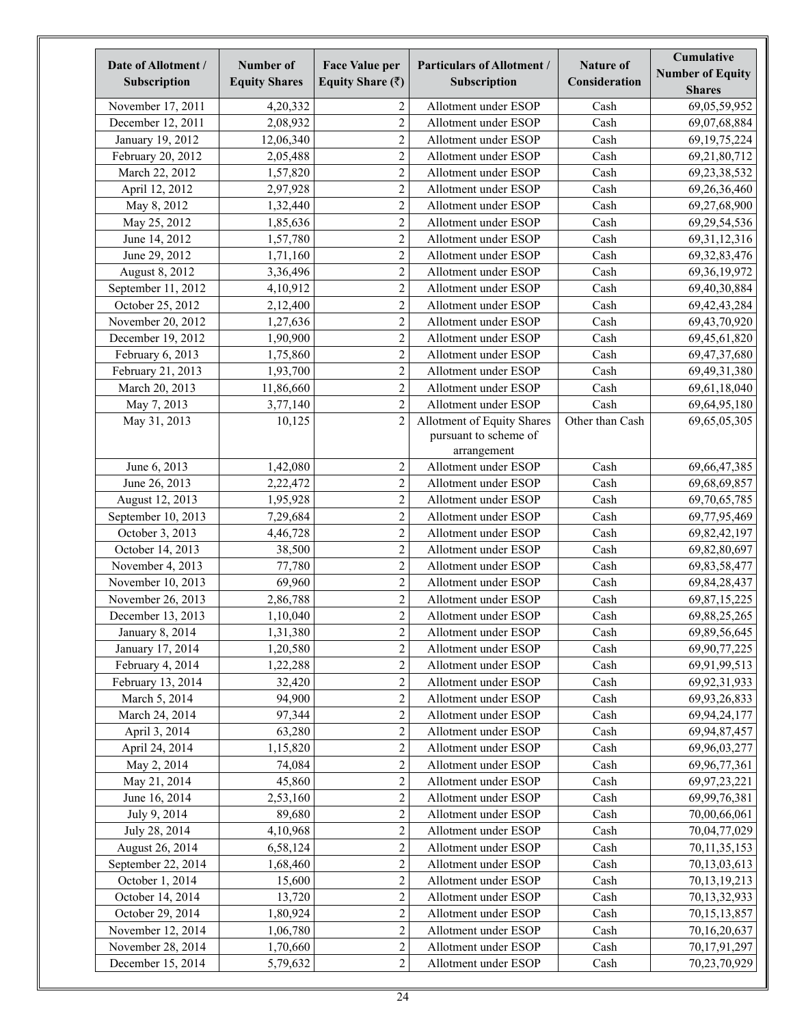| November 17, 2011<br>2<br>Allotment under ESOP<br>Cash<br>69,05,59,952<br>4,20,332<br>$\overline{c}$<br>December 12, 2011<br>2,08,932<br>Cash<br>Allotment under ESOP<br>69,07,68,884<br>$\overline{2}$<br>January 19, 2012<br>Cash<br>12,06,340<br>Allotment under ESOP<br>69, 19, 75, 224<br>$\overline{2}$<br>February 20, 2012<br>2,05,488<br>Allotment under ESOP<br>Cash<br>69,21,80,712<br>$\overline{2}$<br>March 22, 2012<br>Allotment under ESOP<br>Cash<br>1,57,820<br>69, 23, 38, 532<br>$\overline{c}$<br>Cash<br>April 12, 2012<br>2,97,928<br>Allotment under ESOP<br>69,26,36,460<br>$\overline{c}$<br>Cash<br>May 8, 2012<br>Allotment under ESOP<br>1,32,440<br>69,27,68,900<br>$\overline{c}$<br>May 25, 2012<br>Allotment under ESOP<br>Cash<br>1,85,636<br>69,29,54,536<br>$\overline{c}$<br>June 14, 2012<br>Allotment under ESOP<br>Cash<br>1,57,780<br>69, 31, 12, 316<br>$\overline{2}$<br>June 29, 2012<br>Allotment under ESOP<br>Cash<br>1,71,160<br>69, 32, 83, 476<br>$\overline{2}$<br>Cash<br>August 8, 2012<br>3,36,496<br>Allotment under ESOP<br>69, 36, 19, 972<br>$\overline{c}$<br>September 11, 2012<br>Allotment under ESOP<br>Cash<br>4,10,912<br>69,40,30,884<br>$\overline{c}$<br>Cash<br>October 25, 2012<br>2,12,400<br>Allotment under ESOP<br>69, 42, 43, 284<br>$\boldsymbol{2}$<br>November 20, 2012<br>1,27,636<br>Allotment under ESOP<br>Cash<br>69,43,70,920<br>$\overline{c}$<br>Cash<br>December 19, 2012<br>1,90,900<br>Allotment under ESOP<br>69,45,61,820<br>$\overline{2}$<br>Allotment under ESOP<br>Cash<br>February 6, 2013<br>1,75,860<br>69,47,37,680<br>$\overline{c}$<br>Cash<br>February 21, 2013<br>Allotment under ESOP<br>69,49,31,380<br>1,93,700<br>$\overline{c}$<br>Cash<br>March 20, 2013<br>Allotment under ESOP<br>69,61,18,040<br>11,86,660<br>$\overline{c}$<br>Allotment under ESOP<br>Cash<br>May 7, 2013<br>3,77,140<br>69,64,95,180<br>$\overline{c}$<br>Allotment of Equity Shares<br>May 31, 2013<br>10,125<br>Other than Cash<br>69,65,05,305<br>pursuant to scheme of<br>arrangement<br>June 6, 2013<br>$\overline{c}$<br>Allotment under ESOP<br>Cash<br>1,42,080<br>69,66,47,385<br>$\boldsymbol{2}$<br>June 26, 2013<br>Allotment under ESOP<br>Cash<br>2,22,472<br>69,68,69,857<br>$\boldsymbol{2}$<br>August 12, 2013<br>Allotment under ESOP<br>Cash<br>1,95,928<br>69,70,65,785<br>$\overline{c}$<br>September 10, 2013<br>Allotment under ESOP<br>Cash<br>7,29,684<br>69,77,95,469<br>$\overline{c}$<br>October 3, 2013<br>Allotment under ESOP<br>Cash<br>4,46,728<br>69, 82, 42, 197<br>$\overline{c}$<br>Cash<br>October 14, 2013<br>38,500<br>Allotment under ESOP<br>69,82,80,697<br>$\overline{c}$<br>November 4, 2013<br>77,780<br>Allotment under ESOP<br>Cash<br>69,83,58,477<br>$\overline{2}$<br>November 10, 2013<br>Cash<br>69,960<br>Allotment under ESOP<br>69, 84, 28, 437<br>$\overline{c}$<br>November 26, 2013<br>Cash<br>2,86,788<br>Allotment under ESOP<br>69, 87, 15, 225<br>$\overline{c}$<br>December 13, 2013<br>1,10,040<br>Allotment under ESOP<br>Cash<br>69, 88, 25, 265<br>$\overline{c}$<br>January 8, 2014<br>1,31,380<br>Allotment under ESOP<br>Cash<br>69,89,56,645<br>$\overline{c}$<br>69,90,77,225<br>1,20,580<br>January 17, 2014<br>Cash<br>Allotment under ESOP<br>$\overline{c}$<br>February 4, 2014<br>1,22,288<br>69,91,99,513<br>Allotment under ESOP<br>Cash<br>$\overline{c}$<br>February 13, 2014<br>32,420<br>Cash<br>Allotment under ESOP<br>69,92,31,933<br>$\overline{c}$<br>94,900<br>Cash<br>March 5, 2014<br>Allotment under ESOP<br>69,93,26,833<br>$\sqrt{2}$<br>97,344<br>March 24, 2014<br>Allotment under ESOP<br>Cash<br>69,94,24,177<br>$\sqrt{2}$<br>63,280<br>Cash<br>April 3, 2014<br>Allotment under ESOP<br>69,94,87,457<br>$\overline{c}$<br>April 24, 2014<br>1,15,820<br>Allotment under ESOP<br>Cash<br>69,96,03,277<br>$\overline{c}$<br>May 2, 2014<br>74,084<br>Allotment under ESOP<br>Cash<br>69,96,77,361<br>$\overline{c}$<br>45,860<br>May 21, 2014<br>Allotment under ESOP<br>Cash<br>69,97,23,221<br>$\overline{c}$<br>June 16, 2014<br>2,53,160<br>Cash<br>Allotment under ESOP<br>69,99,76,381<br>$\overline{c}$<br>July 9, 2014<br>89,680<br>Cash<br>Allotment under ESOP<br>70,00,66,061<br>$\overline{c}$<br>July 28, 2014<br>4,10,968<br>Cash<br>Allotment under ESOP<br>70,04,77,029<br>$\overline{c}$<br>August 26, 2014<br>6,58,124<br>Cash<br>Allotment under ESOP<br>70, 11, 35, 153<br>$\overline{c}$<br>September 22, 2014<br>Allotment under ESOP<br>Cash<br>1,68,460<br>70,13,03,613<br>$\overline{2}$<br>October 1, 2014<br>15,600<br>Allotment under ESOP<br>Cash<br>70, 13, 19, 213<br>$\overline{c}$<br>October 14, 2014<br>13,720<br>Allotment under ESOP<br>Cash<br>70,13,32,933<br>$\overline{c}$<br>October 29, 2014<br>1,80,924<br>Allotment under ESOP<br>Cash<br>70, 15, 13, 857<br>$\overline{c}$<br>November 12, 2014<br>1,06,780<br>Allotment under ESOP<br>Cash<br>70,16,20,637<br>$\overline{c}$<br>November 28, 2014<br>1,70,660<br>Allotment under ESOP<br>Cash<br>70,17,91,297 | Date of Allotment /<br>Subscription | Number of<br><b>Equity Shares</b> | <b>Face Value per</b><br>Equity Share $(\bar{z})$ | <b>Particulars of Allotment /</b><br>Subscription | <b>Nature of</b><br>Consideration | Cumulative<br><b>Number of Equity</b><br><b>Shares</b> |
|----------------------------------------------------------------------------------------------------------------------------------------------------------------------------------------------------------------------------------------------------------------------------------------------------------------------------------------------------------------------------------------------------------------------------------------------------------------------------------------------------------------------------------------------------------------------------------------------------------------------------------------------------------------------------------------------------------------------------------------------------------------------------------------------------------------------------------------------------------------------------------------------------------------------------------------------------------------------------------------------------------------------------------------------------------------------------------------------------------------------------------------------------------------------------------------------------------------------------------------------------------------------------------------------------------------------------------------------------------------------------------------------------------------------------------------------------------------------------------------------------------------------------------------------------------------------------------------------------------------------------------------------------------------------------------------------------------------------------------------------------------------------------------------------------------------------------------------------------------------------------------------------------------------------------------------------------------------------------------------------------------------------------------------------------------------------------------------------------------------------------------------------------------------------------------------------------------------------------------------------------------------------------------------------------------------------------------------------------------------------------------------------------------------------------------------------------------------------------------------------------------------------------------------------------------------------------------------------------------------------------------------------------------------------------------------------------------------------------------------------------------------------------------------------------------------------------------------------------------------------------------------------------------------------------------------------------------------------------------------------------------------------------------------------------------------------------------------------------------------------------------------------------------------------------------------------------------------------------------------------------------------------------------------------------------------------------------------------------------------------------------------------------------------------------------------------------------------------------------------------------------------------------------------------------------------------------------------------------------------------------------------------------------------------------------------------------------------------------------------------------------------------------------------------------------------------------------------------------------------------------------------------------------------------------------------------------------------------------------------------------------------------------------------------------------------------------------------------------------------------------------------------------------------------------------------------------------------------------------------------------------------------------------------------------------------------------------------------------------------------------------------------------------------------------------------------------------------------------------------------------------------------------------------------------------------------------------------------------------------------------------------------------------------------------------------------------------------------------------------------------------------------------------------------------------------------------------------------------------------------------------------------------------------------------------------------------------------------------------------------------------------------------------------------------------------------------------------------------|-------------------------------------|-----------------------------------|---------------------------------------------------|---------------------------------------------------|-----------------------------------|--------------------------------------------------------|
|                                                                                                                                                                                                                                                                                                                                                                                                                                                                                                                                                                                                                                                                                                                                                                                                                                                                                                                                                                                                                                                                                                                                                                                                                                                                                                                                                                                                                                                                                                                                                                                                                                                                                                                                                                                                                                                                                                                                                                                                                                                                                                                                                                                                                                                                                                                                                                                                                                                                                                                                                                                                                                                                                                                                                                                                                                                                                                                                                                                                                                                                                                                                                                                                                                                                                                                                                                                                                                                                                                                                                                                                                                                                                                                                                                                                                                                                                                                                                                                                                                                                                                                                                                                                                                                                                                                                                                                                                                                                                                                                                                                                                                                                                                                                                                                                                                                                                                                                                                                                                                                                                                    |                                     |                                   |                                                   |                                                   |                                   |                                                        |
|                                                                                                                                                                                                                                                                                                                                                                                                                                                                                                                                                                                                                                                                                                                                                                                                                                                                                                                                                                                                                                                                                                                                                                                                                                                                                                                                                                                                                                                                                                                                                                                                                                                                                                                                                                                                                                                                                                                                                                                                                                                                                                                                                                                                                                                                                                                                                                                                                                                                                                                                                                                                                                                                                                                                                                                                                                                                                                                                                                                                                                                                                                                                                                                                                                                                                                                                                                                                                                                                                                                                                                                                                                                                                                                                                                                                                                                                                                                                                                                                                                                                                                                                                                                                                                                                                                                                                                                                                                                                                                                                                                                                                                                                                                                                                                                                                                                                                                                                                                                                                                                                                                    |                                     |                                   |                                                   |                                                   |                                   |                                                        |
|                                                                                                                                                                                                                                                                                                                                                                                                                                                                                                                                                                                                                                                                                                                                                                                                                                                                                                                                                                                                                                                                                                                                                                                                                                                                                                                                                                                                                                                                                                                                                                                                                                                                                                                                                                                                                                                                                                                                                                                                                                                                                                                                                                                                                                                                                                                                                                                                                                                                                                                                                                                                                                                                                                                                                                                                                                                                                                                                                                                                                                                                                                                                                                                                                                                                                                                                                                                                                                                                                                                                                                                                                                                                                                                                                                                                                                                                                                                                                                                                                                                                                                                                                                                                                                                                                                                                                                                                                                                                                                                                                                                                                                                                                                                                                                                                                                                                                                                                                                                                                                                                                                    |                                     |                                   |                                                   |                                                   |                                   |                                                        |
|                                                                                                                                                                                                                                                                                                                                                                                                                                                                                                                                                                                                                                                                                                                                                                                                                                                                                                                                                                                                                                                                                                                                                                                                                                                                                                                                                                                                                                                                                                                                                                                                                                                                                                                                                                                                                                                                                                                                                                                                                                                                                                                                                                                                                                                                                                                                                                                                                                                                                                                                                                                                                                                                                                                                                                                                                                                                                                                                                                                                                                                                                                                                                                                                                                                                                                                                                                                                                                                                                                                                                                                                                                                                                                                                                                                                                                                                                                                                                                                                                                                                                                                                                                                                                                                                                                                                                                                                                                                                                                                                                                                                                                                                                                                                                                                                                                                                                                                                                                                                                                                                                                    |                                     |                                   |                                                   |                                                   |                                   |                                                        |
|                                                                                                                                                                                                                                                                                                                                                                                                                                                                                                                                                                                                                                                                                                                                                                                                                                                                                                                                                                                                                                                                                                                                                                                                                                                                                                                                                                                                                                                                                                                                                                                                                                                                                                                                                                                                                                                                                                                                                                                                                                                                                                                                                                                                                                                                                                                                                                                                                                                                                                                                                                                                                                                                                                                                                                                                                                                                                                                                                                                                                                                                                                                                                                                                                                                                                                                                                                                                                                                                                                                                                                                                                                                                                                                                                                                                                                                                                                                                                                                                                                                                                                                                                                                                                                                                                                                                                                                                                                                                                                                                                                                                                                                                                                                                                                                                                                                                                                                                                                                                                                                                                                    |                                     |                                   |                                                   |                                                   |                                   |                                                        |
|                                                                                                                                                                                                                                                                                                                                                                                                                                                                                                                                                                                                                                                                                                                                                                                                                                                                                                                                                                                                                                                                                                                                                                                                                                                                                                                                                                                                                                                                                                                                                                                                                                                                                                                                                                                                                                                                                                                                                                                                                                                                                                                                                                                                                                                                                                                                                                                                                                                                                                                                                                                                                                                                                                                                                                                                                                                                                                                                                                                                                                                                                                                                                                                                                                                                                                                                                                                                                                                                                                                                                                                                                                                                                                                                                                                                                                                                                                                                                                                                                                                                                                                                                                                                                                                                                                                                                                                                                                                                                                                                                                                                                                                                                                                                                                                                                                                                                                                                                                                                                                                                                                    |                                     |                                   |                                                   |                                                   |                                   |                                                        |
|                                                                                                                                                                                                                                                                                                                                                                                                                                                                                                                                                                                                                                                                                                                                                                                                                                                                                                                                                                                                                                                                                                                                                                                                                                                                                                                                                                                                                                                                                                                                                                                                                                                                                                                                                                                                                                                                                                                                                                                                                                                                                                                                                                                                                                                                                                                                                                                                                                                                                                                                                                                                                                                                                                                                                                                                                                                                                                                                                                                                                                                                                                                                                                                                                                                                                                                                                                                                                                                                                                                                                                                                                                                                                                                                                                                                                                                                                                                                                                                                                                                                                                                                                                                                                                                                                                                                                                                                                                                                                                                                                                                                                                                                                                                                                                                                                                                                                                                                                                                                                                                                                                    |                                     |                                   |                                                   |                                                   |                                   |                                                        |
|                                                                                                                                                                                                                                                                                                                                                                                                                                                                                                                                                                                                                                                                                                                                                                                                                                                                                                                                                                                                                                                                                                                                                                                                                                                                                                                                                                                                                                                                                                                                                                                                                                                                                                                                                                                                                                                                                                                                                                                                                                                                                                                                                                                                                                                                                                                                                                                                                                                                                                                                                                                                                                                                                                                                                                                                                                                                                                                                                                                                                                                                                                                                                                                                                                                                                                                                                                                                                                                                                                                                                                                                                                                                                                                                                                                                                                                                                                                                                                                                                                                                                                                                                                                                                                                                                                                                                                                                                                                                                                                                                                                                                                                                                                                                                                                                                                                                                                                                                                                                                                                                                                    |                                     |                                   |                                                   |                                                   |                                   |                                                        |
|                                                                                                                                                                                                                                                                                                                                                                                                                                                                                                                                                                                                                                                                                                                                                                                                                                                                                                                                                                                                                                                                                                                                                                                                                                                                                                                                                                                                                                                                                                                                                                                                                                                                                                                                                                                                                                                                                                                                                                                                                                                                                                                                                                                                                                                                                                                                                                                                                                                                                                                                                                                                                                                                                                                                                                                                                                                                                                                                                                                                                                                                                                                                                                                                                                                                                                                                                                                                                                                                                                                                                                                                                                                                                                                                                                                                                                                                                                                                                                                                                                                                                                                                                                                                                                                                                                                                                                                                                                                                                                                                                                                                                                                                                                                                                                                                                                                                                                                                                                                                                                                                                                    |                                     |                                   |                                                   |                                                   |                                   |                                                        |
|                                                                                                                                                                                                                                                                                                                                                                                                                                                                                                                                                                                                                                                                                                                                                                                                                                                                                                                                                                                                                                                                                                                                                                                                                                                                                                                                                                                                                                                                                                                                                                                                                                                                                                                                                                                                                                                                                                                                                                                                                                                                                                                                                                                                                                                                                                                                                                                                                                                                                                                                                                                                                                                                                                                                                                                                                                                                                                                                                                                                                                                                                                                                                                                                                                                                                                                                                                                                                                                                                                                                                                                                                                                                                                                                                                                                                                                                                                                                                                                                                                                                                                                                                                                                                                                                                                                                                                                                                                                                                                                                                                                                                                                                                                                                                                                                                                                                                                                                                                                                                                                                                                    |                                     |                                   |                                                   |                                                   |                                   |                                                        |
|                                                                                                                                                                                                                                                                                                                                                                                                                                                                                                                                                                                                                                                                                                                                                                                                                                                                                                                                                                                                                                                                                                                                                                                                                                                                                                                                                                                                                                                                                                                                                                                                                                                                                                                                                                                                                                                                                                                                                                                                                                                                                                                                                                                                                                                                                                                                                                                                                                                                                                                                                                                                                                                                                                                                                                                                                                                                                                                                                                                                                                                                                                                                                                                                                                                                                                                                                                                                                                                                                                                                                                                                                                                                                                                                                                                                                                                                                                                                                                                                                                                                                                                                                                                                                                                                                                                                                                                                                                                                                                                                                                                                                                                                                                                                                                                                                                                                                                                                                                                                                                                                                                    |                                     |                                   |                                                   |                                                   |                                   |                                                        |
|                                                                                                                                                                                                                                                                                                                                                                                                                                                                                                                                                                                                                                                                                                                                                                                                                                                                                                                                                                                                                                                                                                                                                                                                                                                                                                                                                                                                                                                                                                                                                                                                                                                                                                                                                                                                                                                                                                                                                                                                                                                                                                                                                                                                                                                                                                                                                                                                                                                                                                                                                                                                                                                                                                                                                                                                                                                                                                                                                                                                                                                                                                                                                                                                                                                                                                                                                                                                                                                                                                                                                                                                                                                                                                                                                                                                                                                                                                                                                                                                                                                                                                                                                                                                                                                                                                                                                                                                                                                                                                                                                                                                                                                                                                                                                                                                                                                                                                                                                                                                                                                                                                    |                                     |                                   |                                                   |                                                   |                                   |                                                        |
|                                                                                                                                                                                                                                                                                                                                                                                                                                                                                                                                                                                                                                                                                                                                                                                                                                                                                                                                                                                                                                                                                                                                                                                                                                                                                                                                                                                                                                                                                                                                                                                                                                                                                                                                                                                                                                                                                                                                                                                                                                                                                                                                                                                                                                                                                                                                                                                                                                                                                                                                                                                                                                                                                                                                                                                                                                                                                                                                                                                                                                                                                                                                                                                                                                                                                                                                                                                                                                                                                                                                                                                                                                                                                                                                                                                                                                                                                                                                                                                                                                                                                                                                                                                                                                                                                                                                                                                                                                                                                                                                                                                                                                                                                                                                                                                                                                                                                                                                                                                                                                                                                                    |                                     |                                   |                                                   |                                                   |                                   |                                                        |
|                                                                                                                                                                                                                                                                                                                                                                                                                                                                                                                                                                                                                                                                                                                                                                                                                                                                                                                                                                                                                                                                                                                                                                                                                                                                                                                                                                                                                                                                                                                                                                                                                                                                                                                                                                                                                                                                                                                                                                                                                                                                                                                                                                                                                                                                                                                                                                                                                                                                                                                                                                                                                                                                                                                                                                                                                                                                                                                                                                                                                                                                                                                                                                                                                                                                                                                                                                                                                                                                                                                                                                                                                                                                                                                                                                                                                                                                                                                                                                                                                                                                                                                                                                                                                                                                                                                                                                                                                                                                                                                                                                                                                                                                                                                                                                                                                                                                                                                                                                                                                                                                                                    |                                     |                                   |                                                   |                                                   |                                   |                                                        |
|                                                                                                                                                                                                                                                                                                                                                                                                                                                                                                                                                                                                                                                                                                                                                                                                                                                                                                                                                                                                                                                                                                                                                                                                                                                                                                                                                                                                                                                                                                                                                                                                                                                                                                                                                                                                                                                                                                                                                                                                                                                                                                                                                                                                                                                                                                                                                                                                                                                                                                                                                                                                                                                                                                                                                                                                                                                                                                                                                                                                                                                                                                                                                                                                                                                                                                                                                                                                                                                                                                                                                                                                                                                                                                                                                                                                                                                                                                                                                                                                                                                                                                                                                                                                                                                                                                                                                                                                                                                                                                                                                                                                                                                                                                                                                                                                                                                                                                                                                                                                                                                                                                    |                                     |                                   |                                                   |                                                   |                                   |                                                        |
|                                                                                                                                                                                                                                                                                                                                                                                                                                                                                                                                                                                                                                                                                                                                                                                                                                                                                                                                                                                                                                                                                                                                                                                                                                                                                                                                                                                                                                                                                                                                                                                                                                                                                                                                                                                                                                                                                                                                                                                                                                                                                                                                                                                                                                                                                                                                                                                                                                                                                                                                                                                                                                                                                                                                                                                                                                                                                                                                                                                                                                                                                                                                                                                                                                                                                                                                                                                                                                                                                                                                                                                                                                                                                                                                                                                                                                                                                                                                                                                                                                                                                                                                                                                                                                                                                                                                                                                                                                                                                                                                                                                                                                                                                                                                                                                                                                                                                                                                                                                                                                                                                                    |                                     |                                   |                                                   |                                                   |                                   |                                                        |
|                                                                                                                                                                                                                                                                                                                                                                                                                                                                                                                                                                                                                                                                                                                                                                                                                                                                                                                                                                                                                                                                                                                                                                                                                                                                                                                                                                                                                                                                                                                                                                                                                                                                                                                                                                                                                                                                                                                                                                                                                                                                                                                                                                                                                                                                                                                                                                                                                                                                                                                                                                                                                                                                                                                                                                                                                                                                                                                                                                                                                                                                                                                                                                                                                                                                                                                                                                                                                                                                                                                                                                                                                                                                                                                                                                                                                                                                                                                                                                                                                                                                                                                                                                                                                                                                                                                                                                                                                                                                                                                                                                                                                                                                                                                                                                                                                                                                                                                                                                                                                                                                                                    |                                     |                                   |                                                   |                                                   |                                   |                                                        |
|                                                                                                                                                                                                                                                                                                                                                                                                                                                                                                                                                                                                                                                                                                                                                                                                                                                                                                                                                                                                                                                                                                                                                                                                                                                                                                                                                                                                                                                                                                                                                                                                                                                                                                                                                                                                                                                                                                                                                                                                                                                                                                                                                                                                                                                                                                                                                                                                                                                                                                                                                                                                                                                                                                                                                                                                                                                                                                                                                                                                                                                                                                                                                                                                                                                                                                                                                                                                                                                                                                                                                                                                                                                                                                                                                                                                                                                                                                                                                                                                                                                                                                                                                                                                                                                                                                                                                                                                                                                                                                                                                                                                                                                                                                                                                                                                                                                                                                                                                                                                                                                                                                    |                                     |                                   |                                                   |                                                   |                                   |                                                        |
|                                                                                                                                                                                                                                                                                                                                                                                                                                                                                                                                                                                                                                                                                                                                                                                                                                                                                                                                                                                                                                                                                                                                                                                                                                                                                                                                                                                                                                                                                                                                                                                                                                                                                                                                                                                                                                                                                                                                                                                                                                                                                                                                                                                                                                                                                                                                                                                                                                                                                                                                                                                                                                                                                                                                                                                                                                                                                                                                                                                                                                                                                                                                                                                                                                                                                                                                                                                                                                                                                                                                                                                                                                                                                                                                                                                                                                                                                                                                                                                                                                                                                                                                                                                                                                                                                                                                                                                                                                                                                                                                                                                                                                                                                                                                                                                                                                                                                                                                                                                                                                                                                                    |                                     |                                   |                                                   |                                                   |                                   |                                                        |
|                                                                                                                                                                                                                                                                                                                                                                                                                                                                                                                                                                                                                                                                                                                                                                                                                                                                                                                                                                                                                                                                                                                                                                                                                                                                                                                                                                                                                                                                                                                                                                                                                                                                                                                                                                                                                                                                                                                                                                                                                                                                                                                                                                                                                                                                                                                                                                                                                                                                                                                                                                                                                                                                                                                                                                                                                                                                                                                                                                                                                                                                                                                                                                                                                                                                                                                                                                                                                                                                                                                                                                                                                                                                                                                                                                                                                                                                                                                                                                                                                                                                                                                                                                                                                                                                                                                                                                                                                                                                                                                                                                                                                                                                                                                                                                                                                                                                                                                                                                                                                                                                                                    |                                     |                                   |                                                   |                                                   |                                   |                                                        |
|                                                                                                                                                                                                                                                                                                                                                                                                                                                                                                                                                                                                                                                                                                                                                                                                                                                                                                                                                                                                                                                                                                                                                                                                                                                                                                                                                                                                                                                                                                                                                                                                                                                                                                                                                                                                                                                                                                                                                                                                                                                                                                                                                                                                                                                                                                                                                                                                                                                                                                                                                                                                                                                                                                                                                                                                                                                                                                                                                                                                                                                                                                                                                                                                                                                                                                                                                                                                                                                                                                                                                                                                                                                                                                                                                                                                                                                                                                                                                                                                                                                                                                                                                                                                                                                                                                                                                                                                                                                                                                                                                                                                                                                                                                                                                                                                                                                                                                                                                                                                                                                                                                    |                                     |                                   |                                                   |                                                   |                                   |                                                        |
|                                                                                                                                                                                                                                                                                                                                                                                                                                                                                                                                                                                                                                                                                                                                                                                                                                                                                                                                                                                                                                                                                                                                                                                                                                                                                                                                                                                                                                                                                                                                                                                                                                                                                                                                                                                                                                                                                                                                                                                                                                                                                                                                                                                                                                                                                                                                                                                                                                                                                                                                                                                                                                                                                                                                                                                                                                                                                                                                                                                                                                                                                                                                                                                                                                                                                                                                                                                                                                                                                                                                                                                                                                                                                                                                                                                                                                                                                                                                                                                                                                                                                                                                                                                                                                                                                                                                                                                                                                                                                                                                                                                                                                                                                                                                                                                                                                                                                                                                                                                                                                                                                                    |                                     |                                   |                                                   |                                                   |                                   |                                                        |
|                                                                                                                                                                                                                                                                                                                                                                                                                                                                                                                                                                                                                                                                                                                                                                                                                                                                                                                                                                                                                                                                                                                                                                                                                                                                                                                                                                                                                                                                                                                                                                                                                                                                                                                                                                                                                                                                                                                                                                                                                                                                                                                                                                                                                                                                                                                                                                                                                                                                                                                                                                                                                                                                                                                                                                                                                                                                                                                                                                                                                                                                                                                                                                                                                                                                                                                                                                                                                                                                                                                                                                                                                                                                                                                                                                                                                                                                                                                                                                                                                                                                                                                                                                                                                                                                                                                                                                                                                                                                                                                                                                                                                                                                                                                                                                                                                                                                                                                                                                                                                                                                                                    |                                     |                                   |                                                   |                                                   |                                   |                                                        |
|                                                                                                                                                                                                                                                                                                                                                                                                                                                                                                                                                                                                                                                                                                                                                                                                                                                                                                                                                                                                                                                                                                                                                                                                                                                                                                                                                                                                                                                                                                                                                                                                                                                                                                                                                                                                                                                                                                                                                                                                                                                                                                                                                                                                                                                                                                                                                                                                                                                                                                                                                                                                                                                                                                                                                                                                                                                                                                                                                                                                                                                                                                                                                                                                                                                                                                                                                                                                                                                                                                                                                                                                                                                                                                                                                                                                                                                                                                                                                                                                                                                                                                                                                                                                                                                                                                                                                                                                                                                                                                                                                                                                                                                                                                                                                                                                                                                                                                                                                                                                                                                                                                    |                                     |                                   |                                                   |                                                   |                                   |                                                        |
|                                                                                                                                                                                                                                                                                                                                                                                                                                                                                                                                                                                                                                                                                                                                                                                                                                                                                                                                                                                                                                                                                                                                                                                                                                                                                                                                                                                                                                                                                                                                                                                                                                                                                                                                                                                                                                                                                                                                                                                                                                                                                                                                                                                                                                                                                                                                                                                                                                                                                                                                                                                                                                                                                                                                                                                                                                                                                                                                                                                                                                                                                                                                                                                                                                                                                                                                                                                                                                                                                                                                                                                                                                                                                                                                                                                                                                                                                                                                                                                                                                                                                                                                                                                                                                                                                                                                                                                                                                                                                                                                                                                                                                                                                                                                                                                                                                                                                                                                                                                                                                                                                                    |                                     |                                   |                                                   |                                                   |                                   |                                                        |
|                                                                                                                                                                                                                                                                                                                                                                                                                                                                                                                                                                                                                                                                                                                                                                                                                                                                                                                                                                                                                                                                                                                                                                                                                                                                                                                                                                                                                                                                                                                                                                                                                                                                                                                                                                                                                                                                                                                                                                                                                                                                                                                                                                                                                                                                                                                                                                                                                                                                                                                                                                                                                                                                                                                                                                                                                                                                                                                                                                                                                                                                                                                                                                                                                                                                                                                                                                                                                                                                                                                                                                                                                                                                                                                                                                                                                                                                                                                                                                                                                                                                                                                                                                                                                                                                                                                                                                                                                                                                                                                                                                                                                                                                                                                                                                                                                                                                                                                                                                                                                                                                                                    |                                     |                                   |                                                   |                                                   |                                   |                                                        |
|                                                                                                                                                                                                                                                                                                                                                                                                                                                                                                                                                                                                                                                                                                                                                                                                                                                                                                                                                                                                                                                                                                                                                                                                                                                                                                                                                                                                                                                                                                                                                                                                                                                                                                                                                                                                                                                                                                                                                                                                                                                                                                                                                                                                                                                                                                                                                                                                                                                                                                                                                                                                                                                                                                                                                                                                                                                                                                                                                                                                                                                                                                                                                                                                                                                                                                                                                                                                                                                                                                                                                                                                                                                                                                                                                                                                                                                                                                                                                                                                                                                                                                                                                                                                                                                                                                                                                                                                                                                                                                                                                                                                                                                                                                                                                                                                                                                                                                                                                                                                                                                                                                    |                                     |                                   |                                                   |                                                   |                                   |                                                        |
|                                                                                                                                                                                                                                                                                                                                                                                                                                                                                                                                                                                                                                                                                                                                                                                                                                                                                                                                                                                                                                                                                                                                                                                                                                                                                                                                                                                                                                                                                                                                                                                                                                                                                                                                                                                                                                                                                                                                                                                                                                                                                                                                                                                                                                                                                                                                                                                                                                                                                                                                                                                                                                                                                                                                                                                                                                                                                                                                                                                                                                                                                                                                                                                                                                                                                                                                                                                                                                                                                                                                                                                                                                                                                                                                                                                                                                                                                                                                                                                                                                                                                                                                                                                                                                                                                                                                                                                                                                                                                                                                                                                                                                                                                                                                                                                                                                                                                                                                                                                                                                                                                                    |                                     |                                   |                                                   |                                                   |                                   |                                                        |
|                                                                                                                                                                                                                                                                                                                                                                                                                                                                                                                                                                                                                                                                                                                                                                                                                                                                                                                                                                                                                                                                                                                                                                                                                                                                                                                                                                                                                                                                                                                                                                                                                                                                                                                                                                                                                                                                                                                                                                                                                                                                                                                                                                                                                                                                                                                                                                                                                                                                                                                                                                                                                                                                                                                                                                                                                                                                                                                                                                                                                                                                                                                                                                                                                                                                                                                                                                                                                                                                                                                                                                                                                                                                                                                                                                                                                                                                                                                                                                                                                                                                                                                                                                                                                                                                                                                                                                                                                                                                                                                                                                                                                                                                                                                                                                                                                                                                                                                                                                                                                                                                                                    |                                     |                                   |                                                   |                                                   |                                   |                                                        |
|                                                                                                                                                                                                                                                                                                                                                                                                                                                                                                                                                                                                                                                                                                                                                                                                                                                                                                                                                                                                                                                                                                                                                                                                                                                                                                                                                                                                                                                                                                                                                                                                                                                                                                                                                                                                                                                                                                                                                                                                                                                                                                                                                                                                                                                                                                                                                                                                                                                                                                                                                                                                                                                                                                                                                                                                                                                                                                                                                                                                                                                                                                                                                                                                                                                                                                                                                                                                                                                                                                                                                                                                                                                                                                                                                                                                                                                                                                                                                                                                                                                                                                                                                                                                                                                                                                                                                                                                                                                                                                                                                                                                                                                                                                                                                                                                                                                                                                                                                                                                                                                                                                    |                                     |                                   |                                                   |                                                   |                                   |                                                        |
|                                                                                                                                                                                                                                                                                                                                                                                                                                                                                                                                                                                                                                                                                                                                                                                                                                                                                                                                                                                                                                                                                                                                                                                                                                                                                                                                                                                                                                                                                                                                                                                                                                                                                                                                                                                                                                                                                                                                                                                                                                                                                                                                                                                                                                                                                                                                                                                                                                                                                                                                                                                                                                                                                                                                                                                                                                                                                                                                                                                                                                                                                                                                                                                                                                                                                                                                                                                                                                                                                                                                                                                                                                                                                                                                                                                                                                                                                                                                                                                                                                                                                                                                                                                                                                                                                                                                                                                                                                                                                                                                                                                                                                                                                                                                                                                                                                                                                                                                                                                                                                                                                                    |                                     |                                   |                                                   |                                                   |                                   |                                                        |
|                                                                                                                                                                                                                                                                                                                                                                                                                                                                                                                                                                                                                                                                                                                                                                                                                                                                                                                                                                                                                                                                                                                                                                                                                                                                                                                                                                                                                                                                                                                                                                                                                                                                                                                                                                                                                                                                                                                                                                                                                                                                                                                                                                                                                                                                                                                                                                                                                                                                                                                                                                                                                                                                                                                                                                                                                                                                                                                                                                                                                                                                                                                                                                                                                                                                                                                                                                                                                                                                                                                                                                                                                                                                                                                                                                                                                                                                                                                                                                                                                                                                                                                                                                                                                                                                                                                                                                                                                                                                                                                                                                                                                                                                                                                                                                                                                                                                                                                                                                                                                                                                                                    |                                     |                                   |                                                   |                                                   |                                   |                                                        |
|                                                                                                                                                                                                                                                                                                                                                                                                                                                                                                                                                                                                                                                                                                                                                                                                                                                                                                                                                                                                                                                                                                                                                                                                                                                                                                                                                                                                                                                                                                                                                                                                                                                                                                                                                                                                                                                                                                                                                                                                                                                                                                                                                                                                                                                                                                                                                                                                                                                                                                                                                                                                                                                                                                                                                                                                                                                                                                                                                                                                                                                                                                                                                                                                                                                                                                                                                                                                                                                                                                                                                                                                                                                                                                                                                                                                                                                                                                                                                                                                                                                                                                                                                                                                                                                                                                                                                                                                                                                                                                                                                                                                                                                                                                                                                                                                                                                                                                                                                                                                                                                                                                    |                                     |                                   |                                                   |                                                   |                                   |                                                        |
|                                                                                                                                                                                                                                                                                                                                                                                                                                                                                                                                                                                                                                                                                                                                                                                                                                                                                                                                                                                                                                                                                                                                                                                                                                                                                                                                                                                                                                                                                                                                                                                                                                                                                                                                                                                                                                                                                                                                                                                                                                                                                                                                                                                                                                                                                                                                                                                                                                                                                                                                                                                                                                                                                                                                                                                                                                                                                                                                                                                                                                                                                                                                                                                                                                                                                                                                                                                                                                                                                                                                                                                                                                                                                                                                                                                                                                                                                                                                                                                                                                                                                                                                                                                                                                                                                                                                                                                                                                                                                                                                                                                                                                                                                                                                                                                                                                                                                                                                                                                                                                                                                                    |                                     |                                   |                                                   |                                                   |                                   |                                                        |
|                                                                                                                                                                                                                                                                                                                                                                                                                                                                                                                                                                                                                                                                                                                                                                                                                                                                                                                                                                                                                                                                                                                                                                                                                                                                                                                                                                                                                                                                                                                                                                                                                                                                                                                                                                                                                                                                                                                                                                                                                                                                                                                                                                                                                                                                                                                                                                                                                                                                                                                                                                                                                                                                                                                                                                                                                                                                                                                                                                                                                                                                                                                                                                                                                                                                                                                                                                                                                                                                                                                                                                                                                                                                                                                                                                                                                                                                                                                                                                                                                                                                                                                                                                                                                                                                                                                                                                                                                                                                                                                                                                                                                                                                                                                                                                                                                                                                                                                                                                                                                                                                                                    |                                     |                                   |                                                   |                                                   |                                   |                                                        |
|                                                                                                                                                                                                                                                                                                                                                                                                                                                                                                                                                                                                                                                                                                                                                                                                                                                                                                                                                                                                                                                                                                                                                                                                                                                                                                                                                                                                                                                                                                                                                                                                                                                                                                                                                                                                                                                                                                                                                                                                                                                                                                                                                                                                                                                                                                                                                                                                                                                                                                                                                                                                                                                                                                                                                                                                                                                                                                                                                                                                                                                                                                                                                                                                                                                                                                                                                                                                                                                                                                                                                                                                                                                                                                                                                                                                                                                                                                                                                                                                                                                                                                                                                                                                                                                                                                                                                                                                                                                                                                                                                                                                                                                                                                                                                                                                                                                                                                                                                                                                                                                                                                    |                                     |                                   |                                                   |                                                   |                                   |                                                        |
|                                                                                                                                                                                                                                                                                                                                                                                                                                                                                                                                                                                                                                                                                                                                                                                                                                                                                                                                                                                                                                                                                                                                                                                                                                                                                                                                                                                                                                                                                                                                                                                                                                                                                                                                                                                                                                                                                                                                                                                                                                                                                                                                                                                                                                                                                                                                                                                                                                                                                                                                                                                                                                                                                                                                                                                                                                                                                                                                                                                                                                                                                                                                                                                                                                                                                                                                                                                                                                                                                                                                                                                                                                                                                                                                                                                                                                                                                                                                                                                                                                                                                                                                                                                                                                                                                                                                                                                                                                                                                                                                                                                                                                                                                                                                                                                                                                                                                                                                                                                                                                                                                                    |                                     |                                   |                                                   |                                                   |                                   |                                                        |
|                                                                                                                                                                                                                                                                                                                                                                                                                                                                                                                                                                                                                                                                                                                                                                                                                                                                                                                                                                                                                                                                                                                                                                                                                                                                                                                                                                                                                                                                                                                                                                                                                                                                                                                                                                                                                                                                                                                                                                                                                                                                                                                                                                                                                                                                                                                                                                                                                                                                                                                                                                                                                                                                                                                                                                                                                                                                                                                                                                                                                                                                                                                                                                                                                                                                                                                                                                                                                                                                                                                                                                                                                                                                                                                                                                                                                                                                                                                                                                                                                                                                                                                                                                                                                                                                                                                                                                                                                                                                                                                                                                                                                                                                                                                                                                                                                                                                                                                                                                                                                                                                                                    |                                     |                                   |                                                   |                                                   |                                   |                                                        |
|                                                                                                                                                                                                                                                                                                                                                                                                                                                                                                                                                                                                                                                                                                                                                                                                                                                                                                                                                                                                                                                                                                                                                                                                                                                                                                                                                                                                                                                                                                                                                                                                                                                                                                                                                                                                                                                                                                                                                                                                                                                                                                                                                                                                                                                                                                                                                                                                                                                                                                                                                                                                                                                                                                                                                                                                                                                                                                                                                                                                                                                                                                                                                                                                                                                                                                                                                                                                                                                                                                                                                                                                                                                                                                                                                                                                                                                                                                                                                                                                                                                                                                                                                                                                                                                                                                                                                                                                                                                                                                                                                                                                                                                                                                                                                                                                                                                                                                                                                                                                                                                                                                    |                                     |                                   |                                                   |                                                   |                                   |                                                        |
|                                                                                                                                                                                                                                                                                                                                                                                                                                                                                                                                                                                                                                                                                                                                                                                                                                                                                                                                                                                                                                                                                                                                                                                                                                                                                                                                                                                                                                                                                                                                                                                                                                                                                                                                                                                                                                                                                                                                                                                                                                                                                                                                                                                                                                                                                                                                                                                                                                                                                                                                                                                                                                                                                                                                                                                                                                                                                                                                                                                                                                                                                                                                                                                                                                                                                                                                                                                                                                                                                                                                                                                                                                                                                                                                                                                                                                                                                                                                                                                                                                                                                                                                                                                                                                                                                                                                                                                                                                                                                                                                                                                                                                                                                                                                                                                                                                                                                                                                                                                                                                                                                                    |                                     |                                   |                                                   |                                                   |                                   |                                                        |
|                                                                                                                                                                                                                                                                                                                                                                                                                                                                                                                                                                                                                                                                                                                                                                                                                                                                                                                                                                                                                                                                                                                                                                                                                                                                                                                                                                                                                                                                                                                                                                                                                                                                                                                                                                                                                                                                                                                                                                                                                                                                                                                                                                                                                                                                                                                                                                                                                                                                                                                                                                                                                                                                                                                                                                                                                                                                                                                                                                                                                                                                                                                                                                                                                                                                                                                                                                                                                                                                                                                                                                                                                                                                                                                                                                                                                                                                                                                                                                                                                                                                                                                                                                                                                                                                                                                                                                                                                                                                                                                                                                                                                                                                                                                                                                                                                                                                                                                                                                                                                                                                                                    |                                     |                                   |                                                   |                                                   |                                   |                                                        |
|                                                                                                                                                                                                                                                                                                                                                                                                                                                                                                                                                                                                                                                                                                                                                                                                                                                                                                                                                                                                                                                                                                                                                                                                                                                                                                                                                                                                                                                                                                                                                                                                                                                                                                                                                                                                                                                                                                                                                                                                                                                                                                                                                                                                                                                                                                                                                                                                                                                                                                                                                                                                                                                                                                                                                                                                                                                                                                                                                                                                                                                                                                                                                                                                                                                                                                                                                                                                                                                                                                                                                                                                                                                                                                                                                                                                                                                                                                                                                                                                                                                                                                                                                                                                                                                                                                                                                                                                                                                                                                                                                                                                                                                                                                                                                                                                                                                                                                                                                                                                                                                                                                    |                                     |                                   |                                                   |                                                   |                                   |                                                        |
|                                                                                                                                                                                                                                                                                                                                                                                                                                                                                                                                                                                                                                                                                                                                                                                                                                                                                                                                                                                                                                                                                                                                                                                                                                                                                                                                                                                                                                                                                                                                                                                                                                                                                                                                                                                                                                                                                                                                                                                                                                                                                                                                                                                                                                                                                                                                                                                                                                                                                                                                                                                                                                                                                                                                                                                                                                                                                                                                                                                                                                                                                                                                                                                                                                                                                                                                                                                                                                                                                                                                                                                                                                                                                                                                                                                                                                                                                                                                                                                                                                                                                                                                                                                                                                                                                                                                                                                                                                                                                                                                                                                                                                                                                                                                                                                                                                                                                                                                                                                                                                                                                                    |                                     |                                   |                                                   |                                                   |                                   |                                                        |
|                                                                                                                                                                                                                                                                                                                                                                                                                                                                                                                                                                                                                                                                                                                                                                                                                                                                                                                                                                                                                                                                                                                                                                                                                                                                                                                                                                                                                                                                                                                                                                                                                                                                                                                                                                                                                                                                                                                                                                                                                                                                                                                                                                                                                                                                                                                                                                                                                                                                                                                                                                                                                                                                                                                                                                                                                                                                                                                                                                                                                                                                                                                                                                                                                                                                                                                                                                                                                                                                                                                                                                                                                                                                                                                                                                                                                                                                                                                                                                                                                                                                                                                                                                                                                                                                                                                                                                                                                                                                                                                                                                                                                                                                                                                                                                                                                                                                                                                                                                                                                                                                                                    |                                     |                                   |                                                   |                                                   |                                   |                                                        |
|                                                                                                                                                                                                                                                                                                                                                                                                                                                                                                                                                                                                                                                                                                                                                                                                                                                                                                                                                                                                                                                                                                                                                                                                                                                                                                                                                                                                                                                                                                                                                                                                                                                                                                                                                                                                                                                                                                                                                                                                                                                                                                                                                                                                                                                                                                                                                                                                                                                                                                                                                                                                                                                                                                                                                                                                                                                                                                                                                                                                                                                                                                                                                                                                                                                                                                                                                                                                                                                                                                                                                                                                                                                                                                                                                                                                                                                                                                                                                                                                                                                                                                                                                                                                                                                                                                                                                                                                                                                                                                                                                                                                                                                                                                                                                                                                                                                                                                                                                                                                                                                                                                    |                                     |                                   |                                                   |                                                   |                                   |                                                        |
|                                                                                                                                                                                                                                                                                                                                                                                                                                                                                                                                                                                                                                                                                                                                                                                                                                                                                                                                                                                                                                                                                                                                                                                                                                                                                                                                                                                                                                                                                                                                                                                                                                                                                                                                                                                                                                                                                                                                                                                                                                                                                                                                                                                                                                                                                                                                                                                                                                                                                                                                                                                                                                                                                                                                                                                                                                                                                                                                                                                                                                                                                                                                                                                                                                                                                                                                                                                                                                                                                                                                                                                                                                                                                                                                                                                                                                                                                                                                                                                                                                                                                                                                                                                                                                                                                                                                                                                                                                                                                                                                                                                                                                                                                                                                                                                                                                                                                                                                                                                                                                                                                                    |                                     |                                   |                                                   |                                                   |                                   |                                                        |
|                                                                                                                                                                                                                                                                                                                                                                                                                                                                                                                                                                                                                                                                                                                                                                                                                                                                                                                                                                                                                                                                                                                                                                                                                                                                                                                                                                                                                                                                                                                                                                                                                                                                                                                                                                                                                                                                                                                                                                                                                                                                                                                                                                                                                                                                                                                                                                                                                                                                                                                                                                                                                                                                                                                                                                                                                                                                                                                                                                                                                                                                                                                                                                                                                                                                                                                                                                                                                                                                                                                                                                                                                                                                                                                                                                                                                                                                                                                                                                                                                                                                                                                                                                                                                                                                                                                                                                                                                                                                                                                                                                                                                                                                                                                                                                                                                                                                                                                                                                                                                                                                                                    |                                     |                                   |                                                   |                                                   |                                   |                                                        |
|                                                                                                                                                                                                                                                                                                                                                                                                                                                                                                                                                                                                                                                                                                                                                                                                                                                                                                                                                                                                                                                                                                                                                                                                                                                                                                                                                                                                                                                                                                                                                                                                                                                                                                                                                                                                                                                                                                                                                                                                                                                                                                                                                                                                                                                                                                                                                                                                                                                                                                                                                                                                                                                                                                                                                                                                                                                                                                                                                                                                                                                                                                                                                                                                                                                                                                                                                                                                                                                                                                                                                                                                                                                                                                                                                                                                                                                                                                                                                                                                                                                                                                                                                                                                                                                                                                                                                                                                                                                                                                                                                                                                                                                                                                                                                                                                                                                                                                                                                                                                                                                                                                    |                                     |                                   |                                                   |                                                   |                                   |                                                        |
|                                                                                                                                                                                                                                                                                                                                                                                                                                                                                                                                                                                                                                                                                                                                                                                                                                                                                                                                                                                                                                                                                                                                                                                                                                                                                                                                                                                                                                                                                                                                                                                                                                                                                                                                                                                                                                                                                                                                                                                                                                                                                                                                                                                                                                                                                                                                                                                                                                                                                                                                                                                                                                                                                                                                                                                                                                                                                                                                                                                                                                                                                                                                                                                                                                                                                                                                                                                                                                                                                                                                                                                                                                                                                                                                                                                                                                                                                                                                                                                                                                                                                                                                                                                                                                                                                                                                                                                                                                                                                                                                                                                                                                                                                                                                                                                                                                                                                                                                                                                                                                                                                                    |                                     |                                   |                                                   |                                                   |                                   |                                                        |
|                                                                                                                                                                                                                                                                                                                                                                                                                                                                                                                                                                                                                                                                                                                                                                                                                                                                                                                                                                                                                                                                                                                                                                                                                                                                                                                                                                                                                                                                                                                                                                                                                                                                                                                                                                                                                                                                                                                                                                                                                                                                                                                                                                                                                                                                                                                                                                                                                                                                                                                                                                                                                                                                                                                                                                                                                                                                                                                                                                                                                                                                                                                                                                                                                                                                                                                                                                                                                                                                                                                                                                                                                                                                                                                                                                                                                                                                                                                                                                                                                                                                                                                                                                                                                                                                                                                                                                                                                                                                                                                                                                                                                                                                                                                                                                                                                                                                                                                                                                                                                                                                                                    |                                     |                                   |                                                   |                                                   |                                   |                                                        |
|                                                                                                                                                                                                                                                                                                                                                                                                                                                                                                                                                                                                                                                                                                                                                                                                                                                                                                                                                                                                                                                                                                                                                                                                                                                                                                                                                                                                                                                                                                                                                                                                                                                                                                                                                                                                                                                                                                                                                                                                                                                                                                                                                                                                                                                                                                                                                                                                                                                                                                                                                                                                                                                                                                                                                                                                                                                                                                                                                                                                                                                                                                                                                                                                                                                                                                                                                                                                                                                                                                                                                                                                                                                                                                                                                                                                                                                                                                                                                                                                                                                                                                                                                                                                                                                                                                                                                                                                                                                                                                                                                                                                                                                                                                                                                                                                                                                                                                                                                                                                                                                                                                    | December 15, 2014                   | 5,79,632                          | $\overline{2}$                                    | Allotment under ESOP                              | Cash                              | 70,23,70,929                                           |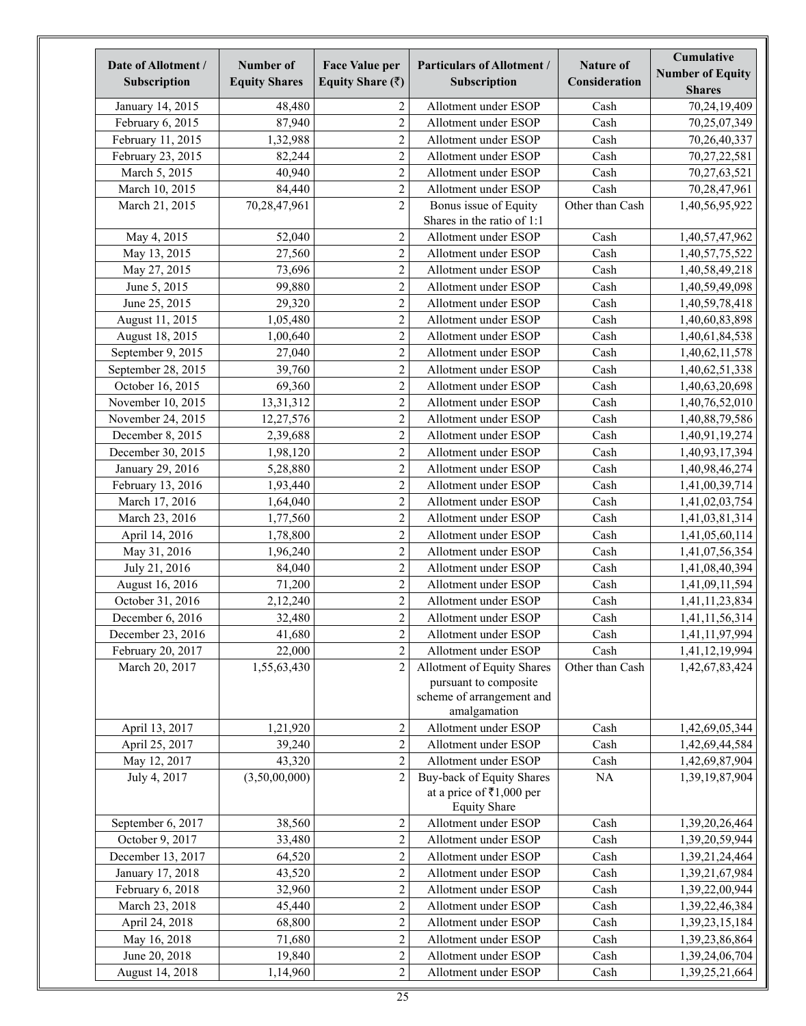| Date of Allotment /<br>Subscription | Number of<br><b>Equity Shares</b> | <b>Face Value per</b><br>Equity Share $(\bar{z})$ | <b>Particulars of Allotment /</b><br>Subscription                                                | <b>Nature of</b><br>Consideration | Cumulative<br><b>Number of Equity</b><br><b>Shares</b> |
|-------------------------------------|-----------------------------------|---------------------------------------------------|--------------------------------------------------------------------------------------------------|-----------------------------------|--------------------------------------------------------|
| January 14, 2015                    | 48,480                            | 2                                                 | Allotment under ESOP                                                                             | Cash                              | 70,24,19,409                                           |
| February 6, 2015                    | 87,940                            | $\sqrt{2}$                                        | Allotment under ESOP                                                                             | Cash                              | 70,25,07,349                                           |
| February 11, 2015                   | 1,32,988                          | $\sqrt{2}$                                        | Allotment under ESOP                                                                             | Cash                              | 70,26,40,337                                           |
| February 23, 2015                   | 82,244                            | $\overline{c}$                                    | Allotment under ESOP                                                                             | Cash                              | 70,27,22,581                                           |
| March 5, 2015                       | 40,940                            | $\overline{c}$                                    | Allotment under ESOP                                                                             | Cash                              | 70,27,63,521                                           |
| March 10, 2015                      | 84,440                            | $\overline{2}$                                    | Allotment under ESOP                                                                             | Cash                              | 70,28,47,961                                           |
| March 21, 2015                      | 70,28,47,961                      | $\overline{2}$                                    | Bonus issue of Equity<br>Shares in the ratio of 1:1                                              | Other than Cash                   | 1,40,56,95,922                                         |
| May 4, 2015                         | 52.040                            | $\sqrt{2}$                                        | Allotment under ESOP                                                                             | Cash                              | 1,40,57,47,962                                         |
| May 13, 2015                        | 27,560                            | $\sqrt{2}$                                        | Allotment under ESOP                                                                             | Cash                              | 1,40,57,75,522                                         |
| May 27, 2015                        | 73,696                            | $\overline{c}$                                    | Allotment under ESOP                                                                             | Cash                              | 1,40,58,49,218                                         |
| June 5, 2015                        | 99,880                            | $\overline{c}$                                    | Allotment under ESOP                                                                             | Cash                              | 1,40,59,49,098                                         |
| June 25, 2015                       | 29,320                            | $\sqrt{2}$                                        | Allotment under ESOP                                                                             | Cash                              | 1,40,59,78,418                                         |
| August 11, 2015                     | 1,05,480                          | $\overline{c}$                                    | Allotment under ESOP                                                                             | Cash                              | 1,40,60,83,898                                         |
| August 18, 2015                     | 1,00,640                          | $\overline{c}$                                    | Allotment under ESOP                                                                             | Cash                              | 1,40,61,84,538                                         |
| September 9, 2015                   | 27,040                            | $\overline{c}$                                    | Allotment under ESOP                                                                             | Cash                              | 1,40,62,11,578                                         |
| September 28, 2015                  | 39,760                            | $\overline{2}$                                    | Allotment under ESOP                                                                             | Cash                              | 1,40,62,51,338                                         |
| October 16, 2015                    | 69,360                            | $\overline{2}$                                    | Allotment under ESOP                                                                             | Cash                              | 1,40,63,20,698                                         |
| November 10, 2015                   | 13,31,312                         | $\overline{c}$                                    | Allotment under ESOP                                                                             | Cash                              | 1,40,76,52,010                                         |
| November 24, 2015                   | 12,27,576                         | $\overline{c}$                                    | Allotment under ESOP                                                                             | Cash                              | 1,40,88,79,586                                         |
| December 8, 2015                    | 2,39,688                          | $\overline{c}$                                    | Allotment under ESOP                                                                             | Cash                              | 1,40,91,19,274                                         |
| December 30, 2015                   | 1,98,120                          | $\sqrt{2}$                                        | Allotment under ESOP                                                                             | Cash                              | 1,40,93,17,394                                         |
| January 29, 2016                    | 5,28,880                          | $\sqrt{2}$                                        | Allotment under ESOP                                                                             | Cash                              | 1,40,98,46,274                                         |
| February 13, 2016                   | 1,93,440                          | $\overline{c}$                                    | Allotment under ESOP                                                                             | Cash                              | 1,41,00,39,714                                         |
| March 17, 2016                      | 1,64,040                          | $\overline{c}$                                    | Allotment under ESOP                                                                             | Cash                              | 1,41,02,03,754                                         |
| March 23, 2016                      | 1,77,560                          | $\boldsymbol{2}$                                  | Allotment under ESOP                                                                             | Cash                              | 1,41,03,81,314                                         |
| April 14, 2016                      | 1,78,800                          | $\boldsymbol{2}$                                  | Allotment under ESOP                                                                             | Cash                              | 1,41,05,60,114                                         |
| May 31, 2016                        | 1,96,240                          | $\overline{2}$                                    | Allotment under ESOP                                                                             | Cash                              | 1,41,07,56,354                                         |
| July 21, 2016                       | 84,040                            | $\boldsymbol{2}$                                  | Allotment under ESOP                                                                             | Cash                              | 1,41,08,40,394                                         |
| August 16, 2016                     | 71,200                            | $\boldsymbol{2}$                                  | Allotment under ESOP                                                                             | Cash                              | 1,41,09,11,594                                         |
| October 31, 2016                    | 2,12,240                          | $\overline{2}$                                    | Allotment under ESOP                                                                             | Cash                              | 1,41,11,23,834                                         |
| December 6, 2016                    | 32,480                            | $\overline{2}$                                    | Allotment under ESOP                                                                             | Cash                              | 1,41,11,56,314                                         |
| December 23, 2016                   | 41,680                            | $\sqrt{2}$                                        | Allotment under ESOP                                                                             | Cash                              | 1,41,11,97,994                                         |
| February 20, 2017                   | 22,000                            | $\sqrt{2}$                                        | Allotment under ESOP                                                                             | Cash                              | 1,41,12,19,994                                         |
| March 20, 2017                      | 1,55,63,430                       | $\overline{2}$                                    | Allotment of Equity Shares<br>pursuant to composite<br>scheme of arrangement and<br>amalgamation | Other than Cash                   | 1,42,67,83,424                                         |
| April 13, 2017                      | 1,21,920                          | $\boldsymbol{2}$                                  | Allotment under ESOP                                                                             | Cash                              | 1,42,69,05,344                                         |
| April 25, 2017                      | 39,240                            | $\sqrt{2}$                                        | Allotment under ESOP                                                                             | Cash                              | 1,42,69,44,584                                         |
| May 12, 2017                        | 43,320                            | $\overline{2}$                                    | Allotment under ESOP                                                                             | Cash                              | 1,42,69,87,904                                         |
| July 4, 2017                        | (3,50,00,000)                     | $\overline{c}$                                    | Buy-back of Equity Shares<br>at a price of ₹1,000 per<br><b>Equity Share</b>                     | $\rm NA$                          | 1,39,19,87,904                                         |
| September 6, 2017                   | 38,560                            | $\overline{c}$                                    | Allotment under ESOP                                                                             | Cash                              | 1,39,20,26,464                                         |
| October 9, 2017                     | 33,480                            | $\sqrt{2}$                                        | Allotment under ESOP                                                                             | Cash                              | 1,39,20,59,944                                         |
| December 13, 2017                   | 64,520                            | $\sqrt{2}$                                        | Allotment under ESOP                                                                             | Cash                              | 1,39,21,24,464                                         |
| January 17, 2018                    | 43,520                            | $\overline{2}$                                    | Allotment under ESOP                                                                             | Cash                              | 1,39,21,67,984                                         |
| February 6, 2018                    | 32,960                            | $\sqrt{2}$                                        | Allotment under ESOP                                                                             | Cash                              | 1,39,22,00,944                                         |
| March 23, 2018                      | 45,440                            | $\sqrt{2}$                                        | Allotment under ESOP                                                                             | Cash                              | 1,39,22,46,384                                         |
| April 24, 2018                      | 68,800                            | $\sqrt{2}$                                        | Allotment under ESOP                                                                             | Cash                              | 1,39,23,15,184                                         |
| May 16, 2018                        | 71,680                            | $\overline{c}$                                    | Allotment under ESOP                                                                             | Cash                              | 1,39,23,86,864                                         |
| June 20, 2018                       | 19,840                            | $\overline{c}$                                    | Allotment under ESOP                                                                             | Cash                              | 1,39,24,06,704                                         |
| August 14, 2018                     | 1,14,960                          | $\overline{c}$                                    | Allotment under ESOP                                                                             | Cash                              | 1,39,25,21,664                                         |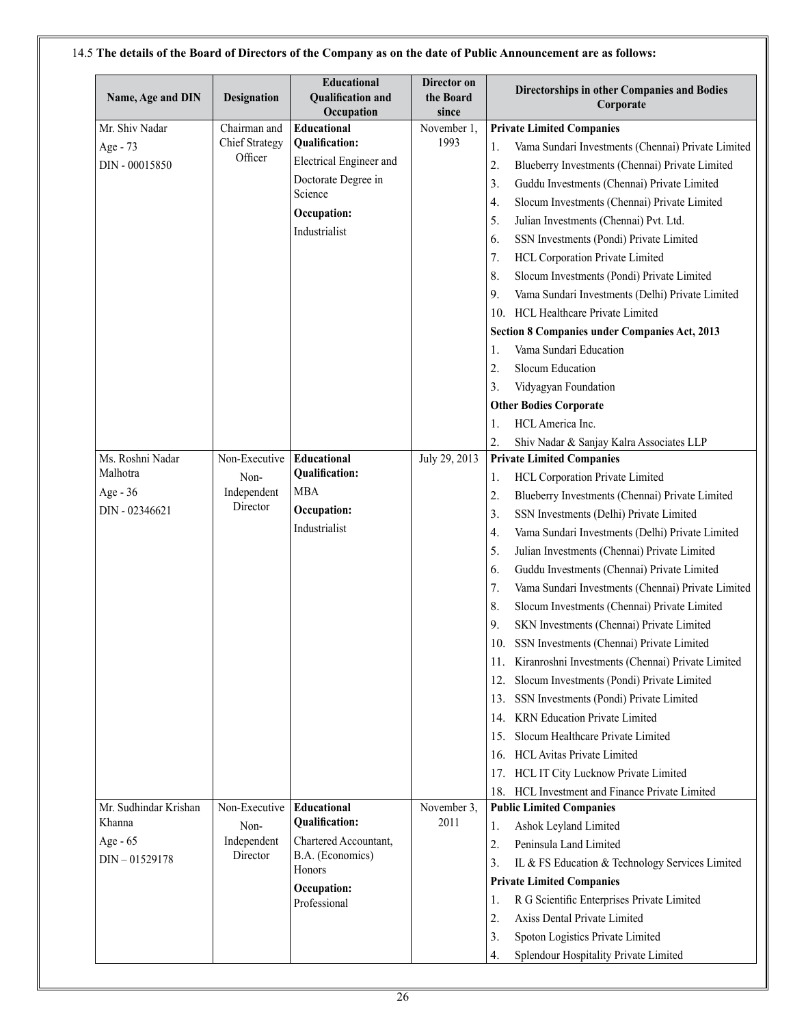| Name, Age and DIN     | Designation           | Educational<br><b>Qualification and</b><br>Occupation | Director on<br>the Board<br>since |                  | Directorships in other Companies and Bodies<br>Corporate |
|-----------------------|-----------------------|-------------------------------------------------------|-----------------------------------|------------------|----------------------------------------------------------|
| Mr. Shiv Nadar        | Chairman and          | Educational                                           | November 1,                       |                  | <b>Private Limited Companies</b>                         |
| Age - 73              | <b>Chief Strategy</b> | <b>Qualification:</b>                                 | 1993                              | 1.               | Vama Sundari Investments (Chennai) Private Limited       |
| DIN - 00015850        | Officer               | Electrical Engineer and                               |                                   | $\overline{2}$ . | Blueberry Investments (Chennai) Private Limited          |
|                       |                       | Doctorate Degree in                                   |                                   | 3.               | Guddu Investments (Chennai) Private Limited              |
|                       |                       | Science                                               |                                   | 4.               | Slocum Investments (Chennai) Private Limited             |
|                       |                       | Occupation:                                           |                                   | 5.               | Julian Investments (Chennai) Pvt. Ltd.                   |
|                       |                       | Industrialist                                         |                                   | 6.               | SSN Investments (Pondi) Private Limited                  |
|                       |                       |                                                       |                                   | 7.               | HCL Corporation Private Limited                          |
|                       |                       |                                                       |                                   | 8.               | Slocum Investments (Pondi) Private Limited               |
|                       |                       |                                                       |                                   | 9.               | Vama Sundari Investments (Delhi) Private Limited         |
|                       |                       |                                                       |                                   |                  | 10. HCL Healthcare Private Limited                       |
|                       |                       |                                                       |                                   |                  | Section 8 Companies under Companies Act, 2013            |
|                       |                       |                                                       |                                   | 1.               | Vama Sundari Education                                   |
|                       |                       |                                                       |                                   | 2.               | Slocum Education                                         |
|                       |                       |                                                       |                                   | 3.               | Vidyagyan Foundation                                     |
|                       |                       |                                                       |                                   |                  | <b>Other Bodies Corporate</b>                            |
|                       |                       |                                                       |                                   | 1.               | HCL America Inc.                                         |
|                       |                       |                                                       |                                   | 2.               | Shiv Nadar & Sanjay Kalra Associates LLP                 |
| Ms. Roshni Nadar      | Non-Executive         | Educational                                           | July 29, 2013                     |                  | <b>Private Limited Companies</b>                         |
| Malhotra              | Non-                  | Qualification:                                        |                                   | 1.               | HCL Corporation Private Limited                          |
| Age - 36              | Independent           | <b>MBA</b>                                            |                                   | 2.               | Blueberry Investments (Chennai) Private Limited          |
| DIN - 02346621        | Director              | Occupation:                                           |                                   | 3.               | SSN Investments (Delhi) Private Limited                  |
|                       |                       | Industrialist                                         |                                   | 4.               | Vama Sundari Investments (Delhi) Private Limited         |
|                       |                       |                                                       |                                   | 5.               | Julian Investments (Chennai) Private Limited             |
|                       |                       |                                                       |                                   | 6.               | Guddu Investments (Chennai) Private Limited              |
|                       |                       |                                                       |                                   | 7.               | Vama Sundari Investments (Chennai) Private Limited       |
|                       |                       |                                                       |                                   | 8.               | Slocum Investments (Chennai) Private Limited             |
|                       |                       |                                                       |                                   | 9.               | SKN Investments (Chennai) Private Limited                |
|                       |                       |                                                       |                                   | 10.              | SSN Investments (Chennai) Private Limited                |
|                       |                       |                                                       |                                   | 11.              | Kiranroshni Investments (Chennai) Private Limited        |
|                       |                       |                                                       |                                   |                  | 12. Slocum Investments (Pondi) Private Limited           |
|                       |                       |                                                       |                                   |                  | 13. SSN Investments (Pondi) Private Limited              |
|                       |                       |                                                       |                                   |                  | 14. KRN Education Private Limited                        |
|                       |                       |                                                       |                                   | 15.              | Slocum Healthcare Private Limited                        |
|                       |                       |                                                       |                                   |                  | 16. HCL Avitas Private Limited                           |
|                       |                       |                                                       |                                   |                  | 17. HCL IT City Lucknow Private Limited                  |
|                       |                       |                                                       |                                   |                  | 18. HCL Investment and Finance Private Limited           |
| Mr. Sudhindar Krishan | Non-Executive         | Educational                                           | November 3,                       |                  | <b>Public Limited Companies</b>                          |
| Khanna                | Non-                  | <b>Qualification:</b>                                 | 2011                              | 1.               | Ashok Leyland Limited                                    |
| Age - 65              | Independent           | Chartered Accountant,                                 |                                   | $\overline{2}$ . | Peninsula Land Limited                                   |
| $DIN - 01529178$      | Director              | B.A. (Economics)                                      |                                   | 3.               | IL & FS Education & Technology Services Limited          |
|                       |                       | Honors                                                |                                   |                  | <b>Private Limited Companies</b>                         |
|                       |                       | Occupation:                                           |                                   | 1.               | R G Scientific Enterprises Private Limited               |
|                       |                       | Professional                                          |                                   | 2.               | Axiss Dental Private Limited                             |
|                       |                       |                                                       |                                   |                  |                                                          |
|                       |                       |                                                       |                                   | 3.               | Spoton Logistics Private Limited                         |
|                       |                       |                                                       |                                   | 4.               | Splendour Hospitality Private Limited                    |

# 14.5 **The details of the Board of Directors of the Company as on the date of Public Announcement are as follows:**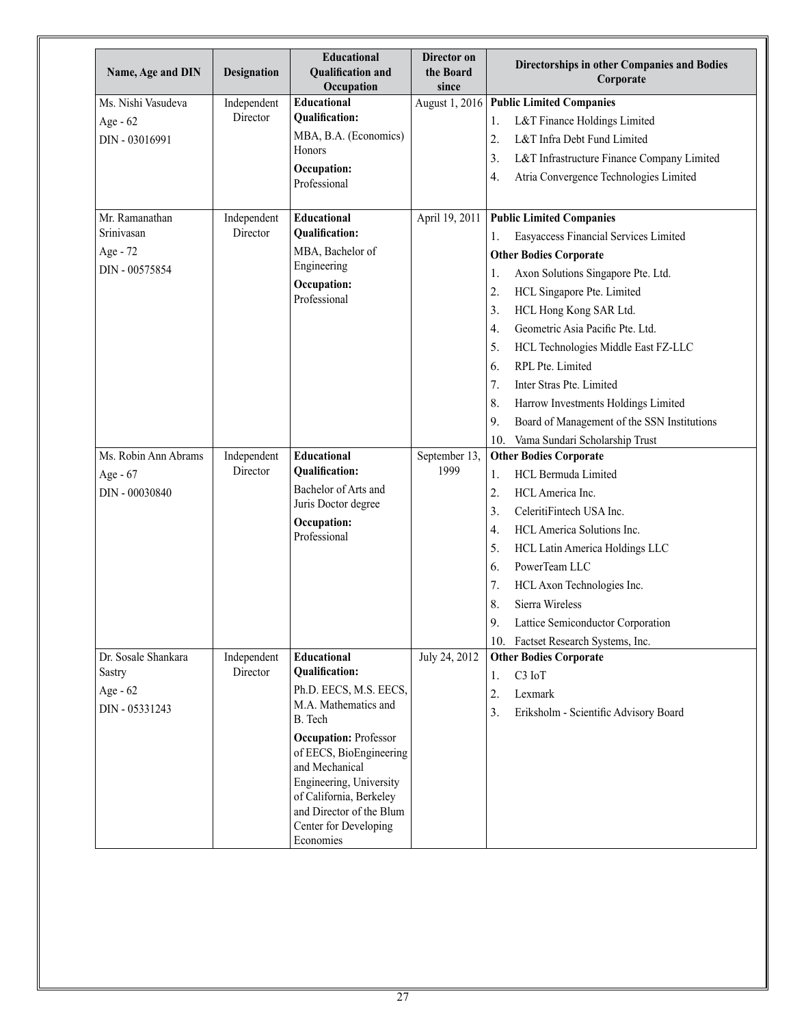| Name, Age and DIN    | <b>Designation</b> | Educational<br><b>Qualification and</b><br>Occupation                                                                                                                                             | Director on<br>the Board<br>since | Directorships in other Companies and Bodies<br>Corporate |
|----------------------|--------------------|---------------------------------------------------------------------------------------------------------------------------------------------------------------------------------------------------|-----------------------------------|----------------------------------------------------------|
| Ms. Nishi Vasudeva   | Independent        | Educational                                                                                                                                                                                       | August 1, 2016                    | <b>Public Limited Companies</b>                          |
| Age - 62             | Director           | <b>Qualification:</b>                                                                                                                                                                             |                                   | L&T Finance Holdings Limited<br>1.                       |
| DIN - 03016991       |                    | MBA, B.A. (Economics)                                                                                                                                                                             |                                   | 2.<br>L&T Infra Debt Fund Limited                        |
|                      |                    | Honors                                                                                                                                                                                            |                                   | 3.<br>L&T Infrastructure Finance Company Limited         |
|                      |                    | Occupation:<br>Professional                                                                                                                                                                       |                                   | Atria Convergence Technologies Limited<br>4.             |
| Mr. Ramanathan       | Independent        | <b>Educational</b>                                                                                                                                                                                | April 19, 2011                    | <b>Public Limited Companies</b>                          |
| Srinivasan           | Director           | <b>Qualification:</b>                                                                                                                                                                             |                                   | Easyaccess Financial Services Limited<br>1.              |
| Age - 72             |                    | MBA, Bachelor of                                                                                                                                                                                  |                                   | <b>Other Bodies Corporate</b>                            |
| DIN - 00575854       |                    | Engineering                                                                                                                                                                                       |                                   | Axon Solutions Singapore Pte. Ltd.<br>1.                 |
|                      |                    | Occupation:<br>Professional                                                                                                                                                                       |                                   | HCL Singapore Pte. Limited<br>2.                         |
|                      |                    |                                                                                                                                                                                                   |                                   | 3 <sub>1</sub><br>HCL Hong Kong SAR Ltd.                 |
|                      |                    |                                                                                                                                                                                                   |                                   | Geometric Asia Pacific Pte. Ltd.<br>4.                   |
|                      |                    |                                                                                                                                                                                                   |                                   | 5.<br>HCL Technologies Middle East FZ-LLC                |
|                      |                    |                                                                                                                                                                                                   |                                   | RPL Pte. Limited<br>6.                                   |
|                      |                    |                                                                                                                                                                                                   |                                   | 7.<br>Inter Stras Pte. Limited                           |
|                      |                    |                                                                                                                                                                                                   |                                   | 8.<br>Harrow Investments Holdings Limited                |
|                      |                    |                                                                                                                                                                                                   |                                   | 9.<br>Board of Management of the SSN Institutions        |
|                      |                    |                                                                                                                                                                                                   |                                   | 10. Vama Sundari Scholarship Trust                       |
| Ms. Robin Ann Abrams | Independent        | Educational                                                                                                                                                                                       | September 13,                     | <b>Other Bodies Corporate</b>                            |
| Age - 67             | Director           | <b>Qualification:</b>                                                                                                                                                                             | 1999                              | <b>HCL Bermuda Limited</b><br>1.                         |
| DIN - 00030840       |                    | Bachelor of Arts and                                                                                                                                                                              |                                   | 2.<br>HCL America Inc.                                   |
|                      |                    | Juris Doctor degree                                                                                                                                                                               |                                   | 3.<br>CeleritiFintech USA Inc.                           |
|                      |                    | Occupation:<br>Professional                                                                                                                                                                       |                                   | 4.<br>HCL America Solutions Inc.                         |
|                      |                    |                                                                                                                                                                                                   |                                   | 5.<br>HCL Latin America Holdings LLC                     |
|                      |                    |                                                                                                                                                                                                   |                                   | PowerTeam LLC<br>6.                                      |
|                      |                    |                                                                                                                                                                                                   |                                   | 7.<br>HCL Axon Technologies Inc.                         |
|                      |                    |                                                                                                                                                                                                   |                                   | 8.<br>Sierra Wireless                                    |
|                      |                    |                                                                                                                                                                                                   |                                   | Lattice Semiconductor Corporation<br>9.                  |
|                      |                    |                                                                                                                                                                                                   |                                   | 10. Factset Research Systems, Inc.                       |
| Dr. Sosale Shankara  | Independent        | <b>Educational</b>                                                                                                                                                                                | July 24, 2012                     | <b>Other Bodies Corporate</b>                            |
| <b>Sastry</b>        | Director           | <b>Qualification:</b>                                                                                                                                                                             |                                   | C <sub>3</sub> IoT<br>1.                                 |
| Age - 62             |                    | Ph.D. EECS, M.S. EECS,                                                                                                                                                                            |                                   | 2.<br>Lexmark                                            |
| DIN - 05331243       |                    | M.A. Mathematics and<br>B. Tech                                                                                                                                                                   |                                   | 3 <sub>1</sub><br>Eriksholm - Scientific Advisory Board  |
|                      |                    | <b>Occupation: Professor</b><br>of EECS, BioEngineering<br>and Mechanical<br>Engineering, University<br>of California, Berkeley<br>and Director of the Blum<br>Center for Developing<br>Economies |                                   |                                                          |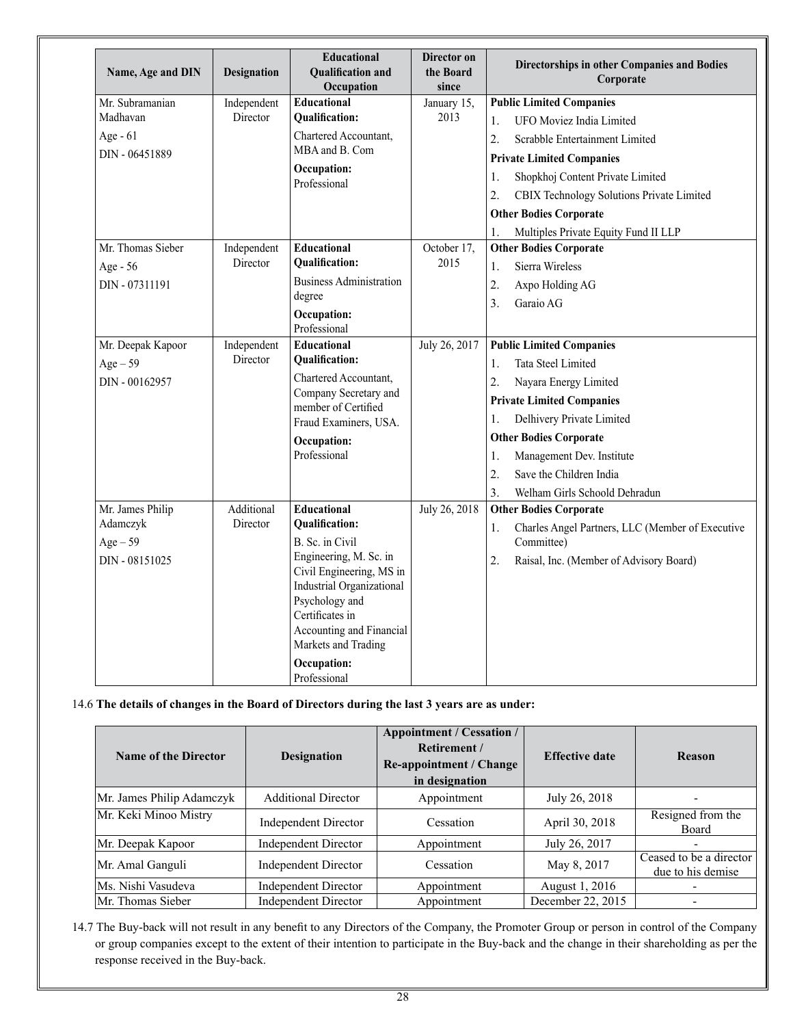| Name, Age and DIN | <b>Designation</b> | <b>Educational</b><br><b>Qualification and</b><br>Occupation | Director on<br>the Board<br>since |                  | Directorships in other Companies and Bodies<br>Corporate |
|-------------------|--------------------|--------------------------------------------------------------|-----------------------------------|------------------|----------------------------------------------------------|
| Mr. Subramanian   | Independent        | Educational                                                  | January 15,                       |                  | <b>Public Limited Companies</b>                          |
| Madhavan          | Director           | <b>Oualification:</b>                                        | 2013                              | $\mathbf{1}$ .   | <b>UFO Moviez India Limited</b>                          |
| Age - 61          |                    | Chartered Accountant.<br>MBA and B. Com                      |                                   | $\overline{2}$ . | Scrabble Entertainment Limited                           |
| DIN - 06451889    |                    |                                                              |                                   |                  | <b>Private Limited Companies</b>                         |
|                   |                    | Occupation:<br>Professional                                  |                                   | 1.               | Shopkhoj Content Private Limited                         |
|                   |                    |                                                              |                                   | $\overline{2}$ . | CBIX Technology Solutions Private Limited                |
|                   |                    |                                                              |                                   |                  | <b>Other Bodies Corporate</b>                            |
|                   |                    |                                                              |                                   | 1.               | Multiples Private Equity Fund II LLP                     |
| Mr. Thomas Sieber | Independent        | Educational                                                  | October 17,                       |                  | <b>Other Bodies Corporate</b>                            |
| Age - 56          | Director           | <b>Qualification:</b>                                        | 2015                              | 1.               | Sierra Wireless                                          |
| DIN - 07311191    |                    | <b>Business Administration</b>                               |                                   | 2.               | Axpo Holding AG                                          |
|                   |                    | degree                                                       |                                   | 3.               | Garaio AG                                                |
|                   |                    | Occupation:<br>Professional                                  |                                   |                  |                                                          |
| Mr. Deepak Kapoor | Independent        | Educational                                                  | July 26, 2017                     |                  | <b>Public Limited Companies</b>                          |
| $Age-59$          | Director           | <b>Qualification:</b>                                        |                                   | 1.               | Tata Steel Limited                                       |
| DIN - 00162957    |                    | Chartered Accountant,                                        |                                   | $\overline{2}$ . | Nayara Energy Limited                                    |
|                   |                    | Company Secretary and<br>member of Certified                 |                                   |                  | <b>Private Limited Companies</b>                         |
|                   |                    | Fraud Examiners, USA.                                        |                                   | 1.               | Delhivery Private Limited                                |
|                   |                    | Occupation:                                                  |                                   |                  | <b>Other Bodies Corporate</b>                            |
|                   |                    | Professional                                                 |                                   | 1.               | Management Dev. Institute                                |
|                   |                    |                                                              |                                   | $\overline{2}$ . | Save the Children India                                  |
|                   |                    |                                                              |                                   | $\overline{3}$ . | Welham Girls Schoold Dehradun                            |
| Mr. James Philip  | Additional         | Educational                                                  | July 26, 2018                     |                  | <b>Other Bodies Corporate</b>                            |
| Adamczyk          | Director           | <b>Qualification:</b>                                        |                                   | 1.               | Charles Angel Partners, LLC (Member of Executive         |
| $Age-59$          |                    | B. Sc. in Civil                                              |                                   |                  | Committee)                                               |
| DIN - 08151025    |                    | Engineering, M. Sc. in<br>Civil Engineering, MS in           |                                   | 2.               | Raisal, Inc. (Member of Advisory Board)                  |
|                   |                    | Industrial Organizational                                    |                                   |                  |                                                          |
|                   |                    | Psychology and                                               |                                   |                  |                                                          |
|                   |                    | Certificates in                                              |                                   |                  |                                                          |
|                   |                    | Accounting and Financial<br>Markets and Trading              |                                   |                  |                                                          |
|                   |                    | Occupation:                                                  |                                   |                  |                                                          |
|                   |                    | Professional                                                 |                                   |                  |                                                          |

# 14.6 **The details of changes in the Board of Directors during the last 3 years are as under:**

| <b>Name of the Director</b> | <b>Designation</b>          | <b>Appointment / Cessation /</b><br>Retirement /<br><b>Re-appointment / Change</b><br>in designation |                   | Reason                                       |
|-----------------------------|-----------------------------|------------------------------------------------------------------------------------------------------|-------------------|----------------------------------------------|
| Mr. James Philip Adamczyk   | <b>Additional Director</b>  | Appointment                                                                                          | July 26, 2018     |                                              |
| Mr. Keki Minoo Mistry       | Independent Director        | Cessation                                                                                            | April 30, 2018    | Resigned from the<br>Board                   |
| Mr. Deepak Kapoor           | Independent Director        | Appointment                                                                                          | July 26, 2017     |                                              |
| Mr. Amal Ganguli            | <b>Independent Director</b> | Cessation                                                                                            | May 8, 2017       | Ceased to be a director<br>due to his demise |
| Ms. Nishi Vasudeva          | Independent Director        | Appointment                                                                                          | August 1, 2016    |                                              |
| Mr. Thomas Sieber           | <b>Independent Director</b> | Appointment                                                                                          | December 22, 2015 |                                              |

14.7 The Buy-back will not result in any benefit to any Directors of the Company, the Promoter Group or person in control of the Company or group companies except to the extent of their intention to participate in the Buy-back and the change in their shareholding as per the response received in the Buy-back.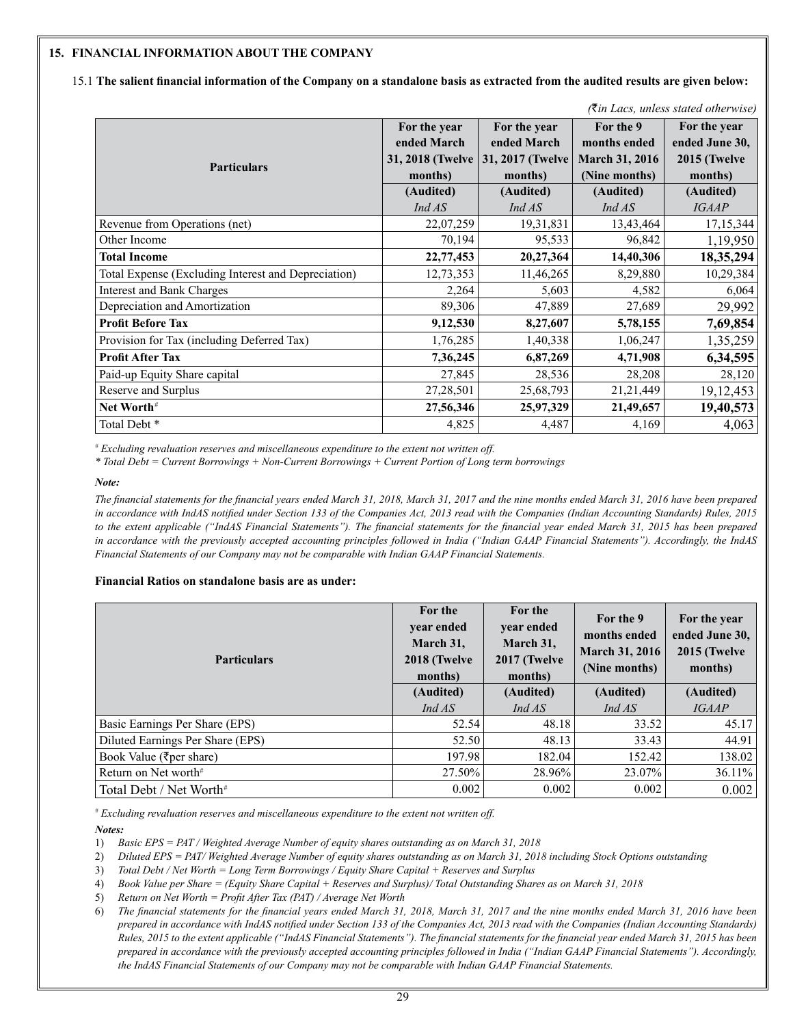#### **15. FINANCIAL INFORMATION ABOUT THE COMPANY**

15.1 **The salient financial information of the Company on a standalone basis as extracted from the audited results are given below:**

| <i><b>Kin Lacs, uniess stated otherwise)</b></i>    |                  |                  |                       |                |  |  |
|-----------------------------------------------------|------------------|------------------|-----------------------|----------------|--|--|
|                                                     | For the year     | For the year     | For the 9             | For the year   |  |  |
|                                                     | ended March      | ended March      | months ended          | ended June 30, |  |  |
| <b>Particulars</b>                                  | 31, 2018 (Twelve | 31, 2017 (Twelve | <b>March 31, 2016</b> | 2015 (Twelve   |  |  |
|                                                     | months)          | months)          | (Nine months)         | months)        |  |  |
|                                                     | (Audited)        | (Audited)        | (Audited)             | (Audited)      |  |  |
|                                                     | Ind AS           | Ind AS           | IndAS                 | <b>IGAAP</b>   |  |  |
| Revenue from Operations (net)                       | 22,07,259        | 19, 31, 831      | 13,43,464             | 17, 15, 344    |  |  |
| Other Income                                        | 70,194           | 95,533           | 96,842                | 1,19,950       |  |  |
| <b>Total Income</b>                                 | 22,77,453        | 20,27,364        | 14,40,306             | 18,35,294      |  |  |
| Total Expense (Excluding Interest and Depreciation) | 12,73,353        | 11,46,265        | 8,29,880              | 10,29,384      |  |  |
| <b>Interest and Bank Charges</b>                    | 2,264            | 5,603            | 4,582                 | 6,064          |  |  |
| Depreciation and Amortization                       | 89,306           | 47,889           | 27,689                | 29,992         |  |  |
| <b>Profit Before Tax</b>                            | 9,12,530         | 8,27,607         | 5,78,155              | 7,69,854       |  |  |
| Provision for Tax (including Deferred Tax)          | 1,76,285         | 1,40,338         | 1,06,247              | 1,35,259       |  |  |
| <b>Profit After Tax</b>                             | 7,36,245         | 6,87,269         | 4,71,908              | 6,34,595       |  |  |
| Paid-up Equity Share capital                        | 27,845           | 28,536           | 28,208                | 28,120         |  |  |
| Reserve and Surplus                                 | 27,28,501        | 25,68,793        | 21, 21, 449           | 19,12,453      |  |  |
| Net Worth#                                          | 27,56,346        | 25,97,329        | 21,49,657             | 19,40,573      |  |  |
| Total Debt <sup>*</sup>                             | 4,825            | 4,487            | 4,169                 | 4,063          |  |  |

*(*`*in Lacs, unless stated otherwise)*

*# Excluding revaluation reserves and miscellaneous expenditure to the extent not written off.*

*\* Total Debt = Current Borrowings + Non-Current Borrowings + Current Portion of Long term borrowings* 

*Note:*

*The financial statements for the financial years ended March 31, 2018, March 31, 2017 and the nine months ended March 31, 2016 have been prepared in accordance with IndAS notified under Section 133 of the Companies Act, 2013 read with the Companies (Indian Accounting Standards) Rules, 2015 to the extent applicable ("IndAS Financial Statements"). The financial statements for the financial year ended March 31, 2015 has been prepared in accordance with the previously accepted accounting principles followed in India ("Indian GAAP Financial Statements"). Accordingly, the IndAS Financial Statements of our Company may not be comparable with Indian GAAP Financial Statements.*

#### **Financial Ratios on standalone basis are as under:**

| <b>Particulars</b>                  | For the<br>year ended<br>March 31,<br>2018 (Twelve<br>months) | For the<br>year ended<br>March 31,<br>2017 (Twelve<br>months) | For the 9<br>months ended<br><b>March 31, 2016</b><br>(Nine months) | For the year<br>ended June 30,<br>2015 (Twelve<br>months) |
|-------------------------------------|---------------------------------------------------------------|---------------------------------------------------------------|---------------------------------------------------------------------|-----------------------------------------------------------|
|                                     | (Audited)                                                     | (Audited)                                                     | (Audited)                                                           | (Audited)                                                 |
|                                     | Ind AS                                                        | Ind AS                                                        | IndAS                                                               | <i><b>IGAAP</b></i>                                       |
| Basic Earnings Per Share (EPS)      | 52.54                                                         | 48.18                                                         | 33.52                                                               | 45.17                                                     |
| Diluted Earnings Per Share (EPS)    | 52.50                                                         | 48.13                                                         | 33.43                                                               | 44.91                                                     |
| Book Value (₹per share)             | 197.98                                                        | 182.04                                                        | 152.42                                                              | 138.02                                                    |
| Return on Net worth <sup>#</sup>    | 27.50%                                                        | 28.96%                                                        | 23.07%                                                              | $36.11\%$                                                 |
| Total Debt / Net Worth <sup>#</sup> | 0.002                                                         | 0.002                                                         | 0.002                                                               | 0.002                                                     |

*# Excluding revaluation reserves and miscellaneous expenditure to the extent not written off.*

*Notes:*

1) *Basic EPS = PAT / Weighted Average Number of equity shares outstanding as on March 31, 2018*

2) *Diluted EPS = PAT/ Weighted Average Number of equity shares outstanding as on March 31, 2018 including Stock Options outstanding*

3) *Total Debt / Net Worth = Long Term Borrowings / Equity Share Capital + Reserves and Surplus*

- 4) *Book Value per Share = (Equity Share Capital + Reserves and Surplus)/ Total Outstanding Shares as on March 31, 2018*
- 5) *Return on Net Worth = Profit After Tax (PAT) / Average Net Worth*

6) *The financial statements for the financial years ended March 31, 2018, March 31, 2017 and the nine months ended March 31, 2016 have been prepared in accordance with IndAS notified under Section 133 of the Companies Act, 2013 read with the Companies (Indian Accounting Standards) Rules, 2015 to the extent applicable ("IndAS Financial Statements"). The financial statements for the financial year ended March 31, 2015 has been prepared in accordance with the previously accepted accounting principles followed in India ("Indian GAAP Financial Statements"). Accordingly, the IndAS Financial Statements of our Company may not be comparable with Indian GAAP Financial Statements.*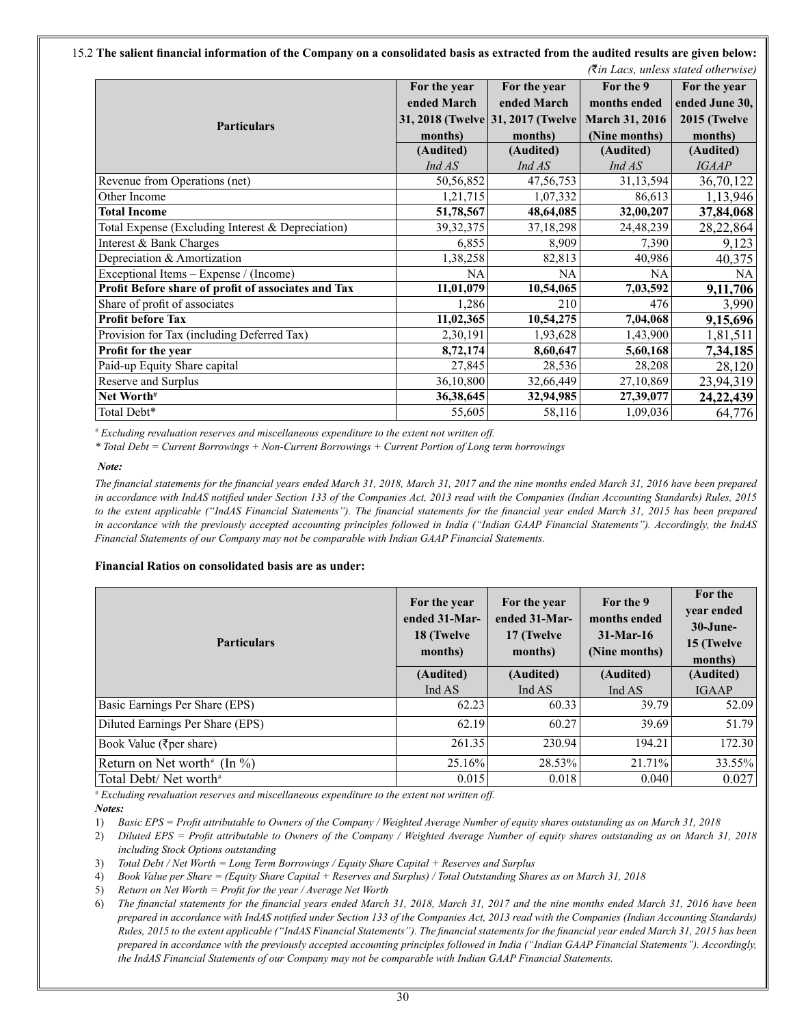15.2 **The salient financial information of the Company on a consolidated basis as extracted from the audited results are given below:**   *(*`*in Lacs, unless stated otherwise)*

|                                                     |              |                                    |                       | (Kin Lacs, uniess stated otherwise) |
|-----------------------------------------------------|--------------|------------------------------------|-----------------------|-------------------------------------|
|                                                     | For the year | For the year                       | For the 9             | For the year                        |
|                                                     | ended March  | ended March                        | months ended          | ended June 30,                      |
| <b>Particulars</b>                                  |              | 31, 2018 (Twelve 31, 2017 (Twelve) | <b>March 31, 2016</b> | 2015 (Twelve                        |
|                                                     | months)      | months)                            | (Nine months)         | months)                             |
|                                                     | (Audited)    | (Audited)                          | (Audited)             | (Audited)                           |
|                                                     | IndAS        | IndAS                              | Ind AS                | <b>IGAAP</b>                        |
| Revenue from Operations (net)                       | 50,56,852    | 47, 56, 753                        | 31,13,594             | 36,70,122                           |
| Other Income                                        | 1,21,715     | 1,07,332                           | 86,613                | 1,13,946                            |
| <b>Total Income</b>                                 | 51,78,567    | 48,64,085                          | 32,00,207             | 37,84,068                           |
| Total Expense (Excluding Interest & Depreciation)   | 39, 32, 375  | 37, 18, 298                        | 24,48,239             | 28,22,864                           |
| Interest & Bank Charges                             | 6,855        | 8,909                              | 7,390                 | 9,123                               |
| Depreciation & Amortization                         | 1,38,258     | 82,813                             | 40,986                | 40,375                              |
| Exceptional Items – Expense / (Income)              | NA           | NA                                 | <b>NA</b>             | NA                                  |
| Profit Before share of profit of associates and Tax | 11,01,079    | 10,54,065                          | 7,03,592              | 9,11,706                            |
| Share of profit of associates                       | 1,286        | 210                                | 476                   | 3,990                               |
| <b>Profit before Tax</b>                            | 11,02,365    | 10,54,275                          | 7,04,068              | 9,15,696                            |
| Provision for Tax (including Deferred Tax)          | 2,30,191     | 1,93,628                           | 1,43,900              | 1,81,511                            |
| Profit for the year                                 | 8,72,174     | 8,60,647                           | 5,60,168              | 7,34,185                            |
| Paid-up Equity Share capital                        | 27,845       | 28,536                             | 28,208                | 28,120                              |
| Reserve and Surplus                                 | 36,10,800    | 32,66,449                          | 27,10,869             | 23,94,319                           |
| Net Worth <sup>#</sup>                              | 36, 38, 645  | 32,94,985                          | 27,39,077             | 24, 22, 439                         |
| Total Debt*                                         | 55,605       | 58,116                             | 1,09,036              | 64,776                              |

*# Excluding revaluation reserves and miscellaneous expenditure to the extent not written off.*

*\* Total Debt = Current Borrowings + Non-Current Borrowings + Current Portion of Long term borrowings* 

#### *Note:*

*The financial statements for the financial years ended March 31, 2018, March 31, 2017 and the nine months ended March 31, 2016 have been prepared in accordance with IndAS notified under Section 133 of the Companies Act, 2013 read with the Companies (Indian Accounting Standards) Rules, 2015 to the extent applicable ("IndAS Financial Statements"). The financial statements for the financial year ended March 31, 2015 has been prepared in accordance with the previously accepted accounting principles followed in India ("Indian GAAP Financial Statements"). Accordingly, the IndAS Financial Statements of our Company may not be comparable with Indian GAAP Financial Statements.*

#### **Financial Ratios on consolidated basis are as under:**

| <b>Particulars</b>                          | For the year<br>ended 31-Mar-<br>18 (Twelve<br>months) | For the year<br>ended 31-Mar-<br>17 (Twelve<br>months) | For the 9<br>months ended<br>$31-Mar-16$<br>(Nine months) | For the<br>year ended<br>30-June-<br>15 (Twelve<br>months) |
|---------------------------------------------|--------------------------------------------------------|--------------------------------------------------------|-----------------------------------------------------------|------------------------------------------------------------|
|                                             | (Audited)                                              | (Audited)                                              | (Audited)                                                 | (Audited)                                                  |
|                                             | Ind AS                                                 | Ind AS                                                 | Ind AS                                                    | <b>IGAAP</b>                                               |
| Basic Earnings Per Share (EPS)              | 62.23                                                  | 60.33                                                  | 39.79                                                     | 52.09                                                      |
| Diluted Earnings Per Share (EPS)            | 62.19                                                  | 60.27                                                  | 39.69                                                     | 51.79                                                      |
| Book Value ( $\overline{\xi}$ per share)    | 261.35                                                 | 230.94                                                 | 194.21                                                    | 172.30                                                     |
| Return on Net worth <sup>#</sup> (In $\%$ ) | 25.16%                                                 | 28.53%                                                 | 21.71%                                                    | 33.55%                                                     |
| Total Debt/Net worth <sup>#</sup>           | 0.015                                                  | 0.018                                                  | 0.040                                                     | 0.027                                                      |

*# Excluding revaluation reserves and miscellaneous expenditure to the extent not written off. Notes:*

1) *Basic EPS = Profit attributable to Owners of the Company / Weighted Average Number of equity shares outstanding as on March 31, 2018*

2) *Diluted EPS = Profit attributable to Owners of the Company / Weighted Average Number of equity shares outstanding as on March 31, 2018 including Stock Options outstanding*

3) *Total Debt / Net Worth = Long Term Borrowings / Equity Share Capital + Reserves and Surplus* 

4) *Book Value per Share = (Equity Share Capital + Reserves and Surplus) / Total Outstanding Shares as on March 31, 2018*

5) *Return on Net Worth = Profit for the year / Average Net Worth*

6) *The financial statements for the financial years ended March 31, 2018, March 31, 2017 and the nine months ended March 31, 2016 have been prepared in accordance with IndAS notified under Section 133 of the Companies Act, 2013 read with the Companies (Indian Accounting Standards) Rules, 2015 to the extent applicable ("IndAS Financial Statements"). The financial statements for the financial year ended March 31, 2015 has been prepared in accordance with the previously accepted accounting principles followed in India ("Indian GAAP Financial Statements"). Accordingly, the IndAS Financial Statements of our Company may not be comparable with Indian GAAP Financial Statements.*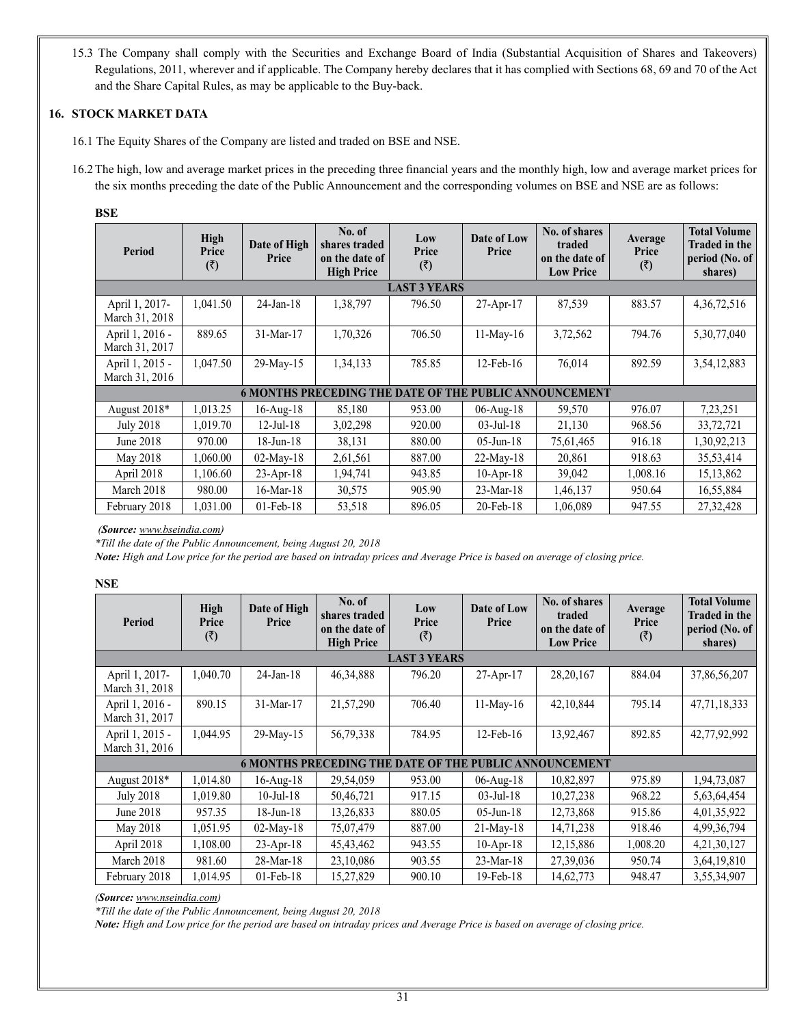15.3 The Company shall comply with the Securities and Exchange Board of India (Substantial Acquisition of Shares and Takeovers) Regulations, 2011, wherever and if applicable. The Company hereby declares that it has complied with Sections 68, 69 and 70 of the Act and the Share Capital Rules, as may be applicable to the Buy-back.

# **16. STOCK MARKET DATA**

- 16.1 The Equity Shares of the Company are listed and traded on BSE and NSE.
- 16.2The high, low and average market prices in the preceding three financial years and the monthly high, low and average market prices for the six months preceding the date of the Public Announcement and the corresponding volumes on BSE and NSE are as follows:

# **BSE**

| Period                                                                 | High<br>Price<br>(3) | Date of High<br>Price | No. of<br>shares traded<br>on the date of<br><b>High Price</b> | Low<br>Price<br>(3) | Date of Low<br>Price | No. of shares<br>traded<br>on the date of<br><b>Low Price</b> | Average<br>Price<br>(3) | <b>Total Volume</b><br><b>Traded in the</b><br>period (No. of<br>shares) |
|------------------------------------------------------------------------|----------------------|-----------------------|----------------------------------------------------------------|---------------------|----------------------|---------------------------------------------------------------|-------------------------|--------------------------------------------------------------------------|
|                                                                        |                      |                       |                                                                | <b>LAST 3 YEARS</b> |                      |                                                               |                         |                                                                          |
| April 1, 2017-<br>March 31, 2018                                       | 1,041.50             | $24$ -Jan-18          | 1,38,797                                                       | 796.50              | 27-Apr-17            | 87,539                                                        | 883.57                  | 4, 36, 72, 516                                                           |
| April 1, 2016 -<br>March 31, 2017                                      | 889.65               | 31-Mar-17             | 1,70,326                                                       | 706.50              | $11-Mav-16$          | 3,72,562                                                      | 794.76                  | 5,30,77,040                                                              |
| April 1, 2015 -<br>March 31, 2016                                      | 1,047.50             | 29-May-15             | 1,34,133                                                       | 785.85              | $12$ -Feb- $16$      | 76,014                                                        | 892.59                  | 3,54,12,883                                                              |
| <b>PUBLIC ANNOUNCEMENT</b><br><b>6 MONTHS PRECEDING</b><br>THE DATE OF |                      |                       |                                                                |                     |                      |                                                               |                         |                                                                          |
| August 2018*                                                           | 1,013.25             | $16$ -Aug- $18$       | 85,180                                                         | 953.00              | $06$ -Aug- $18$      | 59,570                                                        | 976.07                  | 7,23,251                                                                 |
| July 2018                                                              | 1,019.70             | $12$ -Jul- $18$       | 3,02,298                                                       | 920.00              | $03$ -Jul-18         | 21,130                                                        | 968.56                  | 33,72,721                                                                |
| June 2018                                                              | 970.00               | $18$ -Jun- $18$       | 38,131                                                         | 880.00              | $05$ -Jun-18         | 75,61,465                                                     | 916.18                  | 1,30,92,213                                                              |
| May 2018                                                               | 1,060.00             | $02$ -May-18          | 2,61,561                                                       | 887.00              | $22-Mav-18$          | 20,861                                                        | 918.63                  | 35,53,414                                                                |
| April 2018                                                             | 1,106.60             | $23-Apr-18$           | 1,94,741                                                       | 943.85              | $10$ -Apr- $18$      | 39,042                                                        | 1,008.16                | 15, 13, 862                                                              |
| March 2018                                                             | 980.00               | $16$ -Mar- $18$       | 30,575                                                         | 905.90              | $23-Mar-18$          | 1,46,137                                                      | 950.64                  | 16,55,884                                                                |
| February 2018                                                          | 1.031.00             | $01$ -Feb- $18$       | 53,518                                                         | 896.05              | $20$ -Feb- $18$      | 1,06,089                                                      | 947.55                  | 27, 32, 428                                                              |

*(Source: www.bseindia.com)*

*\*Till the date of the Public Announcement, being August 20, 2018*

*Note: High and Low price for the period are based on intraday prices and Average Price is based on average of closing price.*

# **NSE**

| Period                            | High<br>Price<br>(3) | Date of High<br>Price                                         | No. of<br>shares traded<br>on the date of<br><b>High Price</b> | Low<br>Price<br>(3) | Date of Low<br>Price | No. of shares<br>traded<br>on the date of<br><b>Low Price</b> | Average<br>Price<br>(3) | <b>Total Volume</b><br><b>Traded in the</b><br>period (No. of<br>shares) |
|-----------------------------------|----------------------|---------------------------------------------------------------|----------------------------------------------------------------|---------------------|----------------------|---------------------------------------------------------------|-------------------------|--------------------------------------------------------------------------|
|                                   |                      |                                                               |                                                                | <b>LAST 3 YEARS</b> |                      |                                                               |                         |                                                                          |
| April 1, 2017-<br>March 31, 2018  | 1,040.70             | $24$ -Jan-18                                                  | 46, 34, 888                                                    | 796.20              | $27-Apr-17$          | 28, 20, 167                                                   | 884.04                  | 37,86,56,207                                                             |
| April 1, 2016 -<br>March 31, 2017 | 890.15               | 31-Mar-17                                                     | 21,57,290                                                      | 706.40              | $11-Mav-16$          | 42,10,844                                                     | 795.14                  | 47, 71, 18, 333                                                          |
| April 1, 2015 -<br>March 31, 2016 | 1,044.95             | 29-May-15                                                     | 56,79,338                                                      | 784.95              | $12$ -Feb- $16$      | 13,92,467                                                     | 892.85                  | 42,77,92,992                                                             |
|                                   |                      | <b>6 MONTHS PRECEDING THE DATE OF THE PUBLIC ANNOUNCEMENT</b> |                                                                |                     |                      |                                                               |                         |                                                                          |
| August 2018*                      | 1,014.80             | $16$ -Aug- $18$                                               | 29,54,059                                                      | 953.00              | $06$ -Aug- $18$      | 10,82,897                                                     | 975.89                  | 1,94,73,087                                                              |
| <b>July 2018</b>                  | 1,019.80             | $10$ -Jul- $18$                                               | 50,46,721                                                      | 917.15              | $03$ -Jul-18         | 10,27,238                                                     | 968.22                  | 5,63,64,454                                                              |
| June 2018                         | 957.35               | $18$ -Jun- $18$                                               | 13,26,833                                                      | 880.05              | $05$ -Jun-18         | 12,73,868                                                     | 915.86                  | 4,01,35,922                                                              |
| May 2018                          | 1,051.95             | $02$ -May-18                                                  | 75,07,479                                                      | 887.00              | $21-Mav-18$          | 14,71,238                                                     | 918.46                  | 4,99,36,794                                                              |
| April 2018                        | 1,108.00             | $23-Apr-18$                                                   | 45, 43, 462                                                    | 943.55              | $10$ -Apr- $18$      | 12,15,886                                                     | 1,008.20                | 4, 21, 30, 127                                                           |
| March 2018                        | 981.60               | 28-Mar-18                                                     | 23,10,086                                                      | 903.55              | 23-Mar-18            | 27,39,036                                                     | 950.74                  | 3,64,19,810                                                              |
| February 2018                     | 1,014.95             | $01$ -Feb- $18$                                               | 15,27,829                                                      | 900.10              | 19-Feb-18            | 14,62,773                                                     | 948.47                  | 3,55,34,907                                                              |

*(Source: www.nseindia.com)*

*\*Till the date of the Public Announcement, being August 20, 2018*

*Note: High and Low price for the period are based on intraday prices and Average Price is based on average of closing price.*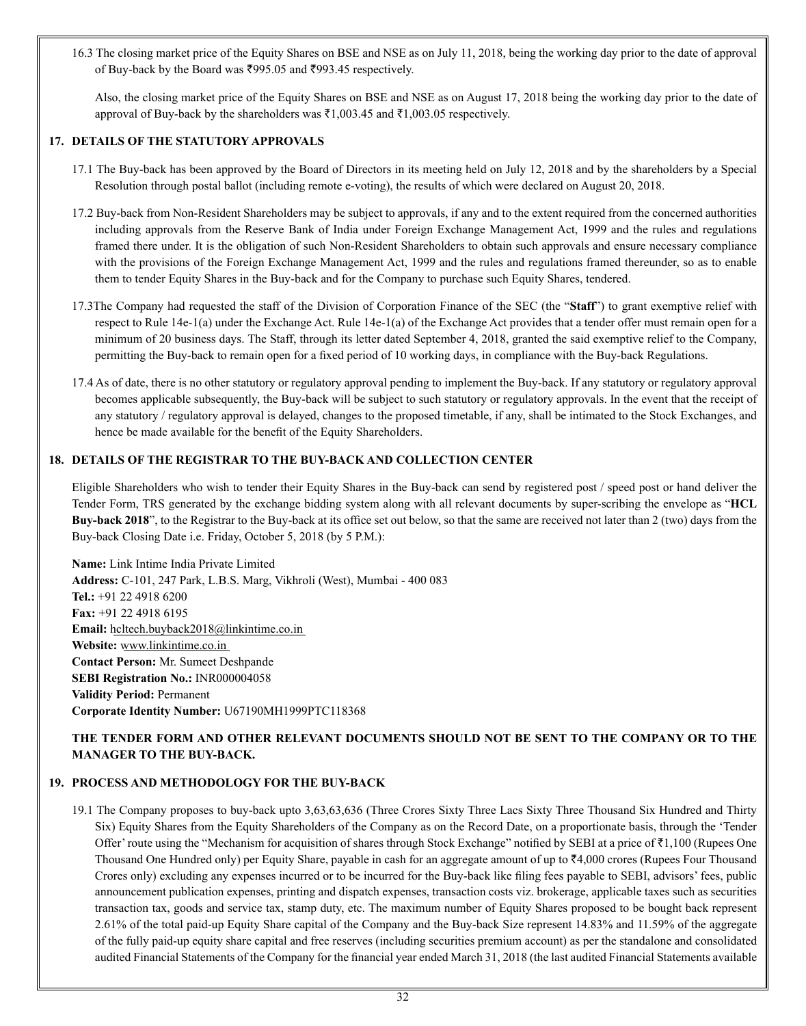16.3 The closing market price of the Equity Shares on BSE and NSE as on July 11, 2018, being the working day prior to the date of approval of Buy-back by the Board was  $\text{\textsterling}995.05$  and  $\text{\textsterling}993.45$  respectively.

Also, the closing market price of the Equity Shares on BSE and NSE as on August 17, 2018 being the working day prior to the date of approval of Buy-back by the shareholders was  $\bar{\tau}1,003.45$  and  $\bar{\tau}1,003.05$  respectively.

# **17. DETAILS OF THE STATUTORY APPROVALS**

- 17.1 The Buy-back has been approved by the Board of Directors in its meeting held on July 12, 2018 and by the shareholders by a Special Resolution through postal ballot (including remote e-voting), the results of which were declared on August 20, 2018.
- 17.2 Buy-back from Non-Resident Shareholders may be subject to approvals, if any and to the extent required from the concerned authorities including approvals from the Reserve Bank of India under Foreign Exchange Management Act, 1999 and the rules and regulations framed there under. It is the obligation of such Non-Resident Shareholders to obtain such approvals and ensure necessary compliance with the provisions of the Foreign Exchange Management Act, 1999 and the rules and regulations framed thereunder, so as to enable them to tender Equity Shares in the Buy-back and for the Company to purchase such Equity Shares, tendered.
- 17.3The Company had requested the staff of the Division of Corporation Finance of the SEC (the "**Staff**") to grant exemptive relief with respect to Rule 14e-1(a) under the Exchange Act. Rule 14e-1(a) of the Exchange Act provides that a tender offer must remain open for a minimum of 20 business days. The Staff, through its letter dated September 4, 2018, granted the said exemptive relief to the Company, permitting the Buy-back to remain open for a fixed period of 10 working days, in compliance with the Buy-back Regulations.
- 17.4 As of date, there is no other statutory or regulatory approval pending to implement the Buy-back. If any statutory or regulatory approval becomes applicable subsequently, the Buy-back will be subject to such statutory or regulatory approvals. In the event that the receipt of any statutory / regulatory approval is delayed, changes to the proposed timetable, if any, shall be intimated to the Stock Exchanges, and hence be made available for the benefit of the Equity Shareholders.

# **18. DETAILS OF THE REGISTRAR TO THE BUY-BACK AND COLLECTION CENTER**

Eligible Shareholders who wish to tender their Equity Shares in the Buy-back can send by registered post / speed post or hand deliver the Tender Form, TRS generated by the exchange bidding system along with all relevant documents by super-scribing the envelope as "**HCL Buy-back 2018**", to the Registrar to the Buy-back at its office set out below, so that the same are received not later than 2 (two) days from the Buy-back Closing Date i.e. Friday, October 5, 2018 (by 5 P.M.):

**Name:** Link Intime India Private Limited **Address:** C-101, 247 Park, L.B.S. Marg, Vikhroli (West), Mumbai - 400 083 **Tel.:** +91 22 4918 6200 **Fax:** +91 22 4918 6195 **Email:** hcltech.buyback2018@linkintime.co.in **Website:** www.linkintime.co.in **Contact Person:** Mr. Sumeet Deshpande **SEBI Registration No.:** INR000004058 **Validity Period:** Permanent **Corporate Identity Number:** U67190MH1999PTC118368

# **THE TENDER FORM AND OTHER RELEVANT DOCUMENTS SHOULD NOT BE SENT TO THE COMPANY OR TO THE MANAGER TO THE BUY-BACK.**

# **19. PROCESS AND METHODOLOGY FOR THE BUY-BACK**

19.1 The Company proposes to buy-back upto 3,63,63,636 (Three Crores Sixty Three Lacs Sixty Three Thousand Six Hundred and Thirty Six) Equity Shares from the Equity Shareholders of the Company as on the Record Date, on a proportionate basis, through the 'Tender Offer' route using the "Mechanism for acquisition of shares through Stock Exchange" notified by SEBI at a price of  $\bar{\tau}1,100$  (Rupees One Thousand One Hundred only) per Equity Share, payable in cash for an aggregate amount of up to  $\overline{54,000}$  crores (Rupees Four Thousand Crores only) excluding any expenses incurred or to be incurred for the Buy-back like filing fees payable to SEBI, advisors' fees, public announcement publication expenses, printing and dispatch expenses, transaction costs viz. brokerage, applicable taxes such as securities transaction tax, goods and service tax, stamp duty, etc. The maximum number of Equity Shares proposed to be bought back represent 2.61% of the total paid-up Equity Share capital of the Company and the Buy-back Size represent 14.83% and 11.59% of the aggregate of the fully paid-up equity share capital and free reserves (including securities premium account) as per the standalone and consolidated audited Financial Statements of the Company for the financial year ended March 31, 2018 (the last audited Financial Statements available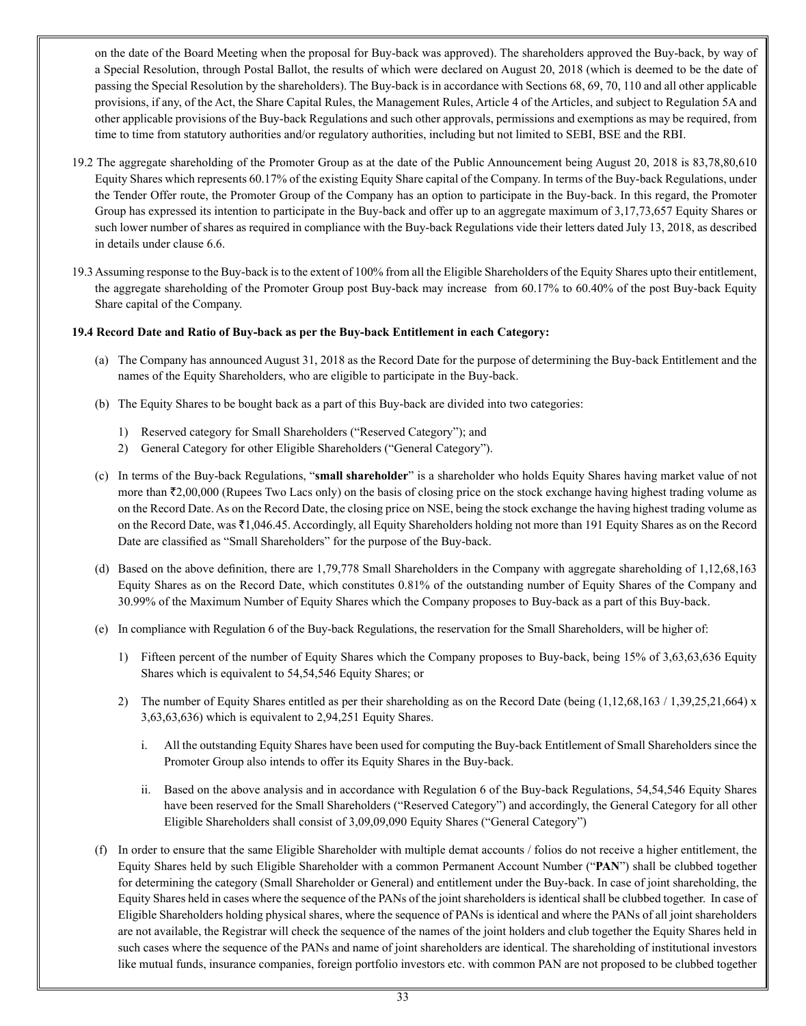on the date of the Board Meeting when the proposal for Buy-back was approved). The shareholders approved the Buy-back, by way of a Special Resolution, through Postal Ballot, the results of which were declared on August 20, 2018 (which is deemed to be the date of passing the Special Resolution by the shareholders). The Buy-back is in accordance with Sections 68, 69, 70, 110 and all other applicable provisions, if any, of the Act, the Share Capital Rules, the Management Rules, Article 4 of the Articles, and subject to Regulation 5A and other applicable provisions of the Buy-back Regulations and such other approvals, permissions and exemptions as may be required, from time to time from statutory authorities and/or regulatory authorities, including but not limited to SEBI, BSE and the RBI.

- 19.2 The aggregate shareholding of the Promoter Group as at the date of the Public Announcement being August 20, 2018 is 83,78,80,610 Equity Shares which represents 60.17% of the existing Equity Share capital of the Company. In terms of the Buy-back Regulations, under the Tender Offer route, the Promoter Group of the Company has an option to participate in the Buy-back. In this regard, the Promoter Group has expressed its intention to participate in the Buy-back and offer up to an aggregate maximum of 3,17,73,657 Equity Shares or such lower number of shares as required in compliance with the Buy-back Regulations vide their letters dated July 13, 2018, as described in details under clause 6.6.
- 19.3 Assuming response to the Buy-back is to the extent of 100% from all the Eligible Shareholders of the Equity Shares upto their entitlement, the aggregate shareholding of the Promoter Group post Buy-back may increase from 60.17% to 60.40% of the post Buy-back Equity Share capital of the Company.

# **19.4 Record Date and Ratio of Buy-back as per the Buy-back Entitlement in each Category:**

- (a) The Company has announced August 31, 2018 as the Record Date for the purpose of determining the Buy-back Entitlement and the names of the Equity Shareholders, who are eligible to participate in the Buy-back.
- (b) The Equity Shares to be bought back as a part of this Buy-back are divided into two categories:
	- 1) Reserved category for Small Shareholders ("Reserved Category"); and
	- 2) General Category for other Eligible Shareholders ("General Category").
- (c) In terms of the Buy-back Regulations, "**small shareholder**" is a shareholder who holds Equity Shares having market value of not more than  $\bar{\mathcal{F}}2,00,000$  (Rupees Two Lacs only) on the basis of closing price on the stock exchange having highest trading volume as on the Record Date. As on the Record Date, the closing price on NSE, being the stock exchange the having highest trading volume as on the Record Date, was ₹1,046.45. Accordingly, all Equity Shareholders holding not more than 191 Equity Shares as on the Record Date are classified as "Small Shareholders" for the purpose of the Buy-back.
- (d) Based on the above definition, there are 1,79,778 Small Shareholders in the Company with aggregate shareholding of 1,12,68,163 Equity Shares as on the Record Date, which constitutes 0.81% of the outstanding number of Equity Shares of the Company and 30.99% of the Maximum Number of Equity Shares which the Company proposes to Buy-back as a part of this Buy-back.
- (e) In compliance with Regulation 6 of the Buy-back Regulations, the reservation for the Small Shareholders, will be higher of:
	- 1) Fifteen percent of the number of Equity Shares which the Company proposes to Buy-back, being 15% of 3,63,63,636 Equity Shares which is equivalent to 54,54,546 Equity Shares; or
	- 2) The number of Equity Shares entitled as per their shareholding as on the Record Date (being  $(1,12,68,163 / 1,39,25,21,664)$  x 3,63,63,636) which is equivalent to 2,94,251 Equity Shares.
		- i. All the outstanding Equity Shares have been used for computing the Buy-back Entitlement of Small Shareholders since the Promoter Group also intends to offer its Equity Shares in the Buy-back.
		- ii. Based on the above analysis and in accordance with Regulation 6 of the Buy-back Regulations, 54,54,546 Equity Shares have been reserved for the Small Shareholders ("Reserved Category") and accordingly, the General Category for all other Eligible Shareholders shall consist of 3,09,09,090 Equity Shares ("General Category")
- (f) In order to ensure that the same Eligible Shareholder with multiple demat accounts / folios do not receive a higher entitlement, the Equity Shares held by such Eligible Shareholder with a common Permanent Account Number ("**PAN**") shall be clubbed together for determining the category (Small Shareholder or General) and entitlement under the Buy-back. In case of joint shareholding, the Equity Shares held in cases where the sequence of the PANs of the joint shareholders is identical shall be clubbed together. In case of Eligible Shareholders holding physical shares, where the sequence of PANs is identical and where the PANs of all joint shareholders are not available, the Registrar will check the sequence of the names of the joint holders and club together the Equity Shares held in such cases where the sequence of the PANs and name of joint shareholders are identical. The shareholding of institutional investors like mutual funds, insurance companies, foreign portfolio investors etc. with common PAN are not proposed to be clubbed together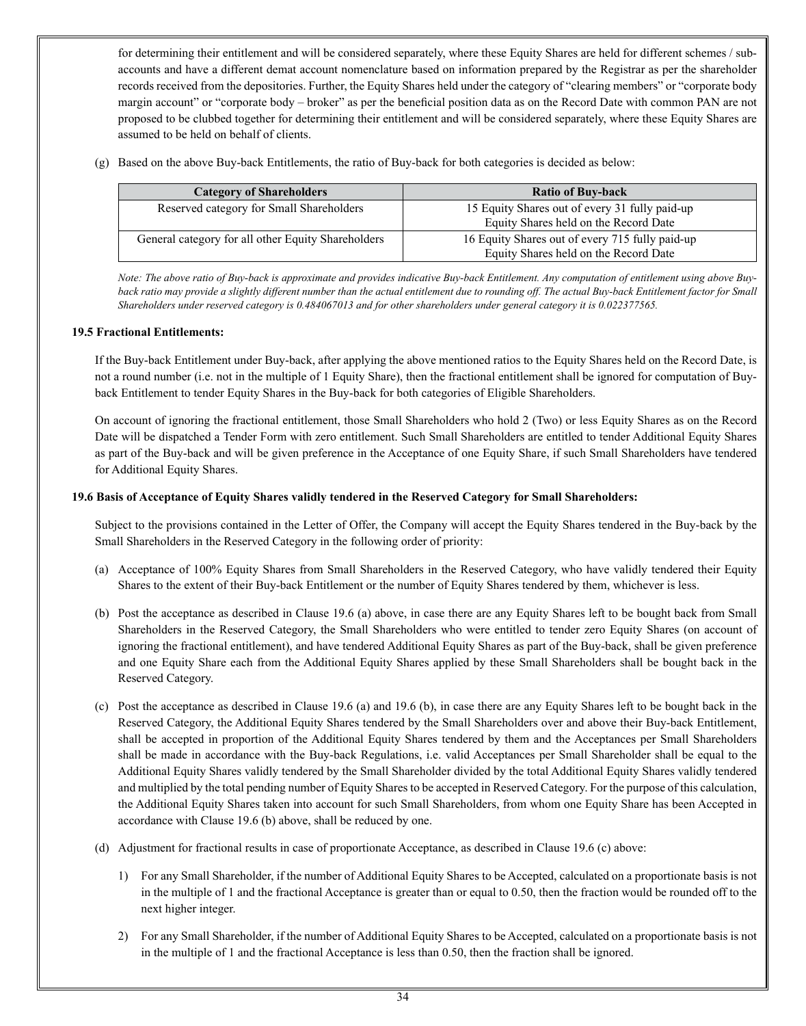for determining their entitlement and will be considered separately, where these Equity Shares are held for different schemes / subaccounts and have a different demat account nomenclature based on information prepared by the Registrar as per the shareholder records received from the depositories. Further, the Equity Shares held under the category of "clearing members" or "corporate body margin account" or "corporate body – broker" as per the beneficial position data as on the Record Date with common PAN are not proposed to be clubbed together for determining their entitlement and will be considered separately, where these Equity Shares are assumed to be held on behalf of clients.

(g) Based on the above Buy-back Entitlements, the ratio of Buy-back for both categories is decided as below:

| <b>Category of Shareholders</b>                    | <b>Ratio of Buy-back</b>                        |
|----------------------------------------------------|-------------------------------------------------|
| Reserved category for Small Shareholders           | 15 Equity Shares out of every 31 fully paid-up  |
|                                                    | Equity Shares held on the Record Date           |
| General category for all other Equity Shareholders | 16 Equity Shares out of every 715 fully paid-up |
|                                                    | Equity Shares held on the Record Date           |

*Note: The above ratio of Buy-back is approximate and provides indicative Buy-back Entitlement. Any computation of entitlement using above Buy*back ratio may provide a slightly different number than the actual entitlement due to rounding off. The actual Buy-back Entitlement factor for Small *Shareholders under reserved category is 0.484067013 and for other shareholders under general category it is 0.022377565.*

# **19.5 Fractional Entitlements:**

If the Buy-back Entitlement under Buy-back, after applying the above mentioned ratios to the Equity Shares held on the Record Date, is not a round number (i.e. not in the multiple of 1 Equity Share), then the fractional entitlement shall be ignored for computation of Buyback Entitlement to tender Equity Shares in the Buy-back for both categories of Eligible Shareholders.

On account of ignoring the fractional entitlement, those Small Shareholders who hold 2 (Two) or less Equity Shares as on the Record Date will be dispatched a Tender Form with zero entitlement. Such Small Shareholders are entitled to tender Additional Equity Shares as part of the Buy-back and will be given preference in the Acceptance of one Equity Share, if such Small Shareholders have tendered for Additional Equity Shares.

# **19.6 Basis of Acceptance of Equity Shares validly tendered in the Reserved Category for Small Shareholders:**

Subject to the provisions contained in the Letter of Offer, the Company will accept the Equity Shares tendered in the Buy-back by the Small Shareholders in the Reserved Category in the following order of priority:

- (a) Acceptance of 100% Equity Shares from Small Shareholders in the Reserved Category, who have validly tendered their Equity Shares to the extent of their Buy-back Entitlement or the number of Equity Shares tendered by them, whichever is less.
- (b) Post the acceptance as described in Clause 19.6 (a) above, in case there are any Equity Shares left to be bought back from Small Shareholders in the Reserved Category, the Small Shareholders who were entitled to tender zero Equity Shares (on account of ignoring the fractional entitlement), and have tendered Additional Equity Shares as part of the Buy-back, shall be given preference and one Equity Share each from the Additional Equity Shares applied by these Small Shareholders shall be bought back in the Reserved Category.
- (c) Post the acceptance as described in Clause 19.6 (a) and 19.6 (b), in case there are any Equity Shares left to be bought back in the Reserved Category, the Additional Equity Shares tendered by the Small Shareholders over and above their Buy-back Entitlement, shall be accepted in proportion of the Additional Equity Shares tendered by them and the Acceptances per Small Shareholders shall be made in accordance with the Buy-back Regulations, i.e. valid Acceptances per Small Shareholder shall be equal to the Additional Equity Shares validly tendered by the Small Shareholder divided by the total Additional Equity Shares validly tendered and multiplied by the total pending number of Equity Shares to be accepted in Reserved Category. For the purpose of this calculation, the Additional Equity Shares taken into account for such Small Shareholders, from whom one Equity Share has been Accepted in accordance with Clause 19.6 (b) above, shall be reduced by one.
- (d) Adjustment for fractional results in case of proportionate Acceptance, as described in Clause 19.6 (c) above:
	- 1) For any Small Shareholder, if the number of Additional Equity Shares to be Accepted, calculated on a proportionate basis is not in the multiple of 1 and the fractional Acceptance is greater than or equal to 0.50, then the fraction would be rounded off to the next higher integer.
	- 2) For any Small Shareholder, if the number of Additional Equity Shares to be Accepted, calculated on a proportionate basis is not in the multiple of 1 and the fractional Acceptance is less than 0.50, then the fraction shall be ignored.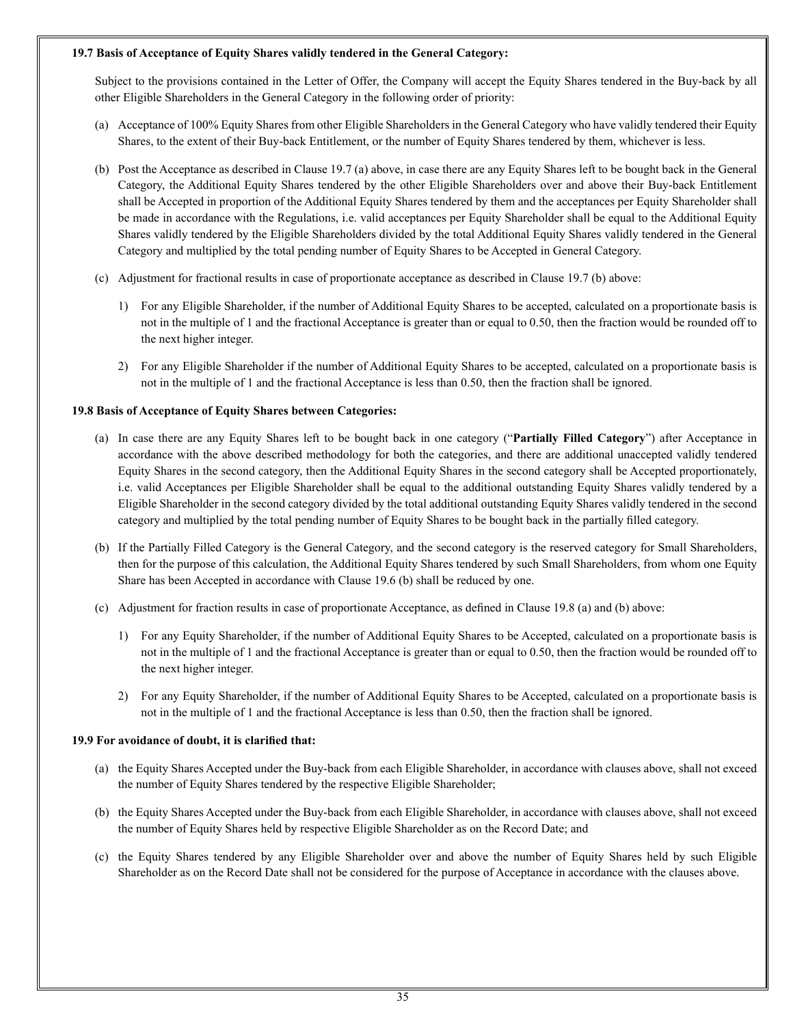## **19.7 Basis of Acceptance of Equity Shares validly tendered in the General Category:**

Subject to the provisions contained in the Letter of Offer, the Company will accept the Equity Shares tendered in the Buy-back by all other Eligible Shareholders in the General Category in the following order of priority:

- (a) Acceptance of 100% Equity Shares from other Eligible Shareholders in the General Category who have validly tendered their Equity Shares, to the extent of their Buy-back Entitlement, or the number of Equity Shares tendered by them, whichever is less.
- (b) Post the Acceptance as described in Clause 19.7 (a) above, in case there are any Equity Shares left to be bought back in the General Category, the Additional Equity Shares tendered by the other Eligible Shareholders over and above their Buy-back Entitlement shall be Accepted in proportion of the Additional Equity Shares tendered by them and the acceptances per Equity Shareholder shall be made in accordance with the Regulations, i.e. valid acceptances per Equity Shareholder shall be equal to the Additional Equity Shares validly tendered by the Eligible Shareholders divided by the total Additional Equity Shares validly tendered in the General Category and multiplied by the total pending number of Equity Shares to be Accepted in General Category.
- (c) Adjustment for fractional results in case of proportionate acceptance as described in Clause 19.7 (b) above:
	- 1) For any Eligible Shareholder, if the number of Additional Equity Shares to be accepted, calculated on a proportionate basis is not in the multiple of 1 and the fractional Acceptance is greater than or equal to 0.50, then the fraction would be rounded off to the next higher integer.
	- 2) For any Eligible Shareholder if the number of Additional Equity Shares to be accepted, calculated on a proportionate basis is not in the multiple of 1 and the fractional Acceptance is less than 0.50, then the fraction shall be ignored.

# **19.8 Basis of Acceptance of Equity Shares between Categories:**

- (a) In case there are any Equity Shares left to be bought back in one category ("**Partially Filled Category**") after Acceptance in accordance with the above described methodology for both the categories, and there are additional unaccepted validly tendered Equity Shares in the second category, then the Additional Equity Shares in the second category shall be Accepted proportionately, i.e. valid Acceptances per Eligible Shareholder shall be equal to the additional outstanding Equity Shares validly tendered by a Eligible Shareholder in the second category divided by the total additional outstanding Equity Shares validly tendered in the second category and multiplied by the total pending number of Equity Shares to be bought back in the partially filled category.
- (b) If the Partially Filled Category is the General Category, and the second category is the reserved category for Small Shareholders, then for the purpose of this calculation, the Additional Equity Shares tendered by such Small Shareholders, from whom one Equity Share has been Accepted in accordance with Clause 19.6 (b) shall be reduced by one.
- (c) Adjustment for fraction results in case of proportionate Acceptance, as defined in Clause 19.8 (a) and (b) above:
	- 1) For any Equity Shareholder, if the number of Additional Equity Shares to be Accepted, calculated on a proportionate basis is not in the multiple of 1 and the fractional Acceptance is greater than or equal to 0.50, then the fraction would be rounded off to the next higher integer.
	- 2) For any Equity Shareholder, if the number of Additional Equity Shares to be Accepted, calculated on a proportionate basis is not in the multiple of 1 and the fractional Acceptance is less than 0.50, then the fraction shall be ignored.

# **19.9 For avoidance of doubt, it is clarified that:**

- (a) the Equity Shares Accepted under the Buy-back from each Eligible Shareholder, in accordance with clauses above, shall not exceed the number of Equity Shares tendered by the respective Eligible Shareholder;
- (b) the Equity Shares Accepted under the Buy-back from each Eligible Shareholder, in accordance with clauses above, shall not exceed the number of Equity Shares held by respective Eligible Shareholder as on the Record Date; and
- (c) the Equity Shares tendered by any Eligible Shareholder over and above the number of Equity Shares held by such Eligible Shareholder as on the Record Date shall not be considered for the purpose of Acceptance in accordance with the clauses above.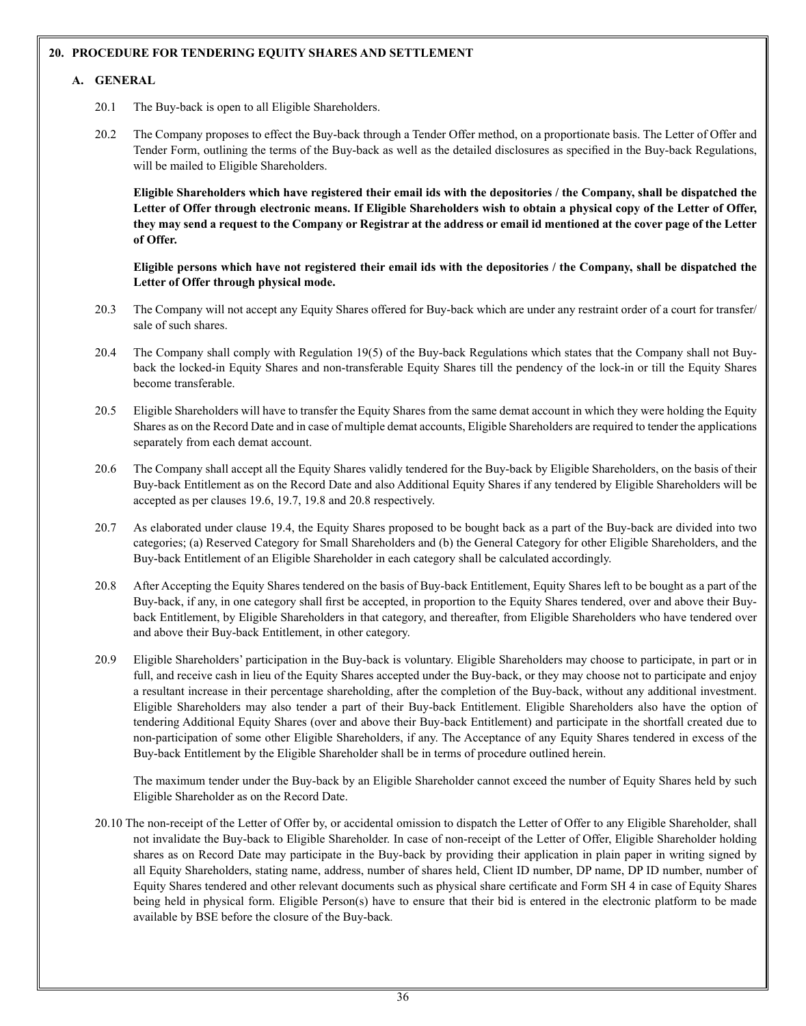# **20. PROCEDURE FOR TENDERING EQUITY SHARES AND SETTLEMENT**

# **A. GENERAL**

- 20.1 The Buy-back is open to all Eligible Shareholders.
- 20.2 The Company proposes to effect the Buy-back through a Tender Offer method, on a proportionate basis. The Letter of Offer and Tender Form, outlining the terms of the Buy-back as well as the detailed disclosures as specified in the Buy-back Regulations, will be mailed to Eligible Shareholders.

**Eligible Shareholders which have registered their email ids with the depositories / the Company, shall be dispatched the Letter of Offer through electronic means. If Eligible Shareholders wish to obtain a physical copy of the Letter of Offer, they may send a request to the Company or Registrar at the address or email id mentioned at the cover page of the Letter of Offer.**

**Eligible persons which have not registered their email ids with the depositories / the Company, shall be dispatched the Letter of Offer through physical mode.**

- 20.3 The Company will not accept any Equity Shares offered for Buy-back which are under any restraint order of a court for transfer/ sale of such shares.
- 20.4 The Company shall comply with Regulation 19(5) of the Buy-back Regulations which states that the Company shall not Buyback the locked-in Equity Shares and non-transferable Equity Shares till the pendency of the lock-in or till the Equity Shares become transferable.
- 20.5 Eligible Shareholders will have to transfer the Equity Shares from the same demat account in which they were holding the Equity Shares as on the Record Date and in case of multiple demat accounts, Eligible Shareholders are required to tender the applications separately from each demat account.
- 20.6 The Company shall accept all the Equity Shares validly tendered for the Buy-back by Eligible Shareholders, on the basis of their Buy-back Entitlement as on the Record Date and also Additional Equity Shares if any tendered by Eligible Shareholders will be accepted as per clauses 19.6, 19.7, 19.8 and 20.8 respectively.
- 20.7 As elaborated under clause 19.4, the Equity Shares proposed to be bought back as a part of the Buy-back are divided into two categories; (a) Reserved Category for Small Shareholders and (b) the General Category for other Eligible Shareholders, and the Buy-back Entitlement of an Eligible Shareholder in each category shall be calculated accordingly.
- 20.8 After Accepting the Equity Shares tendered on the basis of Buy-back Entitlement, Equity Shares left to be bought as a part of the Buy-back, if any, in one category shall first be accepted, in proportion to the Equity Shares tendered, over and above their Buyback Entitlement, by Eligible Shareholders in that category, and thereafter, from Eligible Shareholders who have tendered over and above their Buy-back Entitlement, in other category.
- 20.9 Eligible Shareholders' participation in the Buy-back is voluntary. Eligible Shareholders may choose to participate, in part or in full, and receive cash in lieu of the Equity Shares accepted under the Buy-back, or they may choose not to participate and enjoy a resultant increase in their percentage shareholding, after the completion of the Buy-back, without any additional investment. Eligible Shareholders may also tender a part of their Buy-back Entitlement. Eligible Shareholders also have the option of tendering Additional Equity Shares (over and above their Buy-back Entitlement) and participate in the shortfall created due to non-participation of some other Eligible Shareholders, if any. The Acceptance of any Equity Shares tendered in excess of the Buy-back Entitlement by the Eligible Shareholder shall be in terms of procedure outlined herein.

The maximum tender under the Buy-back by an Eligible Shareholder cannot exceed the number of Equity Shares held by such Eligible Shareholder as on the Record Date.

20.10 The non-receipt of the Letter of Offer by, or accidental omission to dispatch the Letter of Offer to any Eligible Shareholder, shall not invalidate the Buy-back to Eligible Shareholder. In case of non-receipt of the Letter of Offer, Eligible Shareholder holding shares as on Record Date may participate in the Buy-back by providing their application in plain paper in writing signed by all Equity Shareholders, stating name, address, number of shares held, Client ID number, DP name, DP ID number, number of Equity Shares tendered and other relevant documents such as physical share certificate and Form SH 4 in case of Equity Shares being held in physical form. Eligible Person(s) have to ensure that their bid is entered in the electronic platform to be made available by BSE before the closure of the Buy-back*.*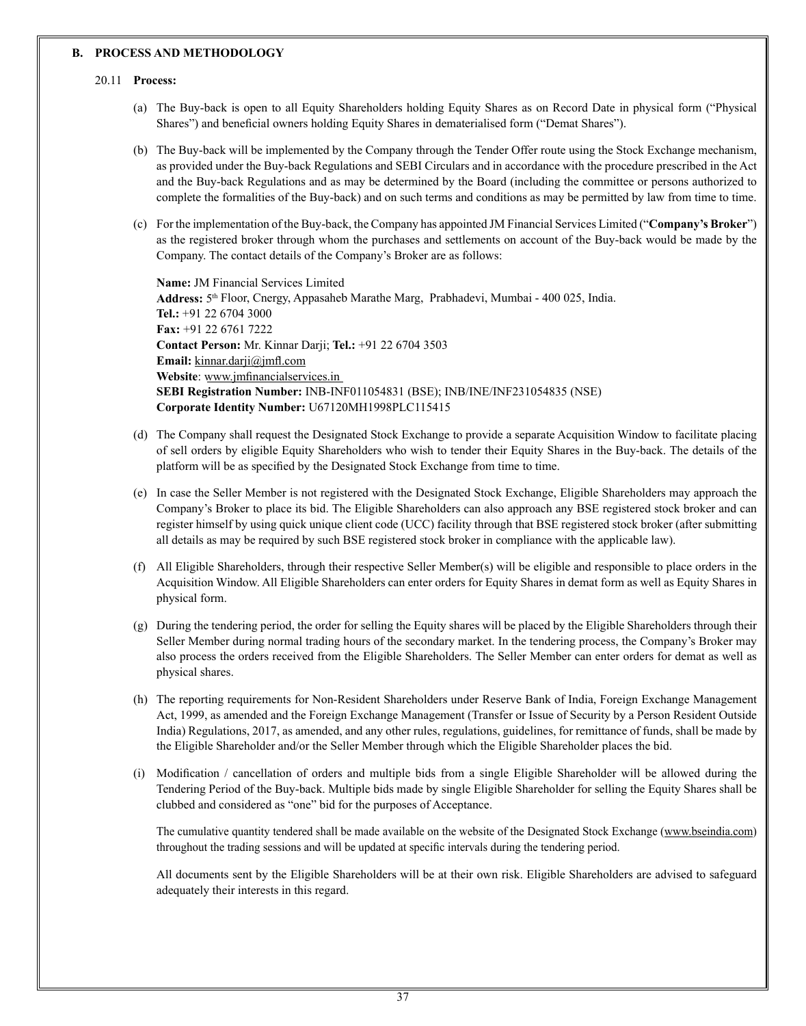#### **B. PROCESS AND METHODOLOGY**

#### 20.11 **Process:**

- (a) The Buy-back is open to all Equity Shareholders holding Equity Shares as on Record Date in physical form ("Physical Shares") and beneficial owners holding Equity Shares in dematerialised form ("Demat Shares").
- (b) The Buy-back will be implemented by the Company through the Tender Offer route using the Stock Exchange mechanism, as provided under the Buy-back Regulations and SEBI Circulars and in accordance with the procedure prescribed in the Act and the Buy-back Regulations and as may be determined by the Board (including the committee or persons authorized to complete the formalities of the Buy-back) and on such terms and conditions as may be permitted by law from time to time.
- (c) For the implementation of the Buy-back, the Company has appointed JM Financial Services Limited ("**Company's Broker**") as the registered broker through whom the purchases and settlements on account of the Buy-back would be made by the Company. The contact details of the Company's Broker are as follows:

**Name:** JM Financial Services Limited **Address:** 5th Floor, Cnergy, Appasaheb Marathe Marg, Prabhadevi, Mumbai - 400 025, India. **Tel.:** +91 22 6704 3000 **Fax:** +91 22 6761 7222 **Contact Person:** Mr. Kinnar Darji; **Tel.:** +91 22 6704 3503 **Email:** kinnar.darji@jmfl.com **Website**: www.jmfinancialservices.in **SEBI Registration Number:** INB-INF011054831 (BSE); INB/INE/INF231054835 (NSE) **Corporate Identity Number:** U67120MH1998PLC115415

- (d) The Company shall request the Designated Stock Exchange to provide a separate Acquisition Window to facilitate placing of sell orders by eligible Equity Shareholders who wish to tender their Equity Shares in the Buy-back. The details of the platform will be as specified by the Designated Stock Exchange from time to time.
- (e) In case the Seller Member is not registered with the Designated Stock Exchange, Eligible Shareholders may approach the Company's Broker to place its bid. The Eligible Shareholders can also approach any BSE registered stock broker and can register himself by using quick unique client code (UCC) facility through that BSE registered stock broker (after submitting all details as may be required by such BSE registered stock broker in compliance with the applicable law).
- (f) All Eligible Shareholders, through their respective Seller Member(s) will be eligible and responsible to place orders in the Acquisition Window. All Eligible Shareholders can enter orders for Equity Shares in demat form as well as Equity Shares in physical form.
- (g) During the tendering period, the order for selling the Equity shares will be placed by the Eligible Shareholders through their Seller Member during normal trading hours of the secondary market. In the tendering process, the Company's Broker may also process the orders received from the Eligible Shareholders. The Seller Member can enter orders for demat as well as physical shares.
- (h) The reporting requirements for Non-Resident Shareholders under Reserve Bank of India, Foreign Exchange Management Act, 1999, as amended and the Foreign Exchange Management (Transfer or Issue of Security by a Person Resident Outside India) Regulations, 2017, as amended, and any other rules, regulations, guidelines, for remittance of funds, shall be made by the Eligible Shareholder and/or the Seller Member through which the Eligible Shareholder places the bid.
- (i) Modification / cancellation of orders and multiple bids from a single Eligible Shareholder will be allowed during the Tendering Period of the Buy-back. Multiple bids made by single Eligible Shareholder for selling the Equity Shares shall be clubbed and considered as "one" bid for the purposes of Acceptance.

The cumulative quantity tendered shall be made available on the website of the Designated Stock Exchange (www.bseindia.com) throughout the trading sessions and will be updated at specific intervals during the tendering period.

All documents sent by the Eligible Shareholders will be at their own risk. Eligible Shareholders are advised to safeguard adequately their interests in this regard.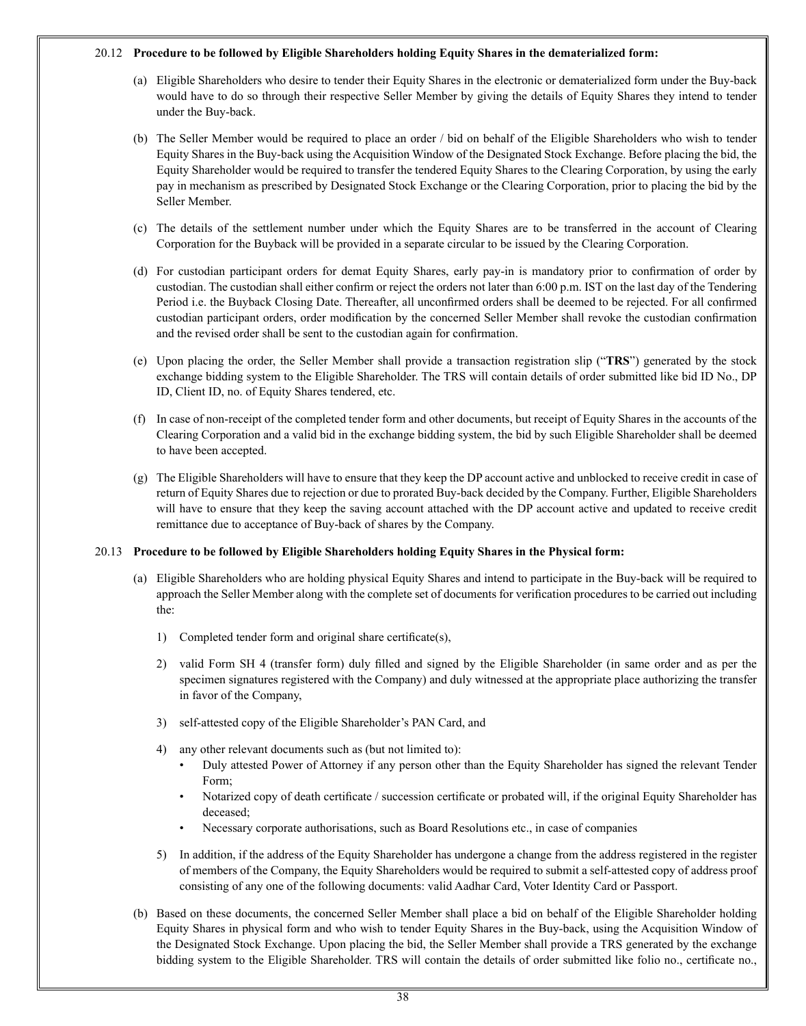#### 20.12 **Procedure to be followed by Eligible Shareholders holding Equity Shares in the dematerialized form:**

- (a) Eligible Shareholders who desire to tender their Equity Shares in the electronic or dematerialized form under the Buy-back would have to do so through their respective Seller Member by giving the details of Equity Shares they intend to tender under the Buy-back.
- (b) The Seller Member would be required to place an order / bid on behalf of the Eligible Shareholders who wish to tender Equity Shares in the Buy-back using the Acquisition Window of the Designated Stock Exchange. Before placing the bid, the Equity Shareholder would be required to transfer the tendered Equity Shares to the Clearing Corporation, by using the early pay in mechanism as prescribed by Designated Stock Exchange or the Clearing Corporation, prior to placing the bid by the Seller Member.
- (c) The details of the settlement number under which the Equity Shares are to be transferred in the account of Clearing Corporation for the Buyback will be provided in a separate circular to be issued by the Clearing Corporation.
- (d) For custodian participant orders for demat Equity Shares, early pay-in is mandatory prior to confirmation of order by custodian. The custodian shall either confirm or reject the orders not later than 6:00 p.m. IST on the last day of the Tendering Period i.e. the Buyback Closing Date. Thereafter, all unconfirmed orders shall be deemed to be rejected. For all confirmed custodian participant orders, order modification by the concerned Seller Member shall revoke the custodian confirmation and the revised order shall be sent to the custodian again for confirmation.
- (e) Upon placing the order, the Seller Member shall provide a transaction registration slip ("**TRS**") generated by the stock exchange bidding system to the Eligible Shareholder. The TRS will contain details of order submitted like bid ID No., DP ID, Client ID, no. of Equity Shares tendered, etc.
- (f) In case of non-receipt of the completed tender form and other documents, but receipt of Equity Shares in the accounts of the Clearing Corporation and a valid bid in the exchange bidding system, the bid by such Eligible Shareholder shall be deemed to have been accepted.
- (g) The Eligible Shareholders will have to ensure that they keep the DP account active and unblocked to receive credit in case of return of Equity Shares due to rejection or due to prorated Buy-back decided by the Company. Further, Eligible Shareholders will have to ensure that they keep the saving account attached with the DP account active and updated to receive credit remittance due to acceptance of Buy-back of shares by the Company.

# 20.13 **Procedure to be followed by Eligible Shareholders holding Equity Shares in the Physical form:**

- (a) Eligible Shareholders who are holding physical Equity Shares and intend to participate in the Buy-back will be required to approach the Seller Member along with the complete set of documents for verification procedures to be carried out including the:
	- 1) Completed tender form and original share certificate(s),
	- 2) valid Form SH 4 (transfer form) duly filled and signed by the Eligible Shareholder (in same order and as per the specimen signatures registered with the Company) and duly witnessed at the appropriate place authorizing the transfer in favor of the Company,
	- 3) self-attested copy of the Eligible Shareholder's PAN Card, and
	- 4) any other relevant documents such as (but not limited to):
		- Duly attested Power of Attorney if any person other than the Equity Shareholder has signed the relevant Tender Form;
		- Notarized copy of death certificate / succession certificate or probated will, if the original Equity Shareholder has deceased;
		- Necessary corporate authorisations, such as Board Resolutions etc., in case of companies
	- 5) In addition, if the address of the Equity Shareholder has undergone a change from the address registered in the register of members of the Company, the Equity Shareholders would be required to submit a self-attested copy of address proof consisting of any one of the following documents: valid Aadhar Card, Voter Identity Card or Passport.
- (b) Based on these documents, the concerned Seller Member shall place a bid on behalf of the Eligible Shareholder holding Equity Shares in physical form and who wish to tender Equity Shares in the Buy-back, using the Acquisition Window of the Designated Stock Exchange. Upon placing the bid, the Seller Member shall provide a TRS generated by the exchange bidding system to the Eligible Shareholder. TRS will contain the details of order submitted like folio no., certificate no.,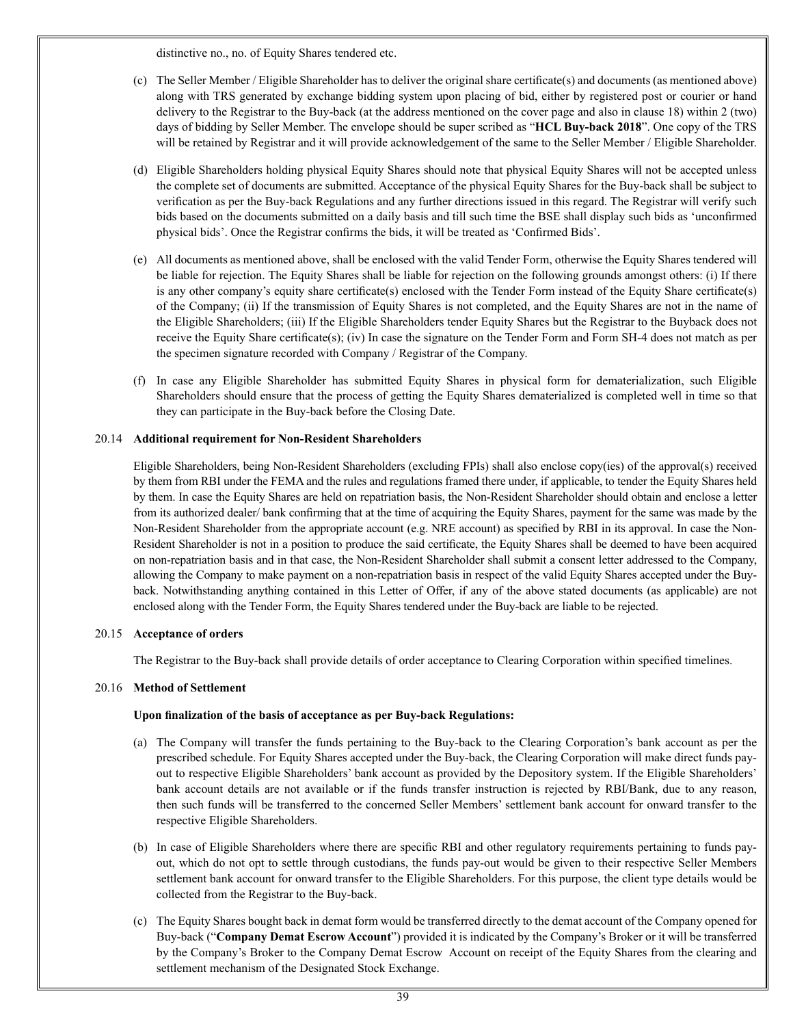distinctive no., no. of Equity Shares tendered etc.

- (c) The Seller Member / Eligible Shareholder has to deliver the original share certificate(s) and documents (as mentioned above) along with TRS generated by exchange bidding system upon placing of bid, either by registered post or courier or hand delivery to the Registrar to the Buy-back (at the address mentioned on the cover page and also in clause 18) within 2 (two) days of bidding by Seller Member. The envelope should be super scribed as "**HCL Buy-back 2018**". One copy of the TRS will be retained by Registrar and it will provide acknowledgement of the same to the Seller Member / Eligible Shareholder.
- (d) Eligible Shareholders holding physical Equity Shares should note that physical Equity Shares will not be accepted unless the complete set of documents are submitted. Acceptance of the physical Equity Shares for the Buy-back shall be subject to verification as per the Buy-back Regulations and any further directions issued in this regard. The Registrar will verify such bids based on the documents submitted on a daily basis and till such time the BSE shall display such bids as 'unconfirmed physical bids'. Once the Registrar confirms the bids, it will be treated as 'Confirmed Bids'.
- (e) All documents as mentioned above, shall be enclosed with the valid Tender Form, otherwise the Equity Shares tendered will be liable for rejection. The Equity Shares shall be liable for rejection on the following grounds amongst others: (i) If there is any other company's equity share certificate(s) enclosed with the Tender Form instead of the Equity Share certificate(s) of the Company; (ii) If the transmission of Equity Shares is not completed, and the Equity Shares are not in the name of the Eligible Shareholders; (iii) If the Eligible Shareholders tender Equity Shares but the Registrar to the Buyback does not receive the Equity Share certificate(s); (iv) In case the signature on the Tender Form and Form SH-4 does not match as per the specimen signature recorded with Company / Registrar of the Company.
- (f) In case any Eligible Shareholder has submitted Equity Shares in physical form for dematerialization, such Eligible Shareholders should ensure that the process of getting the Equity Shares dematerialized is completed well in time so that they can participate in the Buy-back before the Closing Date.

#### 20.14 **Additional requirement for Non-Resident Shareholders**

Eligible Shareholders, being Non-Resident Shareholders (excluding FPIs) shall also enclose copy(ies) of the approval(s) received by them from RBI under the FEMA and the rules and regulations framed there under, if applicable, to tender the Equity Shares held by them. In case the Equity Shares are held on repatriation basis, the Non-Resident Shareholder should obtain and enclose a letter from its authorized dealer/ bank confirming that at the time of acquiring the Equity Shares, payment for the same was made by the Non-Resident Shareholder from the appropriate account (e.g. NRE account) as specified by RBI in its approval. In case the Non-Resident Shareholder is not in a position to produce the said certificate, the Equity Shares shall be deemed to have been acquired on non-repatriation basis and in that case, the Non-Resident Shareholder shall submit a consent letter addressed to the Company, allowing the Company to make payment on a non-repatriation basis in respect of the valid Equity Shares accepted under the Buyback. Notwithstanding anything contained in this Letter of Offer, if any of the above stated documents (as applicable) are not enclosed along with the Tender Form, the Equity Shares tendered under the Buy-back are liable to be rejected.

#### 20.15 **Acceptance of orders**

The Registrar to the Buy-back shall provide details of order acceptance to Clearing Corporation within specified timelines.

#### 20.16 **Method of Settlement**

# **Upon finalization of the basis of acceptance as per Buy-back Regulations:**

- (a) The Company will transfer the funds pertaining to the Buy-back to the Clearing Corporation's bank account as per the prescribed schedule. For Equity Shares accepted under the Buy-back, the Clearing Corporation will make direct funds payout to respective Eligible Shareholders' bank account as provided by the Depository system. If the Eligible Shareholders' bank account details are not available or if the funds transfer instruction is rejected by RBI/Bank, due to any reason, then such funds will be transferred to the concerned Seller Members' settlement bank account for onward transfer to the respective Eligible Shareholders.
- (b) In case of Eligible Shareholders where there are specific RBI and other regulatory requirements pertaining to funds payout, which do not opt to settle through custodians, the funds pay-out would be given to their respective Seller Members settlement bank account for onward transfer to the Eligible Shareholders. For this purpose, the client type details would be collected from the Registrar to the Buy-back.
- (c) The Equity Shares bought back in demat form would be transferred directly to the demat account of the Company opened for Buy-back ("**Company Demat Escrow Account**") provided it is indicated by the Company's Broker or it will be transferred by the Company's Broker to the Company Demat Escrow Account on receipt of the Equity Shares from the clearing and settlement mechanism of the Designated Stock Exchange.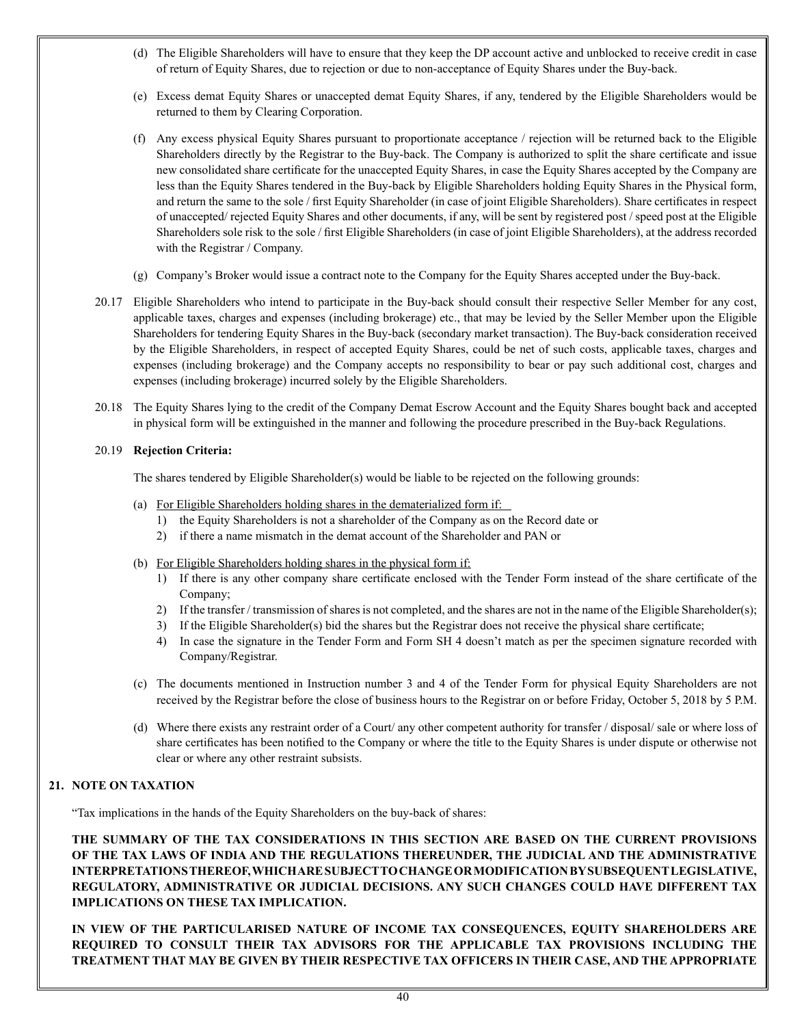- (d) The Eligible Shareholders will have to ensure that they keep the DP account active and unblocked to receive credit in case of return of Equity Shares, due to rejection or due to non-acceptance of Equity Shares under the Buy-back.
- (e) Excess demat Equity Shares or unaccepted demat Equity Shares, if any, tendered by the Eligible Shareholders would be returned to them by Clearing Corporation.
- (f) Any excess physical Equity Shares pursuant to proportionate acceptance / rejection will be returned back to the Eligible Shareholders directly by the Registrar to the Buy-back. The Company is authorized to split the share certificate and issue new consolidated share certificate for the unaccepted Equity Shares, in case the Equity Shares accepted by the Company are less than the Equity Shares tendered in the Buy-back by Eligible Shareholders holding Equity Shares in the Physical form, and return the same to the sole / first Equity Shareholder (in case of joint Eligible Shareholders). Share certificates in respect of unaccepted/ rejected Equity Shares and other documents, if any, will be sent by registered post / speed post at the Eligible Shareholders sole risk to the sole / first Eligible Shareholders (in case of joint Eligible Shareholders), at the address recorded with the Registrar / Company.
- (g) Company's Broker would issue a contract note to the Company for the Equity Shares accepted under the Buy-back.
- 20.17 Eligible Shareholders who intend to participate in the Buy-back should consult their respective Seller Member for any cost, applicable taxes, charges and expenses (including brokerage) etc., that may be levied by the Seller Member upon the Eligible Shareholders for tendering Equity Shares in the Buy-back (secondary market transaction). The Buy-back consideration received by the Eligible Shareholders, in respect of accepted Equity Shares, could be net of such costs, applicable taxes, charges and expenses (including brokerage) and the Company accepts no responsibility to bear or pay such additional cost, charges and expenses (including brokerage) incurred solely by the Eligible Shareholders.
- 20.18 The Equity Shares lying to the credit of the Company Demat Escrow Account and the Equity Shares bought back and accepted in physical form will be extinguished in the manner and following the procedure prescribed in the Buy-back Regulations.

# 20.19 **Rejection Criteria:**

The shares tendered by Eligible Shareholder(s) would be liable to be rejected on the following grounds:

- (a) For Eligible Shareholders holding shares in the dematerialized form if:
	- 1) the Equity Shareholders is not a shareholder of the Company as on the Record date or
	- 2) if there a name mismatch in the demat account of the Shareholder and PAN or
- (b) For Eligible Shareholders holding shares in the physical form if:
	- 1) If there is any other company share certificate enclosed with the Tender Form instead of the share certificate of the Company;
	- 2) If the transfer / transmission of shares is not completed, and the shares are not in the name of the Eligible Shareholder(s);
	- 3) If the Eligible Shareholder(s) bid the shares but the Registrar does not receive the physical share certificate;
	- 4) In case the signature in the Tender Form and Form SH 4 doesn't match as per the specimen signature recorded with Company/Registrar.
- (c) The documents mentioned in Instruction number 3 and 4 of the Tender Form for physical Equity Shareholders are not received by the Registrar before the close of business hours to the Registrar on or before Friday, October 5, 2018 by 5 P.M.
- (d) Where there exists any restraint order of a Court/ any other competent authority for transfer / disposal/ sale or where loss of share certificates has been notified to the Company or where the title to the Equity Shares is under dispute or otherwise not clear or where any other restraint subsists.

# **21. NOTE ON TAXATION**

"Tax implications in the hands of the Equity Shareholders on the buy-back of shares:

**THE SUMMARY OF THE TAX CONSIDERATIONS IN THIS SECTION ARE BASED ON THE CURRENT PROVISIONS OF THE TAX LAWS OF INDIA AND THE REGULATIONS THEREUNDER, THE JUDICIAL AND THE ADMINISTRATIVE INTERPRETATIONS THEREOF, WHICH ARE SUBJECT TO CHANGE OR MODIFICATION BY SUBSEQUENT LEGISLATIVE, REGULATORY, ADMINISTRATIVE OR JUDICIAL DECISIONS. ANY SUCH CHANGES COULD HAVE DIFFERENT TAX IMPLICATIONS ON THESE TAX IMPLICATION.** 

**IN VIEW OF THE PARTICULARISED NATURE OF INCOME TAX CONSEQUENCES, EQUITY SHAREHOLDERS ARE REQUIRED TO CONSULT THEIR TAX ADVISORS FOR THE APPLICABLE TAX PROVISIONS INCLUDING THE TREATMENT THAT MAY BE GIVEN BY THEIR RESPECTIVE TAX OFFICERS IN THEIR CASE, AND THE APPROPRIATE**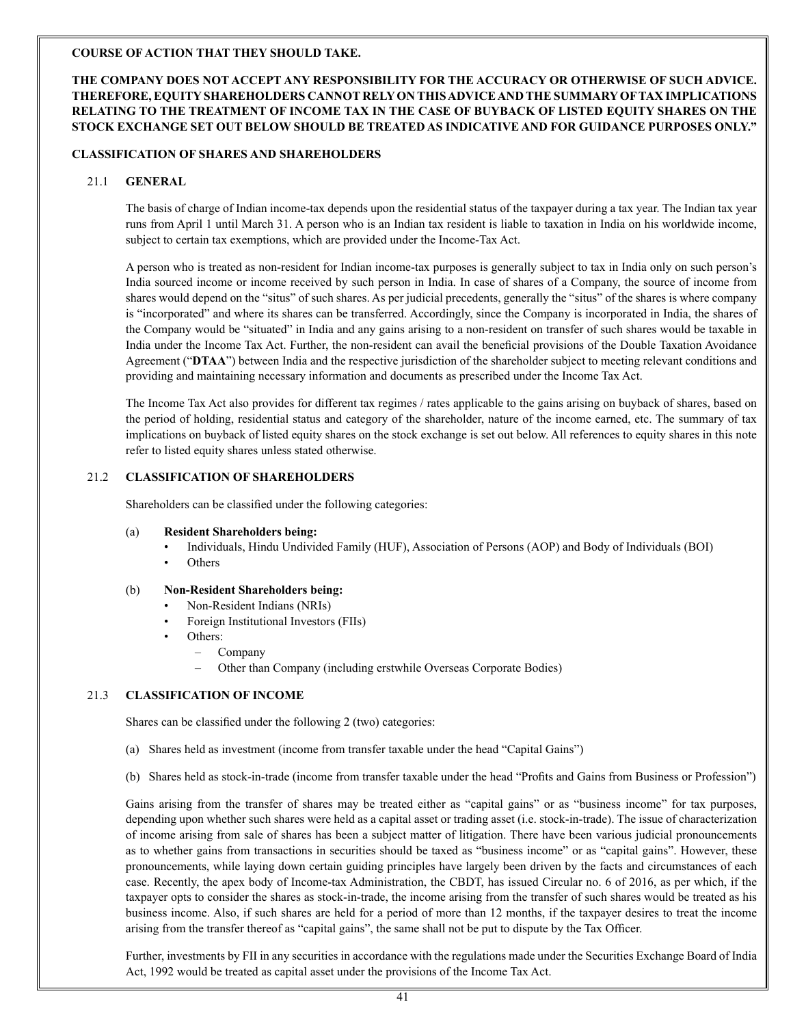# **COURSE OF ACTION THAT THEY SHOULD TAKE.**

# **THE COMPANY DOES NOT ACCEPT ANY RESPONSIBILITY FOR THE ACCURACY OR OTHERWISE OF SUCH ADVICE. THEREFORE, EQUITY SHAREHOLDERS CANNOT RELY ON THIS ADVICE AND THE SUMMARY OF TAX IMPLICATIONS RELATING TO THE TREATMENT OF INCOME TAX IN THE CASE OF BUYBACK OF LISTED EQUITY SHARES ON THE STOCK EXCHANGE SET OUT BELOW SHOULD BE TREATED AS INDICATIVE AND FOR GUIDANCE PURPOSES ONLY."**

#### **CLASSIFICATION OF SHARES AND SHAREHOLDERS**

## 21.1 **GENERAL**

The basis of charge of Indian income-tax depends upon the residential status of the taxpayer during a tax year. The Indian tax year runs from April 1 until March 31. A person who is an Indian tax resident is liable to taxation in India on his worldwide income, subject to certain tax exemptions, which are provided under the Income-Tax Act.

A person who is treated as non-resident for Indian income-tax purposes is generally subject to tax in India only on such person's India sourced income or income received by such person in India. In case of shares of a Company, the source of income from shares would depend on the "situs" of such shares. As per judicial precedents, generally the "situs" of the shares is where company is "incorporated" and where its shares can be transferred. Accordingly, since the Company is incorporated in India, the shares of the Company would be "situated" in India and any gains arising to a non-resident on transfer of such shares would be taxable in India under the Income Tax Act. Further, the non-resident can avail the beneficial provisions of the Double Taxation Avoidance Agreement ("**DTAA**") between India and the respective jurisdiction of the shareholder subject to meeting relevant conditions and providing and maintaining necessary information and documents as prescribed under the Income Tax Act.

The Income Tax Act also provides for different tax regimes / rates applicable to the gains arising on buyback of shares, based on the period of holding, residential status and category of the shareholder, nature of the income earned, etc. The summary of tax implications on buyback of listed equity shares on the stock exchange is set out below. All references to equity shares in this note refer to listed equity shares unless stated otherwise.

# 21.2 **CLASSIFICATION OF SHAREHOLDERS**

Shareholders can be classified under the following categories:

- (a) **Resident Shareholders being:** 
	- Individuals, Hindu Undivided Family (HUF), Association of Persons (AOP) and Body of Individuals (BOI)
	- Others

#### (b) **Non-Resident Shareholders being:**

- Non-Resident Indians (NRIs)
- Foreign Institutional Investors (FIIs)
- Others:
	- Company
	- Other than Company (including erstwhile Overseas Corporate Bodies)

# 21.3 **CLASSIFICATION OF INCOME**

Shares can be classified under the following 2 (two) categories:

- (a) Shares held as investment (income from transfer taxable under the head "Capital Gains")
- (b) Shares held as stock-in-trade (income from transfer taxable under the head "Profits and Gains from Business or Profession")

Gains arising from the transfer of shares may be treated either as "capital gains" or as "business income" for tax purposes, depending upon whether such shares were held as a capital asset or trading asset (i.e. stock-in-trade). The issue of characterization of income arising from sale of shares has been a subject matter of litigation. There have been various judicial pronouncements as to whether gains from transactions in securities should be taxed as "business income" or as "capital gains". However, these pronouncements, while laying down certain guiding principles have largely been driven by the facts and circumstances of each case. Recently, the apex body of Income-tax Administration, the CBDT, has issued Circular no. 6 of 2016, as per which, if the taxpayer opts to consider the shares as stock-in-trade, the income arising from the transfer of such shares would be treated as his business income. Also, if such shares are held for a period of more than 12 months, if the taxpayer desires to treat the income arising from the transfer thereof as "capital gains", the same shall not be put to dispute by the Tax Officer.

Further, investments by FII in any securities in accordance with the regulations made under the Securities Exchange Board of India Act, 1992 would be treated as capital asset under the provisions of the Income Tax Act.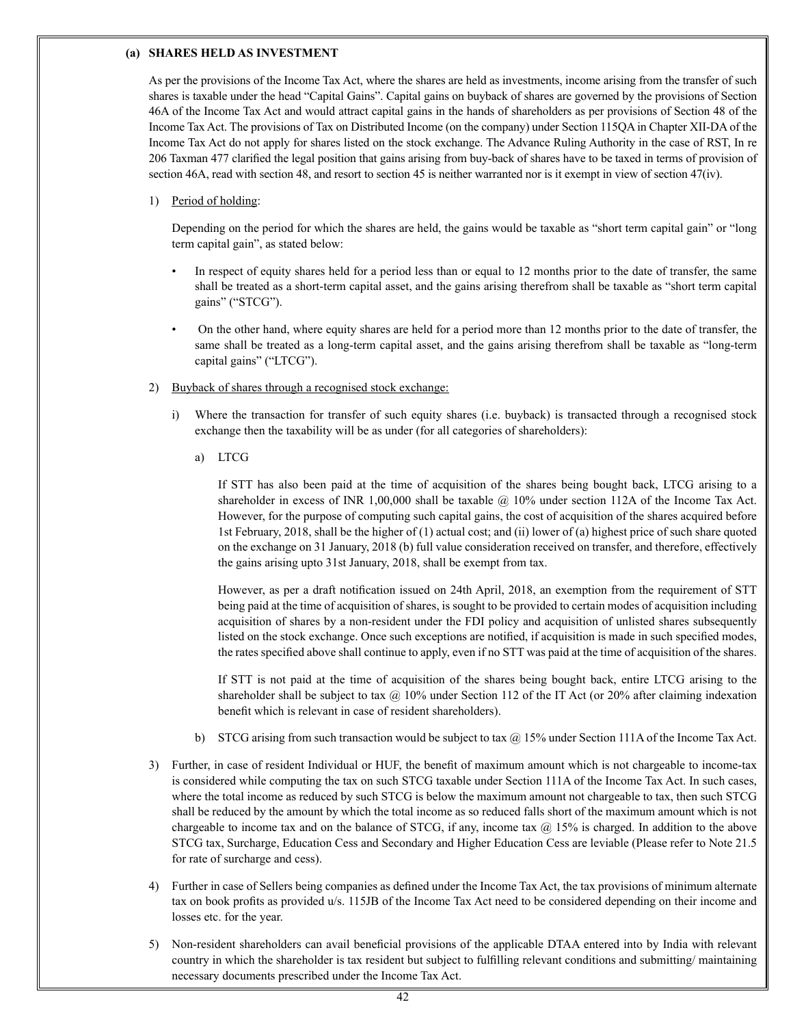#### **(a) SHARES HELD AS INVESTMENT**

As per the provisions of the Income Tax Act, where the shares are held as investments, income arising from the transfer of such shares is taxable under the head "Capital Gains". Capital gains on buyback of shares are governed by the provisions of Section 46A of the Income Tax Act and would attract capital gains in the hands of shareholders as per provisions of Section 48 of the Income Tax Act. The provisions of Tax on Distributed Income (on the company) under Section 115QA in Chapter XII-DA of the Income Tax Act do not apply for shares listed on the stock exchange. The Advance Ruling Authority in the case of RST, In re 206 Taxman 477 clarified the legal position that gains arising from buy-back of shares have to be taxed in terms of provision of section 46A, read with section 48, and resort to section 45 is neither warranted nor is it exempt in view of section 47(iv).

#### 1) Period of holding:

Depending on the period for which the shares are held, the gains would be taxable as "short term capital gain" or "long term capital gain", as stated below:

- In respect of equity shares held for a period less than or equal to 12 months prior to the date of transfer, the same shall be treated as a short-term capital asset, and the gains arising therefrom shall be taxable as "short term capital gains" ("STCG").
- On the other hand, where equity shares are held for a period more than 12 months prior to the date of transfer, the same shall be treated as a long-term capital asset, and the gains arising therefrom shall be taxable as "long-term capital gains" ("LTCG").
- 2) Buyback of shares through a recognised stock exchange:
	- i) Where the transaction for transfer of such equity shares (i.e. buyback) is transacted through a recognised stock exchange then the taxability will be as under (for all categories of shareholders):
		- a) LTCG

If STT has also been paid at the time of acquisition of the shares being bought back, LTCG arising to a shareholder in excess of INR 1,00,000 shall be taxable @ 10% under section 112A of the Income Tax Act. However, for the purpose of computing such capital gains, the cost of acquisition of the shares acquired before 1st February, 2018, shall be the higher of (1) actual cost; and (ii) lower of (a) highest price of such share quoted on the exchange on 31 January, 2018 (b) full value consideration received on transfer, and therefore, effectively the gains arising upto 31st January, 2018, shall be exempt from tax.

However, as per a draft notification issued on 24th April, 2018, an exemption from the requirement of STT being paid at the time of acquisition of shares, is sought to be provided to certain modes of acquisition including acquisition of shares by a non-resident under the FDI policy and acquisition of unlisted shares subsequently listed on the stock exchange. Once such exceptions are notified, if acquisition is made in such specified modes, the rates specified above shall continue to apply, even if no STT was paid at the time of acquisition of the shares.

If STT is not paid at the time of acquisition of the shares being bought back, entire LTCG arising to the shareholder shall be subject to tax  $\omega$  10% under Section 112 of the IT Act (or 20% after claiming indexation benefit which is relevant in case of resident shareholders).

- b) STCG arising from such transaction would be subject to tax  $\omega$  15% under Section 111A of the Income Tax Act.
- 3) Further, in case of resident Individual or HUF, the benefit of maximum amount which is not chargeable to income-tax is considered while computing the tax on such STCG taxable under Section 111A of the Income Tax Act. In such cases, where the total income as reduced by such STCG is below the maximum amount not chargeable to tax, then such STCG shall be reduced by the amount by which the total income as so reduced falls short of the maximum amount which is not chargeable to income tax and on the balance of STCG, if any, income tax  $@$  15% is charged. In addition to the above STCG tax, Surcharge, Education Cess and Secondary and Higher Education Cess are leviable (Please refer to Note 21.5 for rate of surcharge and cess).
- 4) Further in case of Sellers being companies as defined under the Income Tax Act, the tax provisions of minimum alternate tax on book profits as provided u/s. 115JB of the Income Tax Act need to be considered depending on their income and losses etc. for the year.
- 5) Non-resident shareholders can avail beneficial provisions of the applicable DTAA entered into by India with relevant country in which the shareholder is tax resident but subject to fulfilling relevant conditions and submitting/ maintaining necessary documents prescribed under the Income Tax Act.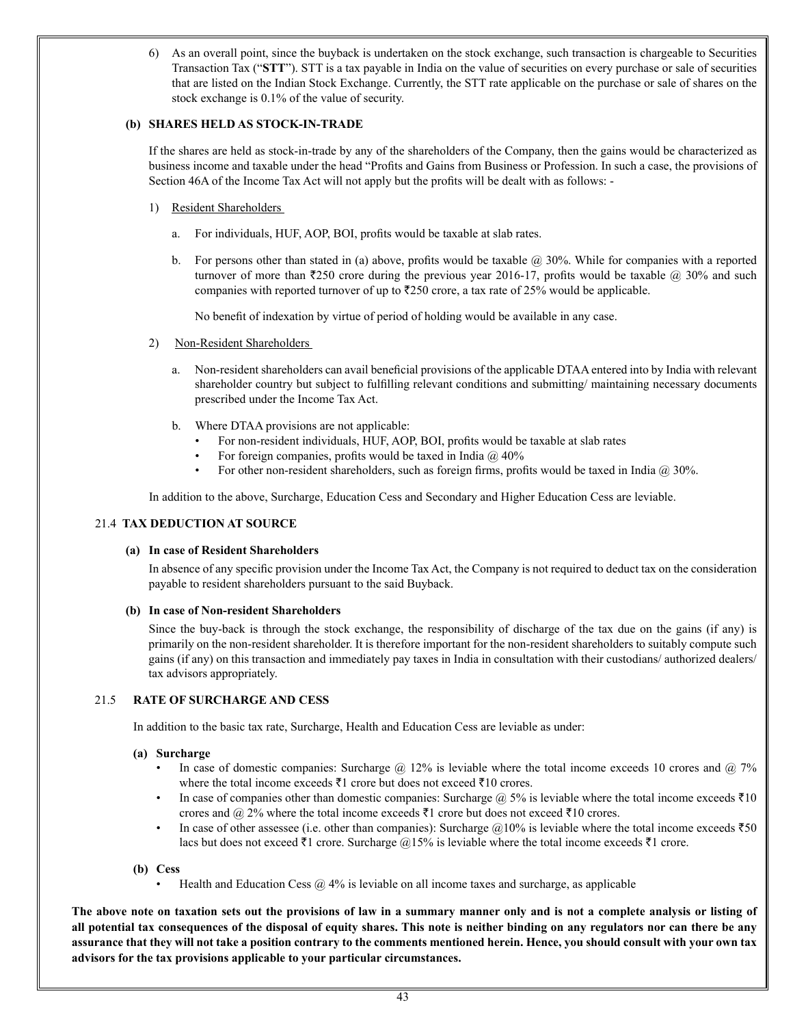6) As an overall point, since the buyback is undertaken on the stock exchange, such transaction is chargeable to Securities Transaction Tax ("**STT**"). STT is a tax payable in India on the value of securities on every purchase or sale of securities that are listed on the Indian Stock Exchange. Currently, the STT rate applicable on the purchase or sale of shares on the stock exchange is 0.1% of the value of security.

## **(b) SHARES HELD AS STOCK-IN-TRADE**

If the shares are held as stock-in-trade by any of the shareholders of the Company, then the gains would be characterized as business income and taxable under the head "Profits and Gains from Business or Profession. In such a case, the provisions of Section 46A of the Income Tax Act will not apply but the profits will be dealt with as follows: -

- 1) Resident Shareholders
	- a. For individuals, HUF, AOP, BOI, profits would be taxable at slab rates.
	- b. For persons other than stated in (a) above, profits would be taxable  $\omega$  30%. While for companies with a reported turnover of more than  $\overline{2}250$  crore during the previous year 2016-17, profits would be taxable  $\omega$  30% and such companies with reported turnover of up to  $\overline{250}$  crore, a tax rate of 25% would be applicable.

No benefit of indexation by virtue of period of holding would be available in any case.

- 2) Non-Resident Shareholders
	- a. Non-resident shareholders can avail beneficial provisions of the applicable DTAA entered into by India with relevant shareholder country but subject to fulfilling relevant conditions and submitting/ maintaining necessary documents prescribed under the Income Tax Act.
	- b. Where DTAA provisions are not applicable:
		- For non-resident individuals, HUF, AOP, BOI, profits would be taxable at slab rates
		- For foreign companies, profits would be taxed in India  $\omega$  40%
		- For other non-resident shareholders, such as foreign firms, profits would be taxed in India @ 30%.

In addition to the above, Surcharge, Education Cess and Secondary and Higher Education Cess are leviable.

#### 21.4 **TAX DEDUCTION AT SOURCE**

#### **(a) In case of Resident Shareholders**

In absence of any specific provision under the Income Tax Act, the Company is not required to deduct tax on the consideration payable to resident shareholders pursuant to the said Buyback.

# **(b) In case of Non-resident Shareholders**

Since the buy-back is through the stock exchange, the responsibility of discharge of the tax due on the gains (if any) is primarily on the non-resident shareholder. It is therefore important for the non-resident shareholders to suitably compute such gains (if any) on this transaction and immediately pay taxes in India in consultation with their custodians/ authorized dealers/ tax advisors appropriately.

# 21.5 **RATE OF SURCHARGE AND CESS**

In addition to the basic tax rate, Surcharge, Health and Education Cess are leviable as under:

#### **(a) Surcharge**

- In case of domestic companies: Surcharge @ 12% is leviable where the total income exceeds 10 crores and @ 7% where the total income exceeds  $\bar{\tau}1$  crore but does not exceed  $\bar{\tau}10$  crores.
- In case of companies other than domestic companies: Surcharge  $\omega$  5% is leviable where the total income exceeds  $\bar{\tau}$ 10 crores and  $\omega$  2% where the total income exceeds  $\bar{\tau}$ 1 crore but does not exceed  $\bar{\tau}$ 10 crores.
- In case of other assessee (i.e. other than companies): Surcharge  $@10\%$  is leviable where the total income exceeds  $\text{\textsterling}50$ lacs but does not exceed  $\bar{\tau}$ 1 crore. Surcharge @15% is leviable where the total income exceeds  $\bar{\tau}$ 1 crore.

#### **(b) Cess**

• Health and Education Cess  $@$  4% is leviable on all income taxes and surcharge, as applicable

**The above note on taxation sets out the provisions of law in a summary manner only and is not a complete analysis or listing of all potential tax consequences of the disposal of equity shares. This note is neither binding on any regulators nor can there be any assurance that they will not take a position contrary to the comments mentioned herein. Hence, you should consult with your own tax advisors for the tax provisions applicable to your particular circumstances.**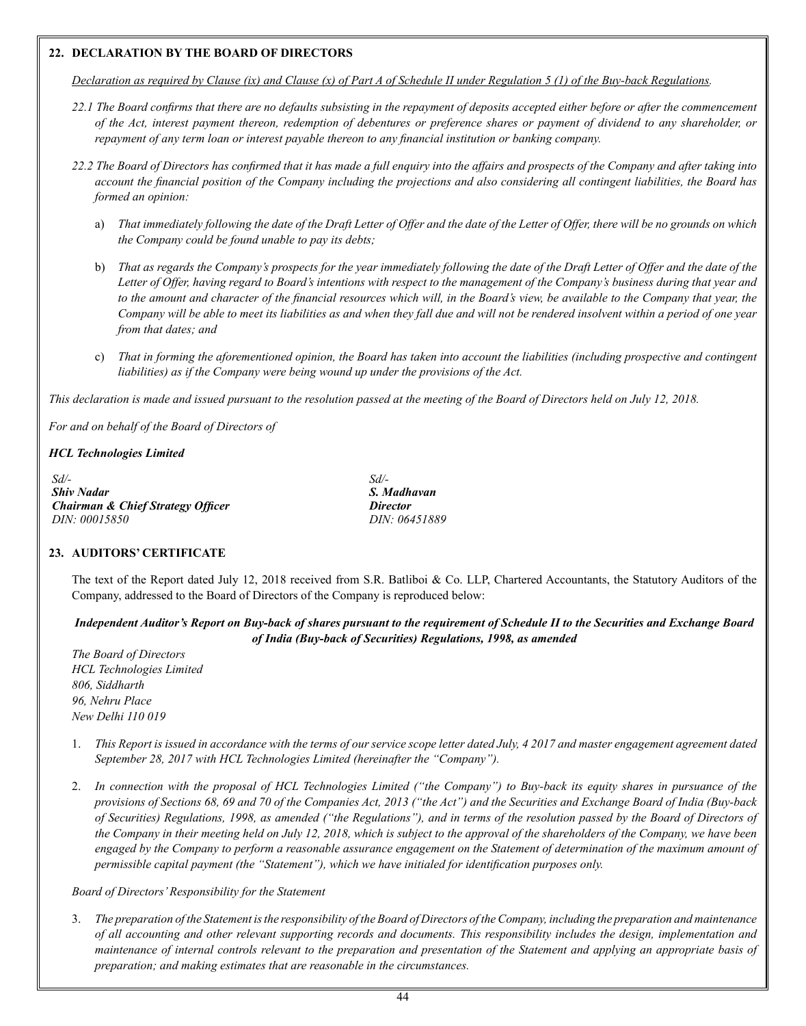## **22. DECLARATION BY THE BOARD OF DIRECTORS**

Declaration as required by Clause (ix) and Clause (x) of Part A of Schedule II under Regulation 5 (1) of the Buy-back Regulations.

- 22.1 The Board confirms that there are no defaults subsisting in the repayment of deposits accepted either before or after the commencement of the Act, interest payment thereon, redemption of debentures or preference shares or payment of dividend to any shareholder, or *repayment of any term loan or interest payable thereon to any financial institution or banking company.*
- 22.2 The Board of Directors has confirmed that it has made a full enquiry into the affairs and prospects of the Company and after taking into account the financial position of the Company including the projections and also considering all contingent liabilities, the Board has *formed an opinion:* 
	- a) That immediately following the date of the Draft Letter of Offer and the date of the Letter of Offer, there will be no grounds on which *the Company could be found unable to pay its debts;*
	- b) That as regards the Company's prospects for the year immediately following the date of the Draft Letter of Offer and the date of the Letter of Offer, having regard to Board's intentions with respect to the management of the Company's business during that year and to the amount and character of the financial resources which will, in the Board's view, be available to the Company that year, the Company will be able to meet its liabilities as and when they fall due and will not be rendered insolvent within a period of one year *from that dates; and*
	- c) That in forming the aforementioned opinion, the Board has taken into account the liabilities (including prospective and contingent *liabilities) as if the Company were being wound up under the provisions of the Act.*

*This declaration is made and issued pursuant to the resolution passed at the meeting of the Board of Directors held on July 12, 2018.* 

*For and on behalf of the Board of Directors of*

# *HCL Technologies Limited*

*Sd/- Shiv Nadar Chairman & Chief Strategy Officer DIN: 00015850*

*Sd/- S. Madhavan Director DIN: 06451889*

# **23. AUDITORS' CERTIFICATE**

The text of the Report dated July 12, 2018 received from S.R. Batliboi & Co. LLP, Chartered Accountants, the Statutory Auditors of the Company, addressed to the Board of Directors of the Company is reproduced below:

*Independent Auditor's Report on Buy-back of shares pursuant to the requirement of Schedule II to the Securities and Exchange Board of India (Buy-back of Securities) Regulations, 1998, as amended*

*The Board of Directors HCL Technologies Limited 806, Siddharth 96, Nehru Place New Delhi 110 019*

- 1. *This Report is issued in accordance with the terms of our service scope letter dated July, 4 2017 and master engagement agreement dated September 28, 2017 with HCL Technologies Limited (hereinafter the "Company").*
- 2. *In connection with the proposal of HCL Technologies Limited ("the Company") to Buy-back its equity shares in pursuance of the provisions of Sections 68, 69 and 70 of the Companies Act, 2013 ("the Act") and the Securities and Exchange Board of India (Buy-back of Securities) Regulations, 1998, as amended ("the Regulations"), and in terms of the resolution passed by the Board of Directors of the Company in their meeting held on July 12, 2018, which is subject to the approval of the shareholders of the Company, we have been engaged by the Company to perform a reasonable assurance engagement on the Statement of determination of the maximum amount of permissible capital payment (the "Statement"), which we have initialed for identification purposes only.*

# *Board of Directors' Responsibility for the Statement*

3. *The preparation of the Statement is the responsibility of the Board of Directors of the Company, including the preparation and maintenance of all accounting and other relevant supporting records and documents. This responsibility includes the design, implementation and maintenance of internal controls relevant to the preparation and presentation of the Statement and applying an appropriate basis of preparation; and making estimates that are reasonable in the circumstances.*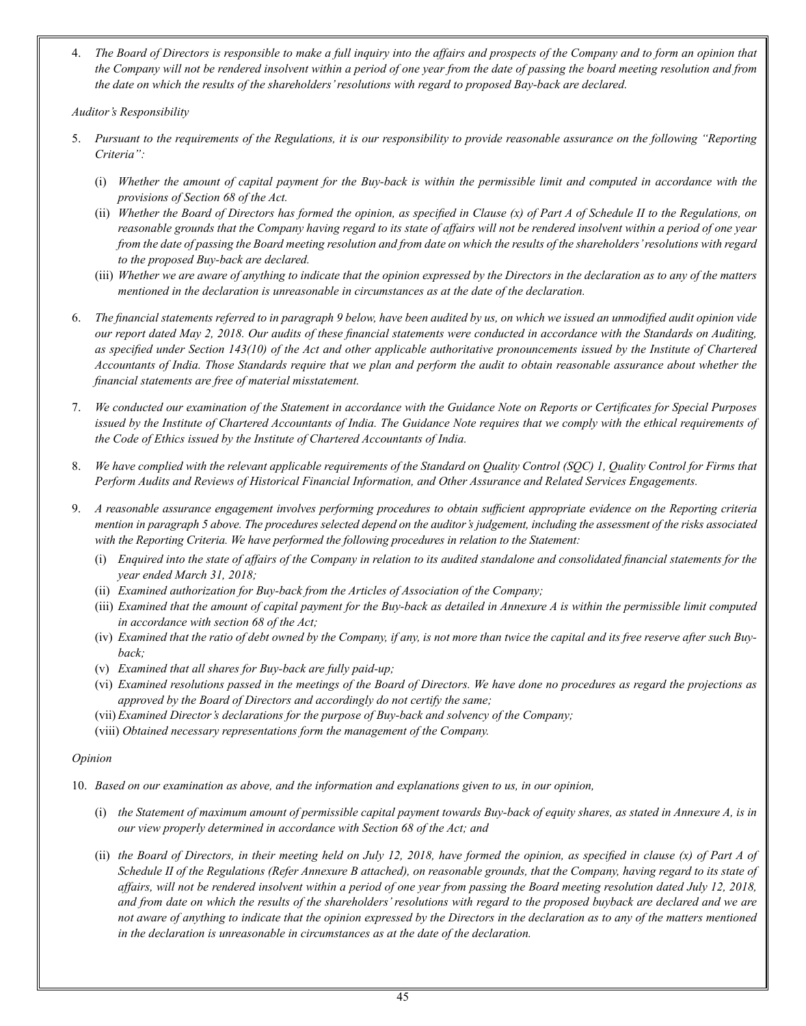4. *The Board of Directors is responsible to make a full inquiry into the affairs and prospects of the Company and to form an opinion that the Company will not be rendered insolvent within a period of one year from the date of passing the board meeting resolution and from the date on which the results of the shareholders' resolutions with regard to proposed Bay-back are declared.*

*Auditor's Responsibility*

- 5. *Pursuant to the requirements of the Regulations, it is our responsibility to provide reasonable assurance on the following "Reporting Criteria":*
	- (i) *Whether the amount of capital payment for the Buy-back is within the permissible limit and computed in accordance with the provisions of Section 68 of the Act.*
	- (ii) *Whether the Board of Directors has formed the opinion, as specified in Clause (x) of Part A of Schedule II to the Regulations, on reasonable grounds that the Company having regard to its state of affairs will not be rendered insolvent within a period of one year from the date of passing the Board meeting resolution and from date on which the results of the shareholders' resolutions with regard to the proposed Buy-back are declared.*
	- (iii) *Whether we are aware of anything to indicate that the opinion expressed by the Directors in the declaration as to any of the matters mentioned in the declaration is unreasonable in circumstances as at the date of the declaration.*
- 6. *The financial statements referred to in paragraph 9 below, have been audited by us, on which we issued an unmodified audit opinion vide our report dated May 2, 2018. Our audits of these financial statements were conducted in accordance with the Standards on Auditing, as specified under Section 143(10) of the Act and other applicable authoritative pronouncements issued by the Institute of Chartered Accountants of India. Those Standards require that we plan and perform the audit to obtain reasonable assurance about whether the financial statements are free of material misstatement.*
- 7. *We conducted our examination of the Statement in accordance with the Guidance Note on Reports or Certificates for Special Purposes issued by the Institute of Chartered Accountants of India. The Guidance Note requires that we comply with the ethical requirements of the Code of Ethics issued by the Institute of Chartered Accountants of India.*
- 8. *We have complied with the relevant applicable requirements of the Standard on Quality Control (SQC) 1, Quality Control for Firms that Perform Audits and Reviews of Historical Financial Information, and Other Assurance and Related Services Engagements.*
- 9. *A reasonable assurance engagement involves performing procedures to obtain sufficient appropriate evidence on the Reporting criteria mention in paragraph 5 above. The procedures selected depend on the auditor's judgement, including the assessment of the risks associated with the Reporting Criteria. We have performed the following procedures in relation to the Statement:*
	- (i) *Enquired into the state of affairs of the Company in relation to its audited standalone and consolidated financial statements for the year ended March 31, 2018;*
	- (ii) *Examined authorization for Buy-back from the Articles of Association of the Company;*
	- (iii) *Examined that the amount of capital payment for the Buy-back as detailed in Annexure A is within the permissible limit computed in accordance with section 68 of the Act;*
	- (iv) *Examined that the ratio of debt owned by the Company, if any, is not more than twice the capital and its free reserve after such Buyback;*
	- (v) *Examined that all shares for Buy-back are fully paid-up;*
	- (vi) *Examined resolutions passed in the meetings of the Board of Directors. We have done no procedures as regard the projections as approved by the Board of Directors and accordingly do not certify the same;*
	- (vii) *Examined Director's declarations for the purpose of Buy-back and solvency of the Company;*
	- (viii) *Obtained necessary representations form the management of the Company.*

#### *Opinion*

- 10. *Based on our examination as above, and the information and explanations given to us, in our opinion,*
	- (i) *the Statement of maximum amount of permissible capital payment towards Buy-back of equity shares, as stated in Annexure A, is in our view properly determined in accordance with Section 68 of the Act; and*
	- (ii) *the Board of Directors, in their meeting held on July 12, 2018, have formed the opinion, as specified in clause (x) of Part A of Schedule II of the Regulations (Refer Annexure B attached), on reasonable grounds, that the Company, having regard to its state of affairs, will not be rendered insolvent within a period of one year from passing the Board meeting resolution dated July 12, 2018, and from date on which the results of the shareholders' resolutions with regard to the proposed buyback are declared and we are not aware of anything to indicate that the opinion expressed by the Directors in the declaration as to any of the matters mentioned in the declaration is unreasonable in circumstances as at the date of the declaration.*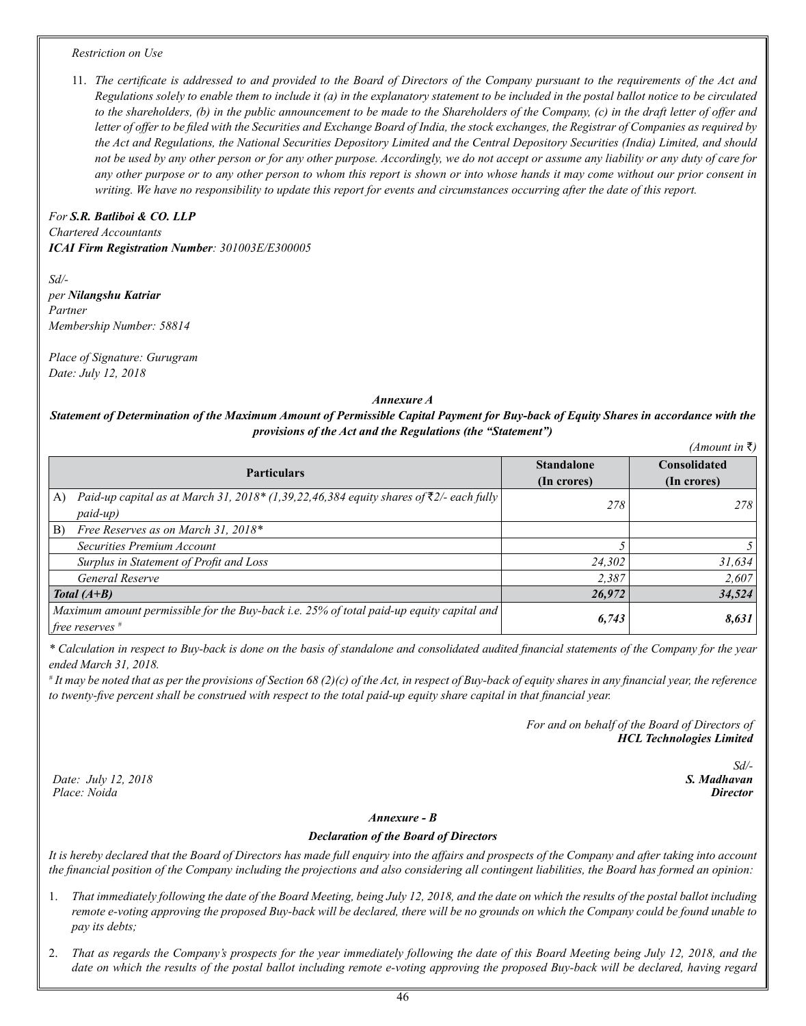#### *Restriction on Use*

11. *The certificate is addressed to and provided to the Board of Directors of the Company pursuant to the requirements of the Act and Regulations solely to enable them to include it (a) in the explanatory statement to be included in the postal ballot notice to be circulated to the shareholders, (b) in the public announcement to be made to the Shareholders of the Company, (c) in the draft letter of offer and letter of offer to be filed with the Securities and Exchange Board of India, the stock exchanges, the Registrar of Companies as required by the Act and Regulations, the National Securities Depository Limited and the Central Depository Securities (India) Limited, and should not be used by any other person or for any other purpose. Accordingly, we do not accept or assume any liability or any duty of care for any other purpose or to any other person to whom this report is shown or into whose hands it may come without our prior consent in writing. We have no responsibility to update this report for events and circumstances occurring after the date of this report.*

*For S.R. Batliboi & CO. LLP Chartered Accountants ICAI Firm Registration Number: 301003E/E300005*

*Sd/ per Nilangshu Katriar Partner Membership Number: 58814*

*Place of Signature: Gurugram Date: July 12, 2018*

#### *Annexure A*

# *Statement of Determination of the Maximum Amount of Permissible Capital Payment for Buy-back of Equity Shares in accordance with the provisions of the Act and the Regulations (the "Statement")*

| $(A$ mount in ₹)                                                                                         |                   |                     |  |  |  |  |
|----------------------------------------------------------------------------------------------------------|-------------------|---------------------|--|--|--|--|
| <b>Particulars</b>                                                                                       | <b>Standalone</b> | <b>Consolidated</b> |  |  |  |  |
|                                                                                                          | (In crores)       | (In crores)         |  |  |  |  |
| Paid-up capital as at March 31, 2018* (1,39,22,46,384 equity shares of $\bar{\tau}$ 2/- each fully<br>A) | 278               | 278                 |  |  |  |  |
| paid-up)                                                                                                 |                   |                     |  |  |  |  |
| Free Reserves as on March 31, 2018*<br>B)                                                                |                   |                     |  |  |  |  |
| Securities Premium Account                                                                               |                   |                     |  |  |  |  |
| Surplus in Statement of Profit and Loss                                                                  | 24,302            | 31,634              |  |  |  |  |
| General Reserve                                                                                          | 2.387             | 2,607               |  |  |  |  |
| Total $(A+B)$                                                                                            | 26,972            | 34,524              |  |  |  |  |
| Maximum amount permissible for the Buy-back i.e. 25% of total paid-up equity capital and                 | 6,743             | 8,631               |  |  |  |  |
| free reserves $#$                                                                                        |                   |                     |  |  |  |  |

*\* Calculation in respect to Buy-back is done on the basis of standalone and consolidated audited financial statements of the Company for the year ended March 31, 2018.*

*# It may be noted that as per the provisions of Section 68 (2)(c) of the Act, in respect of Buy-back of equity shares in any financial year, the reference to twenty-five percent shall be construed with respect to the total paid-up equity share capital in that financial year.* 

> *For and on behalf of the Board of Directors of HCL Technologies Limited*

> > *Sd/- S. Madhavan Director*

*Date: July 12, 2018 Place: Noida*

#### *Annexure - B*

#### *Declaration of the Board of Directors*

*It is hereby declared that the Board of Directors has made full enquiry into the affairs and prospects of the Company and after taking into account the financial position of the Company including the projections and also considering all contingent liabilities, the Board has formed an opinion:* 

- 1. *That immediately following the date of the Board Meeting, being July 12, 2018, and the date on which the results of the postal ballot including remote e-voting approving the proposed Buy-back will be declared, there will be no grounds on which the Company could be found unable to pay its debts;*
- 2. *That as regards the Company's prospects for the year immediately following the date of this Board Meeting being July 12, 2018, and the*  date on which the results of the postal ballot including remote e-voting approving the proposed Buy-back will be declared, having regard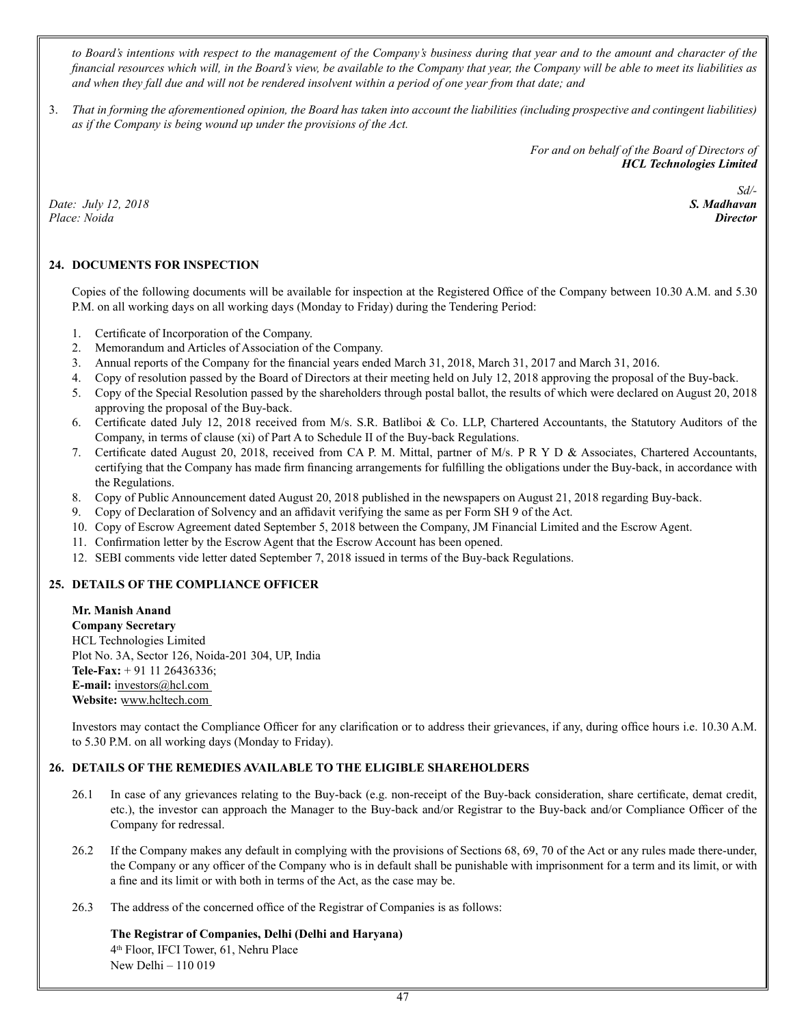*to Board's intentions with respect to the management of the Company's business during that year and to the amount and character of the financial resources which will, in the Board's view, be available to the Company that year, the Company will be able to meet its liabilities as and when they fall due and will not be rendered insolvent within a period of one year from that date; and*

3. *That in forming the aforementioned opinion, the Board has taken into account the liabilities (including prospective and contingent liabilities) as if the Company is being wound up under the provisions of the Act.*

> *For and on behalf of the Board of Directors of HCL Technologies Limited*

*Date: July 12, 2018 Place: Noida*

*Sd/- S. Madhavan Director* 

# **24. DOCUMENTS FOR INSPECTION**

Copies of the following documents will be available for inspection at the Registered Office of the Company between 10.30 A.M. and 5.30 P.M. on all working days on all working days (Monday to Friday) during the Tendering Period:

- 1. Certificate of Incorporation of the Company.
- 2. Memorandum and Articles of Association of the Company.
- 3. Annual reports of the Company for the financial years ended March 31, 2018, March 31, 2017 and March 31, 2016.
- 4. Copy of resolution passed by the Board of Directors at their meeting held on July 12, 2018 approving the proposal of the Buy-back.
- 5. Copy of the Special Resolution passed by the shareholders through postal ballot, the results of which were declared on August 20, 2018 approving the proposal of the Buy-back.
- 6. Certificate dated July 12, 2018 received from M/s. S.R. Batliboi & Co. LLP, Chartered Accountants, the Statutory Auditors of the Company, in terms of clause (xi) of Part A to Schedule II of the Buy-back Regulations.
- 7. Certificate dated August 20, 2018, received from CA P. M. Mittal, partner of M/s. P R Y D & Associates, Chartered Accountants, certifying that the Company has made firm financing arrangements for fulfilling the obligations under the Buy-back, in accordance with the Regulations.
- 8. Copy of Public Announcement dated August 20, 2018 published in the newspapers on August 21, 2018 regarding Buy-back.
- 9. Copy of Declaration of Solvency and an affidavit verifying the same as per Form SH 9 of the Act.
- 10. Copy of Escrow Agreement dated September 5, 2018 between the Company, JM Financial Limited and the Escrow Agent.
- 11. Confirmation letter by the Escrow Agent that the Escrow Account has been opened.
- 12. SEBI comments vide letter dated September 7, 2018 issued in terms of the Buy-back Regulations.

# **25. DETAILS OF THE COMPLIANCE OFFICER**

**Mr. Manish Anand Company Secretary** HCL Technologies Limited Plot No. 3A, Sector 126, Noida-201 304, UP, India **Tele-Fax:** + 91 11 26436336; **E-mail:** investors@hcl.com **Website:** www.hcltech.com

Investors may contact the Compliance Officer for any clarification or to address their grievances, if any, during office hours i.e. 10.30 A.M. to 5.30 P.M. on all working days (Monday to Friday).

# **26. DETAILS OF THE REMEDIES AVAILABLE TO THE ELIGIBLE SHAREHOLDERS**

- 26.1 In case of any grievances relating to the Buy-back (e.g. non-receipt of the Buy-back consideration, share certificate, demat credit, etc.), the investor can approach the Manager to the Buy-back and/or Registrar to the Buy-back and/or Compliance Officer of the Company for redressal.
- 26.2 If the Company makes any default in complying with the provisions of Sections 68, 69, 70 of the Act or any rules made there-under, the Company or any officer of the Company who is in default shall be punishable with imprisonment for a term and its limit, or with a fine and its limit or with both in terms of the Act, as the case may be.
- 26.3 The address of the concerned office of the Registrar of Companies is as follows:

#### **The Registrar of Companies, Delhi (Delhi and Haryana)** 4th Floor, IFCI Tower, 61, Nehru Place New Delhi – 110 019